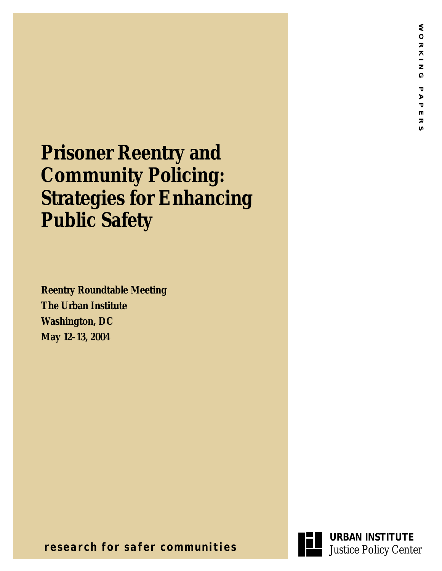# **Prisoner Reentry and Community Policing: Strategies for Enhancing Public Safety**

**Reentry Roundtable Meeting The Urban Institute Washington, DC May 12–13, 2004**



**URBAN INSTITUTE**

**research for safer communities**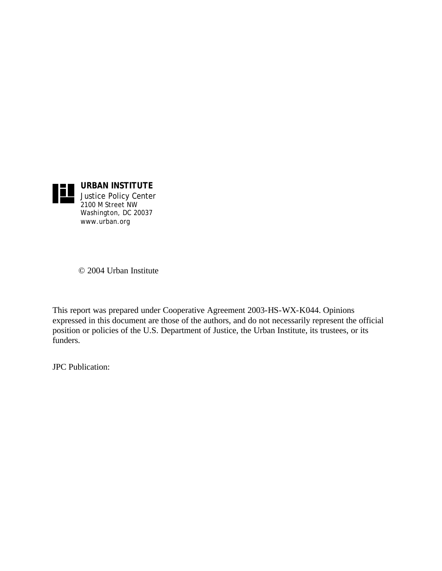

Justice Policy Center 2100 M Street NW Washington, DC 20037 www.urban.org

© 2004 Urban Institute

This report was prepared under Cooperative Agreement 2003-HS-WX-K044. Opinions expressed in this document are those of the authors, and do not necessarily represent the official position or policies of the U.S. Department of Justice, the Urban Institute, its trustees, or its funders.

JPC Publication: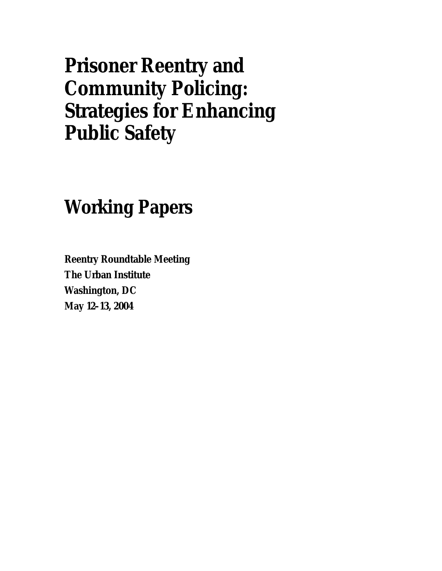# **Prisoner Reentry and Community Policing: Strategies for Enhancing Public Safety**

## **Working Papers**

**Reentry Roundtable Meeting The Urban Institute Washington, DC May 12–13, 2004**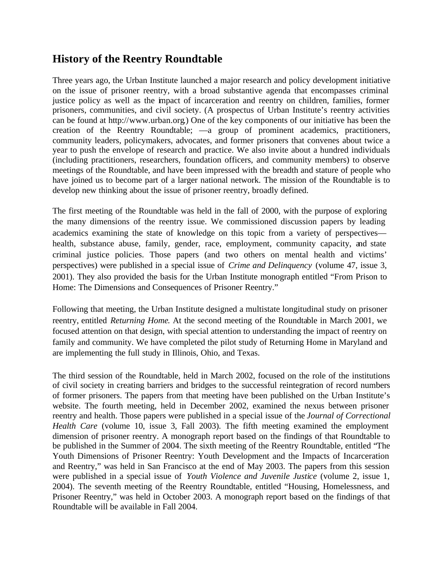### **History of the Reentry Roundtable**

Three years ago, the Urban Institute launched a major research and policy development initiative on the issue of prisoner reentry, with a broad substantive agenda that encompasses criminal justice policy as well as the impact of incarceration and reentry on children, families, former prisoners, communities, and civil society. (A prospectus of Urban Institute's reentry activities can be found at http://www.urban.org.) One of the key components of our initiative has been the creation of the Reentry Roundtable; —a group of prominent academics, practitioners, community leaders, policymakers, advocates, and former prisoners that convenes about twice a year to push the envelope of research and practice. We also invite about a hundred individuals (including practitioners, researchers, foundation officers, and community members) to observe meetings of the Roundtable, and have been impressed with the breadth and stature of people who have joined us to become part of a larger national network. The mission of the Roundtable is to develop new thinking about the issue of prisoner reentry, broadly defined.

The first meeting of the Roundtable was held in the fall of 2000, with the purpose of exploring the many dimensions of the reentry issue. We commissioned discussion papers by leading academics examining the state of knowledge on this topic from a variety of perspectives health, substance abuse, family, gender, race, employment, community capacity, and state criminal justice policies. Those papers (and two others on mental health and victims' perspectives) were published in a special issue of *Crime and Delinquency* (volume 47, issue 3, 2001). They also provided the basis for the Urban Institute monograph entitled "From Prison to Home: The Dimensions and Consequences of Prisoner Reentry."

Following that meeting, the Urban Institute designed a multistate longitudinal study on prisoner reentry, entitled *Returning Home*. At the second meeting of the Roundtable in March 2001, we focused attention on that design, with special attention to understanding the impact of reentry on family and community. We have completed the pilot study of Returning Home in Maryland and are implementing the full study in Illinois, Ohio, and Texas.

The third session of the Roundtable, held in March 2002, focused on the role of the institutions of civil society in creating barriers and bridges to the successful reintegration of record numbers of former prisoners. The papers from that meeting have been published on the Urban Institute's website. The fourth meeting, held in December 2002, examined the nexus between prisoner reentry and health. Those papers were published in a special issue of the *Journal of Correctional Health Care* (volume 10, issue 3, Fall 2003). The fifth meeting examined the employment dimension of prisoner reentry. A monograph report based on the findings of that Roundtable to be published in the Summer of 2004. The sixth meeting of the Reentry Roundtable, entitled "The Youth Dimensions of Prisoner Reentry: Youth Development and the Impacts of Incarceration and Reentry," was held in San Francisco at the end of May 2003. The papers from this session were published in a special issue of *Youth Violence and Juvenile Justice* (volume 2, issue 1, 2004). The seventh meeting of the Reentry Roundtable, entitled "Housing, Homelessness, and Prisoner Reentry," was held in October 2003. A monograph report based on the findings of that Roundtable will be available in Fall 2004.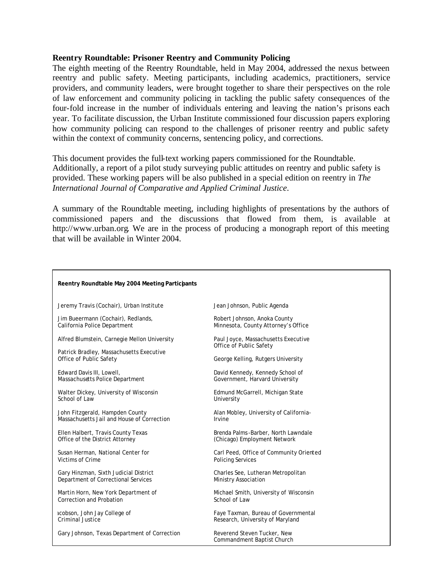#### **Reentry Roundtable: Prisoner Reentry and Community Policing**

The eighth meeting of the Reentry Roundtable, held in May 2004, addressed the nexus between reentry and public safety. Meeting participants, including academics, practitioners, service providers, and community leaders, were brought together to share their perspectives on the role of law enforcement and community policing in tackling the public safety consequences of the four-fold increase in the number of individuals entering and leaving the nation's prisons each year. To facilitate discussion, the Urban Institute commissioned four discussion papers exploring how community policing can respond to the challenges of prisoner reentry and public safety within the context of community concerns, sentencing policy, and corrections.

This document provides the full-text working papers commissioned for the Roundtable. Additionally, a report of a pilot study surveying public attitudes on reentry and public safety is provided. These working papers will be also published in a special edition on reentry in *The International Journal of Comparative and Applied Criminal Justice*.

A summary of the Roundtable meeting, including highlights of presentations by the authors of commissioned papers and the discussions that flowed from them, is available at http://www.urban.org. We are in the process of producing a monograph report of this meeting that will be available in Winter 2004.

| Reentry Roundtable May 2004 Meeting Participants                    |                                                                |
|---------------------------------------------------------------------|----------------------------------------------------------------|
| Jeremy Travis (Cochair), Urban Institute                            | Jean Johnson, Public Agenda                                    |
| Jim Bueermann (Cochair), Redlands,                                  | Robert Johnson, Anoka County                                   |
| California Police Department                                        | Minnesota, County Attorney's Office                            |
| Alfred Blumstein, Carnegie Mellon University                        | Paul Joyce, Massachusetts Executive<br>Office of Public Safety |
| Patrick Bradley, Massachusetts Executive<br>Office of Public Safety | George Kelling, Rutgers University                             |
| Edward Davis III, Lowell,                                           | David Kennedy, Kennedy School of                               |
| Massachusetts Police Department                                     | Government, Harvard University                                 |
| Walter Dickey, University of Wisconsin                              | Edmund McGarrell, Michigan State                               |
| School of Law                                                       | University                                                     |
| John Fitzgerald, Hampden County                                     | Alan Mobley, University of California-                         |
| Massachusetts Jail and House of Correction                          | Irvine                                                         |
| Ellen Halbert, Travis County Texas                                  | Brenda Palms-Barber, North Lawndale                            |
| Office of the District Attorney                                     | (Chicago) Employment Network                                   |
| Susan Herman, National Center for                                   | Carl Peed, Office of Community Oriented                        |
| Victims of Crime                                                    | <b>Policing Services</b>                                       |
| Gary Hinzman, Sixth Judicial District                               | Charles See, Lutheran Metropolitan                             |
| Department of Correctional Services                                 | <b>Ministry Association</b>                                    |
| Martin Horn, New York Department of                                 | Michael Smith, University of Wisconsin                         |
| Correction and Probation                                            | School of Law                                                  |
| icobson, John Jay College of                                        | Faye Taxman, Bureau of Governmental                            |
| <b>Criminal Justice</b>                                             | Research, University of Maryland                               |
| Gary Johnson, Texas Department of Correction                        | Reverend Steven Tucker, New<br>Commandment Baptist Church      |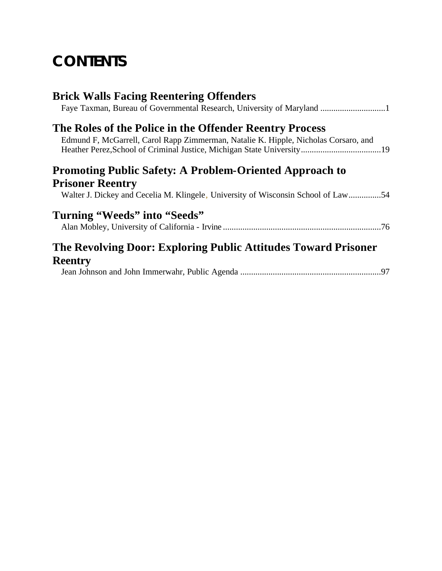## **CONTENTS**

| <b>Brick Walls Facing Reentering Offenders</b>                                      |
|-------------------------------------------------------------------------------------|
|                                                                                     |
| The Roles of the Police in the Offender Reentry Process                             |
| Edmund F, McGarrell, Carol Rapp Zimmerman, Natalie K. Hipple, Nicholas Corsaro, and |
| <b>Promoting Public Safety: A Problem-Oriented Approach to</b>                      |
| <b>Prisoner Reentry</b>                                                             |
| Walter J. Dickey and Cecelia M. Klingele, University of Wisconsin School of Law54   |
| Turning "Weeds" into "Seeds"                                                        |
|                                                                                     |
| The Revolving Door: Exploring Public Attitudes Toward Prisoner                      |
| <b>Reentry</b>                                                                      |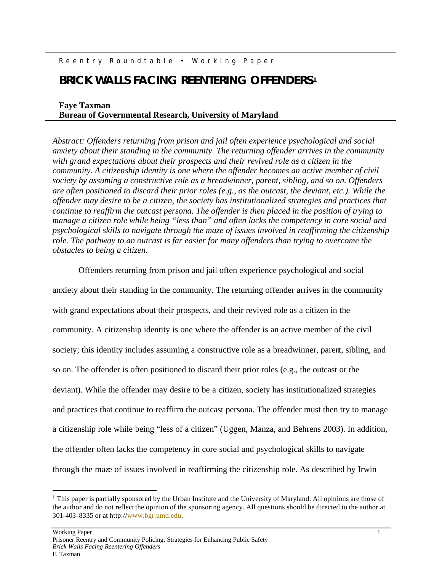#### Reentry Roundtable • Working Paper

### **BRICK WALLS FACING REENTERING OFFENDERS<sup>1</sup>**

#### **Faye Taxman Bureau of Governmental Research, University of Maryland**

*Abstract: Offenders returning from prison and jail often experience psychological and social anxiety about their standing in the community. The returning offender arrives in the community with grand expectations about their prospects and their revived role as a citizen in the community. A citizenship identity is one where the offender becomes an active member of civil society by assuming a constructive role as a breadwinner, parent, sibling, and so on. Offenders are often positioned to discard their prior roles (e.g., as the outcast, the deviant, etc.). While the offender may desire to be a citizen, the society has institutionalized strategies and practices that continue to reaffirm the outcast persona. The offender is then placed in the position of trying to manage a citizen role while being "less than" and often lacks the competency in core social and psychological skills to navigate through the maze of issues involved in reaffirming the citizenship role. The pathway to an outcast is far easier for many offenders than trying to overcome the obstacles to being a citizen.*

Offenders returning from prison and jail often experience psychological and social anxiety about their standing in the community. The returning offender arrives in the community with grand expectations about their prospects, and their revived role as a citizen in the community. A citizenship identity is one where the offender is an active member of the civil society; this identity includes assuming a constructive role as a breadwinner, parent, sibling, and so on. The offender is often positioned to discard their prior roles (e.g., the outcast or the deviant). While the offender may desire to be a citizen, society has institutionalized strategies and practices that continue to reaffirm the outcast persona. The offender must then try to manage a citizenship role while being "less of a citizen" (Uggen, Manza, and Behrens 2003). In addition, the offender often lacks the competency in core social and psychological skills to navigate through the maze of issues involved in reaffirming the citizenship role. As described by Irwin

 $\overline{a}$ 

 $<sup>1</sup>$  This paper is partially sponsored by the Urban Institute and the University of Maryland. All opinions are those of</sup> the author and do not reflect the opinion of the sponsoring agency. All questions should be directed to the author at 301-403-8335 or at http://www.bgr.umd.edu.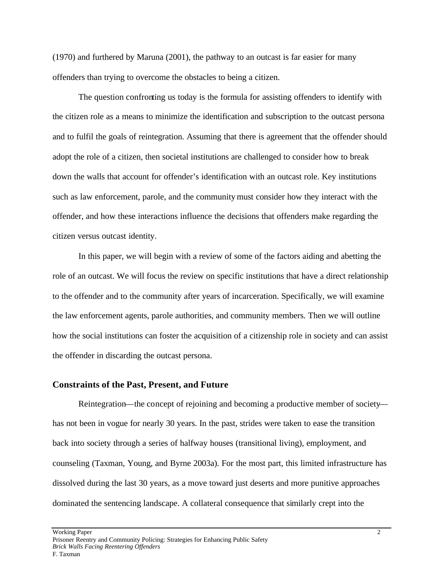(1970) and furthered by Maruna (2001), the pathway to an outcast is far easier for many offenders than trying to overcome the obstacles to being a citizen.

The question confronting us today is the formula for assisting offenders to identify with the citizen role as a means to minimize the identification and subscription to the outcast persona and to fulfil the goals of reintegration. Assuming that there is agreement that the offender should adopt the role of a citizen, then societal institutions are challenged to consider how to break down the walls that account for offender's identification with an outcast role. Key institutions such as law enforcement, parole, and the community must consider how they interact with the offender, and how these interactions influence the decisions that offenders make regarding the citizen versus outcast identity.

In this paper, we will begin with a review of some of the factors aiding and abetting the role of an outcast. We will focus the review on specific institutions that have a direct relationship to the offender and to the community after years of incarceration. Specifically, we will examine the law enforcement agents, parole authorities, and community members. Then we will outline how the social institutions can foster the acquisition of a citizenship role in society and can assist the offender in discarding the outcast persona.

#### **Constraints of the Past, Present, and Future**

Reintegration—the concept of rejoining and becoming a productive member of society has not been in vogue for nearly 30 years. In the past, strides were taken to ease the transition back into society through a series of halfway houses (transitional living), employment, and counseling (Taxman, Young, and Byrne 2003a). For the most part, this limited infrastructure has dissolved during the last 30 years, as a move toward just deserts and more punitive approaches dominated the sentencing landscape. A collateral consequence that similarly crept into the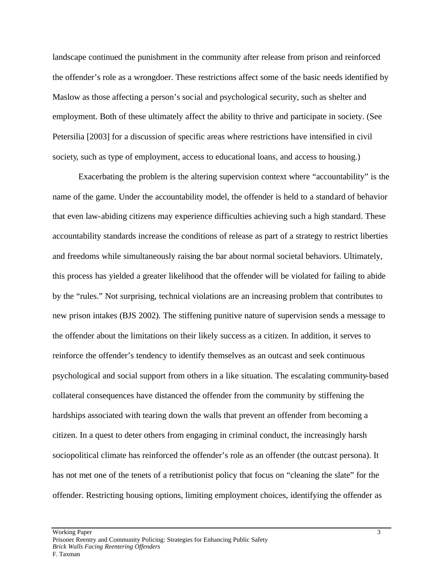landscape continued the punishment in the community after release from prison and reinforced the offender's role as a wrongdoer. These restrictions affect some of the basic needs identified by Maslow as those affecting a person's social and psychological security, such as shelter and employment. Both of these ultimately affect the ability to thrive and participate in society. (See Petersilia [2003] for a discussion of specific areas where restrictions have intensified in civil society, such as type of employment, access to educational loans, and access to housing.)

Exacerbating the problem is the altering supervision context where "accountability" is the name of the game. Under the accountability model, the offender is held to a standard of behavior that even law-abiding citizens may experience difficulties achieving such a high standard. These accountability standards increase the conditions of release as part of a strategy to restrict liberties and freedoms while simultaneously raising the bar about normal societal behaviors. Ultimately, this process has yielded a greater likelihood that the offender will be violated for failing to abide by the "rules." Not surprising, technical violations are an increasing problem that contributes to new prison intakes (BJS 2002). The stiffening punitive nature of supervision sends a message to the offender about the limitations on their likely success as a citizen. In addition, it serves to reinforce the offender's tendency to identify themselves as an outcast and seek continuous psychological and social support from others in a like situation. The escalating community-based collateral consequences have distanced the offender from the community by stiffening the hardships associated with tearing down the walls that prevent an offender from becoming a citizen. In a quest to deter others from engaging in criminal conduct, the increasingly harsh sociopolitical climate has reinforced the offender's role as an offender (the outcast persona). It has not met one of the tenets of a retributionist policy that focus on "cleaning the slate" for the offender. Restricting housing options, limiting employment choices, identifying the offender as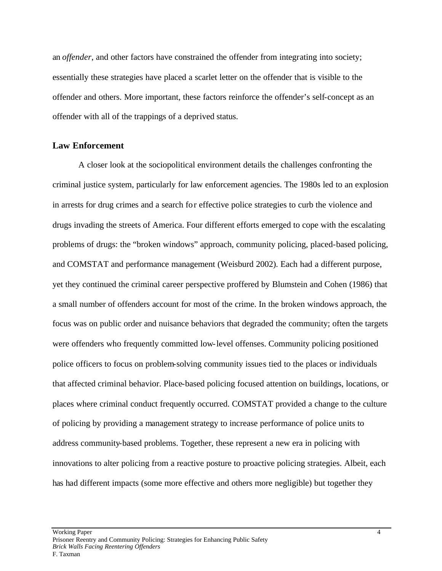an *offender*, and other factors have constrained the offender from integrating into society; essentially these strategies have placed a scarlet letter on the offender that is visible to the offender and others. More important, these factors reinforce the offender's self-concept as an offender with all of the trappings of a deprived status.

#### **Law Enforcement**

A closer look at the sociopolitical environment details the challenges confronting the criminal justice system, particularly for law enforcement agencies. The 1980s led to an explosion in arrests for drug crimes and a search for effective police strategies to curb the violence and drugs invading the streets of America. Four different efforts emerged to cope with the escalating problems of drugs: the "broken windows" approach, community policing, placed-based policing, and COMSTAT and performance management (Weisburd 2002). Each had a different purpose, yet they continued the criminal career perspective proffered by Blumstein and Cohen (1986) that a small number of offenders account for most of the crime. In the broken windows approach, the focus was on public order and nuisance behaviors that degraded the community; often the targets were offenders who frequently committed low-level offenses. Community policing positioned police officers to focus on problem-solving community issues tied to the places or individuals that affected criminal behavior. Place-based policing focused attention on buildings, locations, or places where criminal conduct frequently occurred. COMSTAT provided a change to the culture of policing by providing a management strategy to increase performance of police units to address community-based problems. Together, these represent a new era in policing with innovations to alter policing from a reactive posture to proactive policing strategies. Albeit, each has had different impacts (some more effective and others more negligible) but together they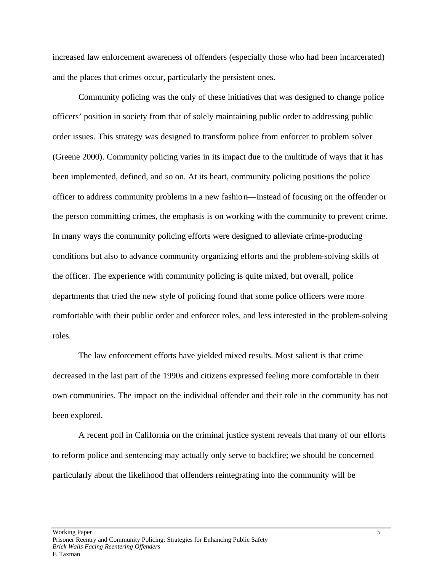increased law enforcement awareness of offenders (especially those who had been incarcerated) and the places that crimes occur, particularly the persistent ones.

Community policing was the only of these initiatives that was designed to change police officers' position in society from that of solely maintaining public order to addressing public order issues. This strategy was designed to transform police from enforcer to problem solver (Greene 2000). Community policing varies in its impact due to the multitude of ways that it has been implemented, defined, and so on. At its heart, community policing positions the police officer to address community problems in a new fashion—instead of focusing on the offender or the person committing crimes, the emphasis is on working with the community to prevent crime. In many ways the community policing efforts were designed to alleviate crime-producing conditions but also to advance community organizing efforts and the problem-solving skills of the officer. The experience with community policing is quite mixed, but overall, police departments that tried the new style of policing found that some police officers were more comfortable with their public order and enforcer roles, and less interested in the problem-solving roles.

The law enforcement efforts have yielded mixed results. Most salient is that crime decreased in the last part of the 1990s and citizens expressed feeling more comfortable in their own communities. The impact on the individual offender and their role in the community has not been explored.

A recent poll in California on the criminal justice system reveals that many of our efforts to reform police and sentencing may actually only serve to backfire; we should be concerned particularly about the likelihood that offenders reintegrating into the community will be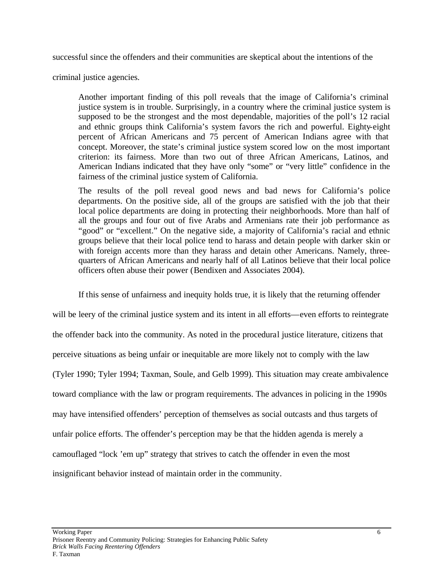successful since the offenders and their communities are skeptical about the intentions of the

criminal justice agencies.

Another important finding of this poll reveals that the image of California's criminal justice system is in trouble. Surprisingly, in a country where the criminal justice system is supposed to be the strongest and the most dependable, majorities of the poll's 12 racial and ethnic groups think California's system favors the rich and powerful. Eighty-eight percent of African Americans and 75 percent of American Indians agree with that concept. Moreover, the state's criminal justice system scored low on the most important criterion: its fairness. More than two out of three African Americans, Latinos, and American Indians indicated that they have only "some" or "very little" confidence in the fairness of the criminal justice system of California.

The results of the poll reveal good news and bad news for California's police departments. On the positive side, all of the groups are satisfied with the job that their local police departments are doing in protecting their neighborhoods. More than half of all the groups and four out of five Arabs and Armenians rate their job performance as "good" or "excellent." On the negative side, a majority of California's racial and ethnic groups believe that their local police tend to harass and detain people with darker skin or with foreign accents more than they harass and detain other Americans. Namely, threequarters of African Americans and nearly half of all Latinos believe that their local police officers often abuse their power (Bendixen and Associates 2004).

If this sense of unfairness and inequity holds true, it is likely that the returning offender

will be leery of the criminal justice system and its intent in all efforts—even efforts to reintegrate the offender back into the community. As noted in the procedural justice literature, citizens that perceive situations as being unfair or inequitable are more likely not to comply with the law (Tyler 1990; Tyler 1994; Taxman, Soule, and Gelb 1999). This situation may create ambivalence toward compliance with the law or program requirements. The advances in policing in the 1990s may have intensified offenders' perception of themselves as social outcasts and thus targets of unfair police efforts. The offender's perception may be that the hidden agenda is merely a camouflaged "lock 'em up" strategy that strives to catch the offender in even the most insignificant behavior instead of maintain order in the community.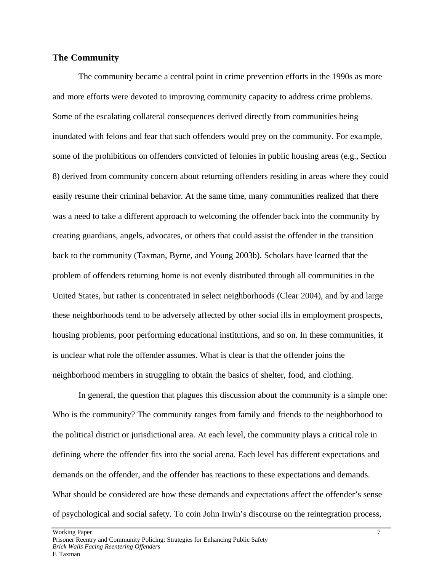#### **The Community**

The community became a central point in crime prevention efforts in the 1990s as more and more efforts were devoted to improving community capacity to address crime problems. Some of the escalating collateral consequences derived directly from communities being inundated with felons and fear that such offenders would prey on the community. For example, some of the prohibitions on offenders convicted of felonies in public housing areas (e.g., Section 8) derived from community concern about returning offenders residing in areas where they could easily resume their criminal behavior. At the same time, many communities realized that there was a need to take a different approach to welcoming the offender back into the community by creating guardians, angels, advocates, or others that could assist the offender in the transition back to the community (Taxman, Byrne, and Young 2003b). Scholars have learned that the problem of offenders returning home is not evenly distributed through all communities in the United States, but rather is concentrated in select neighborhoods (Clear 2004), and by and large these neighborhoods tend to be adversely affected by other social ills in employment prospects, housing problems, poor performing educational institutions, and so on. In these communities, it is unclear what role the offender assumes. What is clear is that the offender joins the neighborhood members in struggling to obtain the basics of shelter, food, and clothing.

In general, the question that plagues this discussion about the community is a simple one: Who is the community? The community ranges from family and friends to the neighborhood to the political district or jurisdictional area. At each level, the community plays a critical role in defining where the offender fits into the social arena. Each level has different expectations and demands on the offender, and the offender has reactions to these expectations and demands. What should be considered are how these demands and expectations affect the offender's sense of psychological and social safety. To coin John Irwin's discourse on the reintegration process,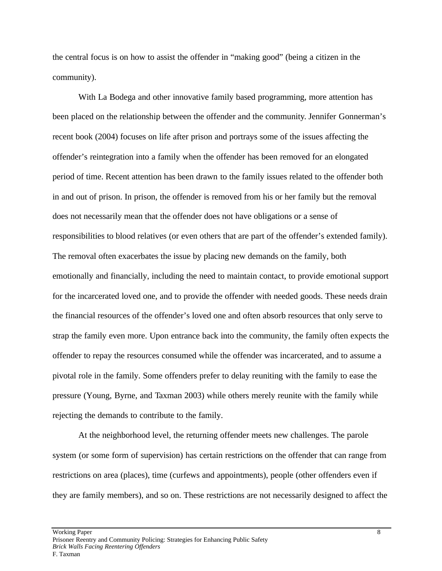the central focus is on how to assist the offender in "making good" (being a citizen in the community).

With La Bodega and other innovative family based programming, more attention has been placed on the relationship between the offender and the community. Jennifer Gonnerman's recent book (2004) focuses on life after prison and portrays some of the issues affecting the offender's reintegration into a family when the offender has been removed for an elongated period of time. Recent attention has been drawn to the family issues related to the offender both in and out of prison. In prison, the offender is removed from his or her family but the removal does not necessarily mean that the offender does not have obligations or a sense of responsibilities to blood relatives (or even others that are part of the offender's extended family). The removal often exacerbates the issue by placing new demands on the family, both emotionally and financially, including the need to maintain contact, to provide emotional support for the incarcerated loved one, and to provide the offender with needed goods. These needs drain the financial resources of the offender's loved one and often absorb resources that only serve to strap the family even more. Upon entrance back into the community, the family often expects the offender to repay the resources consumed while the offender was incarcerated, and to assume a pivotal role in the family. Some offenders prefer to delay reuniting with the family to ease the pressure (Young, Byrne, and Taxman 2003) while others merely reunite with the family while rejecting the demands to contribute to the family.

At the neighborhood level, the returning offender meets new challenges. The parole system (or some form of supervision) has certain restrictions on the offender that can range from restrictions on area (places), time (curfews and appointments), people (other offenders even if they are family members), and so on. These restrictions are not necessarily designed to affect the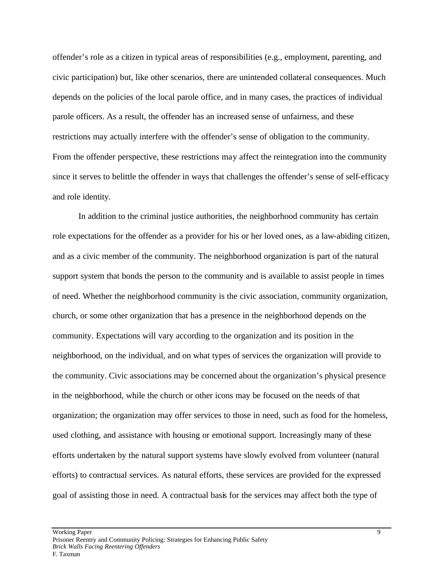offender's role as a citizen in typical areas of responsibilities (e.g., employment, parenting, and civic participation) but, like other scenarios, there are unintended collateral consequences. Much depends on the policies of the local parole office, and in many cases, the practices of individual parole officers. As a result, the offender has an increased sense of unfairness, and these restrictions may actually interfere with the offender's sense of obligation to the community. From the offender perspective, these restrictions may affect the reintegration into the community since it serves to belittle the offender in ways that challenges the offender's sense of self-efficacy and role identity.

In addition to the criminal justice authorities, the neighborhood community has certain role expectations for the offender as a provider for his or her loved ones, as a law-abiding citizen, and as a civic member of the community. The neighborhood organization is part of the natural support system that bonds the person to the community and is available to assist people in times of need. Whether the neighborhood community is the civic association, community organization, church, or some other organization that has a presence in the neighborhood depends on the community. Expectations will vary according to the organization and its position in the neighborhood, on the individual, and on what types of services the organization will provide to the community. Civic associations may be concerned about the organization's physical presence in the neighborhood, while the church or other icons may be focused on the needs of that organization; the organization may offer services to those in need, such as food for the homeless, used clothing, and assistance with housing or emotional support. Increasingly many of these efforts undertaken by the natural support systems have slowly evolved from volunteer (natural efforts) to contractual services. As natural efforts, these services are provided for the expressed goal of assisting those in need. A contractual basis for the services may affect both the type of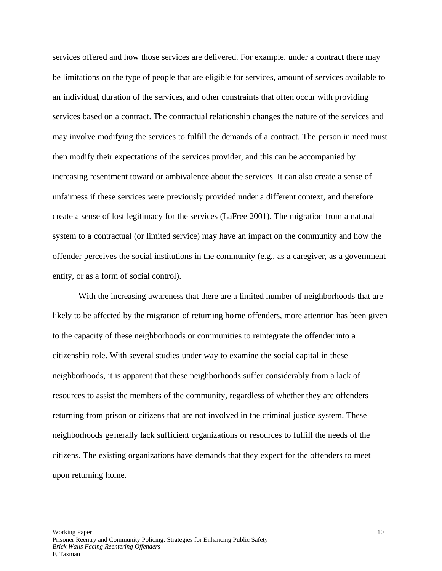services offered and how those services are delivered. For example, under a contract there may be limitations on the type of people that are eligible for services, amount of services available to an individual, duration of the services, and other constraints that often occur with providing services based on a contract. The contractual relationship changes the nature of the services and may involve modifying the services to fulfill the demands of a contract. The person in need must then modify their expectations of the services provider, and this can be accompanied by increasing resentment toward or ambivalence about the services. It can also create a sense of unfairness if these services were previously provided under a different context, and therefore create a sense of lost legitimacy for the services (LaFree 2001). The migration from a natural system to a contractual (or limited service) may have an impact on the community and how the offender perceives the social institutions in the community (e.g., as a caregiver, as a government entity, or as a form of social control).

With the increasing awareness that there are a limited number of neighborhoods that are likely to be affected by the migration of returning home offenders, more attention has been given to the capacity of these neighborhoods or communities to reintegrate the offender into a citizenship role. With several studies under way to examine the social capital in these neighborhoods, it is apparent that these neighborhoods suffer considerably from a lack of resources to assist the members of the community, regardless of whether they are offenders returning from prison or citizens that are not involved in the criminal justice system. These neighborhoods generally lack sufficient organizations or resources to fulfill the needs of the citizens. The existing organizations have demands that they expect for the offenders to meet upon returning home.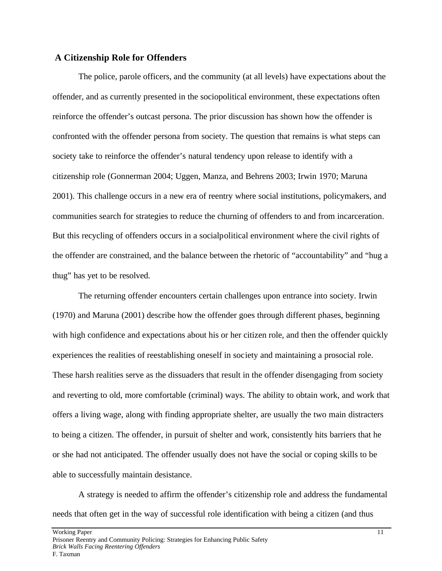#### **A Citizenship Role for Offenders**

The police, parole officers, and the community (at all levels) have expectations about the offender, and as currently presented in the sociopolitical environment, these expectations often reinforce the offender's outcast persona. The prior discussion has shown how the offender is confronted with the offender persona from society. The question that remains is what steps can society take to reinforce the offender's natural tendency upon release to identify with a citizenship role (Gonnerman 2004; Uggen, Manza, and Behrens 2003; Irwin 1970; Maruna 2001). This challenge occurs in a new era of reentry where social institutions, policymakers, and communities search for strategies to reduce the churning of offenders to and from incarceration. But this recycling of offenders occurs in a socialpolitical environment where the civil rights of the offender are constrained, and the balance between the rhetoric of "accountability" and "hug a thug" has yet to be resolved.

The returning offender encounters certain challenges upon entrance into society. Irwin (1970) and Maruna (2001) describe how the offender goes through different phases, beginning with high confidence and expectations about his or her citizen role, and then the offender quickly experiences the realities of reestablishing oneself in society and maintaining a prosocial role. These harsh realities serve as the dissuaders that result in the offender disengaging from society and reverting to old, more comfortable (criminal) ways. The ability to obtain work, and work that offers a living wage, along with finding appropriate shelter, are usually the two main distracters to being a citizen. The offender, in pursuit of shelter and work, consistently hits barriers that he or she had not anticipated. The offender usually does not have the social or coping skills to be able to successfully maintain desistance.

A strategy is needed to affirm the offender's citizenship role and address the fundamental needs that often get in the way of successful role identification with being a citizen (and thus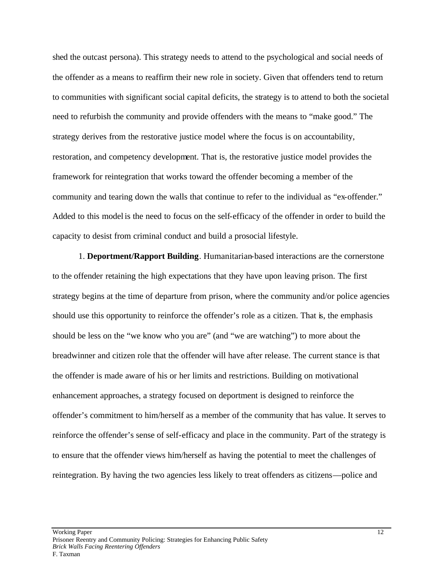shed the outcast persona). This strategy needs to attend to the psychological and social needs of the offender as a means to reaffirm their new role in society. Given that offenders tend to return to communities with significant social capital deficits, the strategy is to attend to both the societal need to refurbish the community and provide offenders with the means to "make good." The strategy derives from the restorative justice model where the focus is on accountability, restoration, and competency development. That is, the restorative justice model provides the framework for reintegration that works toward the offender becoming a member of the community and tearing down the walls that continue to refer to the individual as "ex-offender." Added to this model is the need to focus on the self-efficacy of the offender in order to build the capacity to desist from criminal conduct and build a prosocial lifestyle.

1. **Deportment/Rapport Building**. Humanitarian-based interactions are the cornerstone to the offender retaining the high expectations that they have upon leaving prison. The first strategy begins at the time of departure from prison, where the community and/or police agencies should use this opportunity to reinforce the offender's role as a citizen. That is, the emphasis should be less on the "we know who you are" (and "we are watching") to more about the breadwinner and citizen role that the offender will have after release. The current stance is that the offender is made aware of his or her limits and restrictions. Building on motivational enhancement approaches, a strategy focused on deportment is designed to reinforce the offender's commitment to him/herself as a member of the community that has value. It serves to reinforce the offender's sense of self-efficacy and place in the community. Part of the strategy is to ensure that the offender views him/herself as having the potential to meet the challenges of reintegration. By having the two agencies less likely to treat offenders as citizens—police and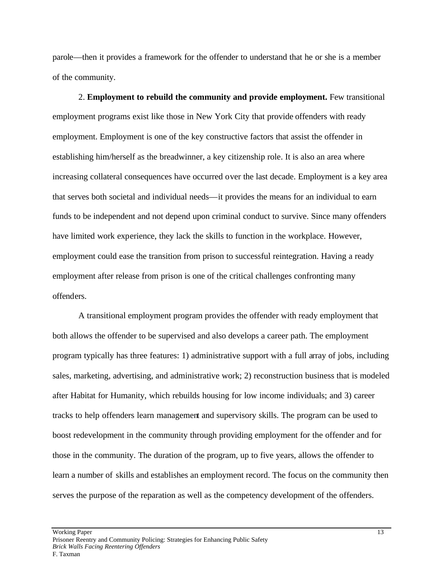parole—then it provides a framework for the offender to understand that he or she is a member of the community.

2. **Employment to rebuild the community and provide employment.** Few transitional employment programs exist like those in New York City that provide offenders with ready employment. Employment is one of the key constructive factors that assist the offender in establishing him/herself as the breadwinner, a key citizenship role. It is also an area where increasing collateral consequences have occurred over the last decade. Employment is a key area that serves both societal and individual needs—it provides the means for an individual to earn funds to be independent and not depend upon criminal conduct to survive. Since many offenders have limited work experience, they lack the skills to function in the workplace. However, employment could ease the transition from prison to successful reintegration. Having a ready employment after release from prison is one of the critical challenges confronting many offenders.

A transitional employment program provides the offender with ready employment that both allows the offender to be supervised and also develops a career path. The employment program typically has three features: 1) administrative support with a full array of jobs, including sales, marketing, advertising, and administrative work; 2) reconstruction business that is modeled after Habitat for Humanity, which rebuilds housing for low income individuals; and 3) career tracks to help offenders learn management and supervisory skills. The program can be used to boost redevelopment in the community through providing employment for the offender and for those in the community. The duration of the program, up to five years, allows the offender to learn a number of skills and establishes an employment record. The focus on the community then serves the purpose of the reparation as well as the competency development of the offenders.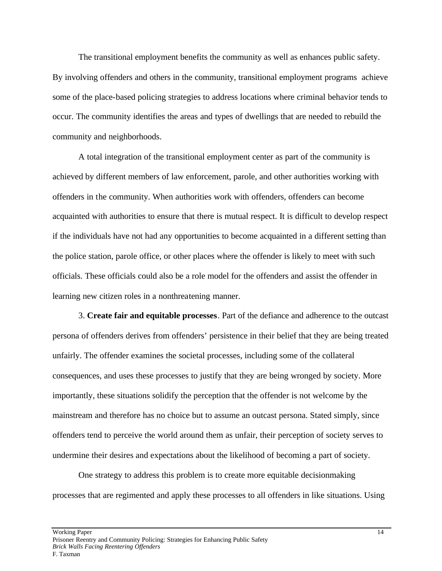The transitional employment benefits the community as well as enhances public safety. By involving offenders and others in the community, transitional employment programs achieve some of the place-based policing strategies to address locations where criminal behavior tends to occur. The community identifies the areas and types of dwellings that are needed to rebuild the community and neighborhoods.

A total integration of the transitional employment center as part of the community is achieved by different members of law enforcement, parole, and other authorities working with offenders in the community. When authorities work with offenders, offenders can become acquainted with authorities to ensure that there is mutual respect. It is difficult to develop respect if the individuals have not had any opportunities to become acquainted in a different setting than the police station, parole office, or other places where the offender is likely to meet with such officials. These officials could also be a role model for the offenders and assist the offender in learning new citizen roles in a nonthreatening manner.

3. **Create fair and equitable processes**. Part of the defiance and adherence to the outcast persona of offenders derives from offenders' persistence in their belief that they are being treated unfairly. The offender examines the societal processes, including some of the collateral consequences, and uses these processes to justify that they are being wronged by society. More importantly, these situations solidify the perception that the offender is not welcome by the mainstream and therefore has no choice but to assume an outcast persona. Stated simply, since offenders tend to perceive the world around them as unfair, their perception of society serves to undermine their desires and expectations about the likelihood of becoming a part of society.

One strategy to address this problem is to create more equitable decisionmaking processes that are regimented and apply these processes to all offenders in like situations. Using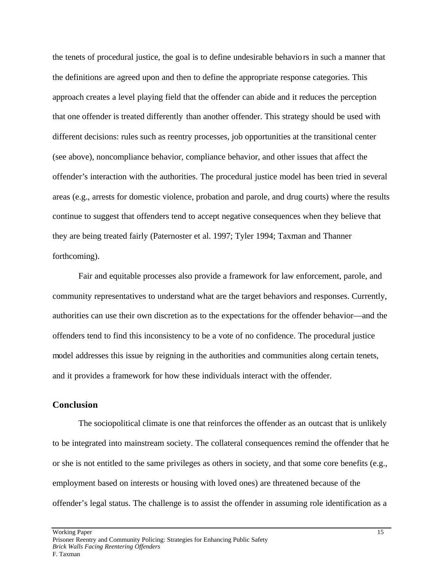the tenets of procedural justice, the goal is to define undesirable behaviors in such a manner that the definitions are agreed upon and then to define the appropriate response categories. This approach creates a level playing field that the offender can abide and it reduces the perception that one offender is treated differently than another offender. This strategy should be used with different decisions: rules such as reentry processes, job opportunities at the transitional center (see above), noncompliance behavior, compliance behavior, and other issues that affect the offender's interaction with the authorities. The procedural justice model has been tried in several areas (e.g., arrests for domestic violence, probation and parole, and drug courts) where the results continue to suggest that offenders tend to accept negative consequences when they believe that they are being treated fairly (Paternoster et al. 1997; Tyler 1994; Taxman and Thanner forthcoming).

Fair and equitable processes also provide a framework for law enforcement, parole, and community representatives to understand what are the target behaviors and responses. Currently, authorities can use their own discretion as to the expectations for the offender behavior—and the offenders tend to find this inconsistency to be a vote of no confidence. The procedural justice model addresses this issue by reigning in the authorities and communities along certain tenets, and it provides a framework for how these individuals interact with the offender.

#### **Conclusion**

The sociopolitical climate is one that reinforces the offender as an outcast that is unlikely to be integrated into mainstream society. The collateral consequences remind the offender that he or she is not entitled to the same privileges as others in society, and that some core benefits (e.g., employment based on interests or housing with loved ones) are threatened because of the offender's legal status. The challenge is to assist the offender in assuming role identification as a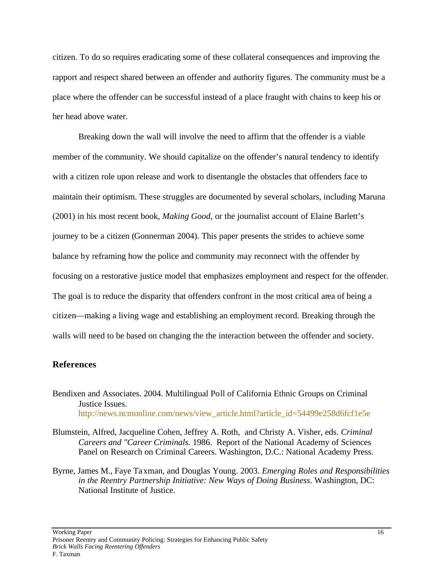citizen. To do so requires eradicating some of these collateral consequences and improving the rapport and respect shared between an offender and authority figures. The community must be a place where the offender can be successful instead of a place fraught with chains to keep his or her head above water.

Breaking down the wall will involve the need to affirm that the offender is a viable member of the community. We should capitalize on the offender's natural tendency to identify with a citizen role upon release and work to disentangle the obstacles that offenders face to maintain their optimism. These struggles are documented by several scholars, including Maruna (2001) in his most recent book, *Making Good,* or the journalist account of Elaine Barlett's journey to be a citizen (Gonnerman 2004). This paper presents the strides to achieve some balance by reframing how the police and community may reconnect with the offender by focusing on a restorative justice model that emphasizes employment and respect for the offender. The goal is to reduce the disparity that offenders confront in the most critical area of being a citizen—making a living wage and establishing an employment record. Breaking through the walls will need to be based on changing the the interaction between the offender and society.

#### **References**

Bendixen and Associates. 2004. Multilingual Poll of California Ethnic Groups on Criminal Justice Issues. http://news.ncmonline.com/news/view\_article.html?article\_id=54499e258d6fcf1e5e

- Blumstein, Alfred, Jacqueline Cohen, Jeffrey A. Roth, and Christy A. Visher, eds. *Criminal Careers and "Career Criminals.* 1986. Report of the National Academy of Sciences Panel on Research on Criminal Careers. Washington, D.C.: National Academy Press.
- Byrne, James M., Faye Taxman, and Douglas Young. 2003. *Emerging Roles and Responsibilities in the Reentry Partnership Initiative: New Ways of Doing Business*. Washington, DC: National Institute of Justice.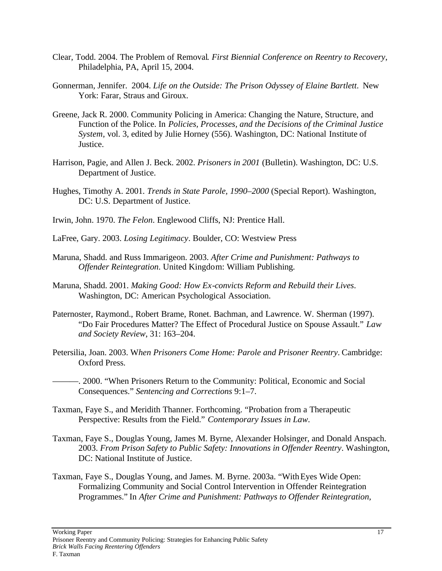- Clear, Todd. 2004. The Problem of Removal*. First Biennial Conference on Reentry to Recovery*, Philadelphia, PA, April 15, 2004.
- Gonnerman, Jennifer. 2004. *Life on the Outside: The Prison Odyssey of Elaine Bartlett*. New York: Farar, Straus and Giroux.
- Greene, Jack R. 2000. Community Policing in America: Changing the Nature, Structure, and Function of the Police. In *Policies, Processes, and the Decisions of the Criminal Justice System,* vol. 3, edited by Julie Horney (556). Washington, DC: National Institute of Justice.
- Harrison, Pagie, and Allen J. Beck. 2002. *Prisoners in 2001* (Bulletin). Washington, DC: U.S. Department of Justice.
- Hughes, Timothy A. 2001. *Trends in State Parole, 1990–2000* (Special Report). Washington, DC: U.S. Department of Justice.
- Irwin, John. 1970. *The Felon*. Englewood Cliffs, NJ: Prentice Hall.
- LaFree, Gary. 2003. *Losing Legitimacy*. Boulder, CO: Westview Press
- Maruna, Shadd. and Russ Immarigeon. 2003. *After Crime and Punishment: Pathways to Offender Reintegration*. United Kingdom: William Publishing.
- Maruna, Shadd. 2001. *Making Good: How Ex-convicts Reform and Rebuild their Lives*. Washington, DC: American Psychological Association.
- Paternoster, Raymond., Robert Brame, Ronet. Bachman, and Lawrence. W. Sherman (1997). "Do Fair Procedures Matter? The Effect of Procedural Justice on Spouse Assault." *Law and Society Review*, 31: 163–204.
- Petersilia, Joan. 2003. W*hen Prisoners Come Home: Parole and Prisoner Reentry*. Cambridge: Oxford Press.
- ———. 2000. "When Prisoners Return to the Community: Political, Economic and Social Consequences." *Sentencing and Corrections* 9:1–7.
- Taxman, Faye S., and Meridith Thanner. Forthcoming. "Probation from a Therapeutic Perspective: Results from the Field." *Contemporary Issues in Law*.
- Taxman, Faye S., Douglas Young, James M. Byrne, Alexander Holsinger, and Donald Anspach. 2003. *From Prison Safety to Public Safety: Innovations in Offender Reentry*. Washington, DC: National Institute of Justice.
- Taxman, Faye S., Douglas Young, and James. M. Byrne. 2003a. "With Eyes Wide Open: Formalizing Community and Social Control Intervention in Offender Reintegration Programmes." In *After Crime and Punishment: Pathways to Offender Reintegration,*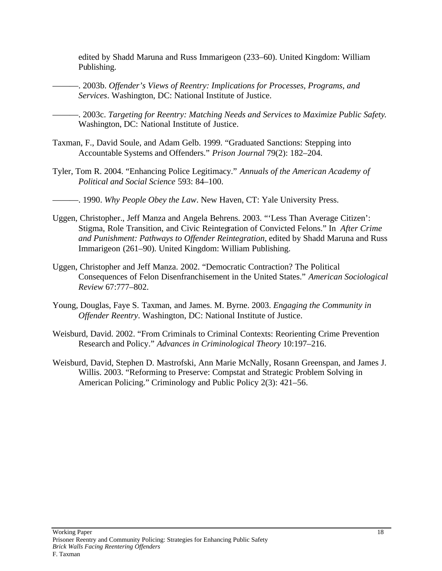edited by Shadd Maruna and Russ Immarigeon (233–60). United Kingdom: William Publishing.

———. 2003b. *Offender's Views of Reentry: Implications for Processes, Programs, and Services*. Washington, DC: National Institute of Justice.

———. 2003c. *Targeting for Reentry: Matching Needs and Services to Maximize Public Safety*. Washington, DC: National Institute of Justice.

- Taxman, F., David Soule, and Adam Gelb. 1999. "Graduated Sanctions: Stepping into Accountable Systems and Offenders." *Prison Journal* 79(2): 182–204.
- Tyler, Tom R. 2004. "Enhancing Police Legitimacy." *Annuals of the American Academy of Political and Social Science* 593: 84–100.
- ———. 1990. *Why People Obey the Law*. New Haven, CT: Yale University Press.
- Uggen, Christopher., Jeff Manza and Angela Behrens. 2003. "'Less Than Average Citizen': Stigma, Role Transition, and Civic Reintegration of Convicted Felons." In *After Crime and Punishment: Pathways to Offender Reintegration*, edited by Shadd Maruna and Russ Immarigeon (261–90). United Kingdom: William Publishing.
- Uggen, Christopher and Jeff Manza. 2002. "Democratic Contraction? The Political Consequences of Felon Disenfranchisement in the United States." *American Sociological Review* 67:777–802.
- Young, Douglas, Faye S. Taxman, and James. M. Byrne. 2003. *Engaging the Community in Offender Reentry*. Washington, DC: National Institute of Justice.
- Weisburd, David. 2002. "From Criminals to Criminal Contexts: Reorienting Crime Prevention Research and Policy." *Advances in Criminological Theory* 10:197–216.
- Weisburd, David, Stephen D. Mastrofski, Ann Marie McNally, Rosann Greenspan, and James J. Willis. 2003. "Reforming to Preserve: Compstat and Strategic Problem Solving in American Policing." Criminology and Public Policy 2(3): 421–56.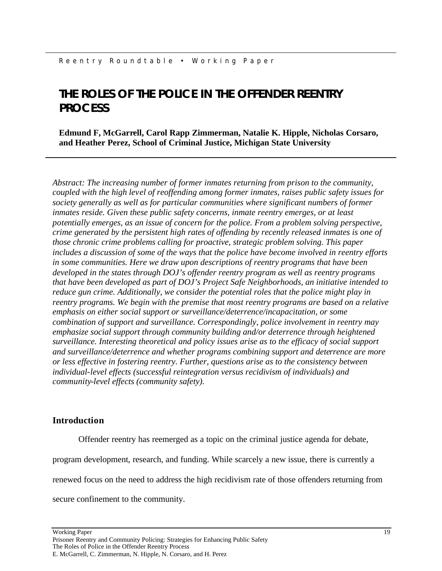## **THE ROLES OF THE POLICE IN THE OFFENDER REENTRY PROCESS**

**Edmund F, McGarrell, Carol Rapp Zimmerman, Natalie K. Hipple, Nicholas Corsaro, and Heather Perez, School of Criminal Justice, Michigan State University**

*Abstract: The increasing number of former inmates returning from prison to the community, coupled with the high level of reoffending among former inmates, raises public safety issues for society generally as well as for particular communities where significant numbers of former inmates reside. Given these public safety concerns, inmate reentry emerges, or at least potentially emerges, as an issue of concern for the police. From a problem solving perspective, crime generated by the persistent high rates of offending by recently released inmates is one of those chronic crime problems calling for proactive, strategic problem solving. This paper includes a discussion of some of the ways that the police have become involved in reentry efforts in some communities. Here we draw upon descriptions of reentry programs that have been developed in the states through DOJ's offender reentry program as well as reentry programs that have been developed as part of DOJ's Project Safe Neighborhoods, an initiative intended to reduce gun crime. Additionally, we consider the potential roles that the police might play in reentry programs. We begin with the premise that most reentry programs are based on a relative emphasis on either social support or surveillance/deterrence/incapacitation, or some combination of support and surveillance. Correspondingly, police involvement in reentry may emphasize social support through community building and/or deterrence through heightened surveillance. Interesting theoretical and policy issues arise as to the efficacy of social support and surveillance/deterrence and whether programs combining support and deterrence are more or less effective in fostering reentry. Further, questions arise as to the consistency between individual-level effects (successful reintegration versus recidivism of individuals) and community-level effects (community safety).* 

#### **Introduction**

Offender reentry has reemerged as a topic on the criminal justice agenda for debate,

program development, research, and funding. While scarcely a new issue, there is currently a

renewed focus on the need to address the high recidivism rate of those offenders returning from

secure confinement to the community.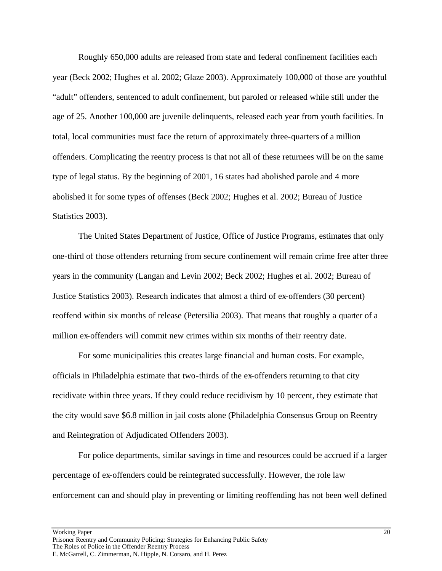Roughly 650,000 adults are released from state and federal confinement facilities each year (Beck 2002; Hughes et al. 2002; Glaze 2003). Approximately 100,000 of those are youthful "adult" offenders, sentenced to adult confinement, but paroled or released while still under the age of 25. Another 100,000 are juvenile delinquents, released each year from youth facilities. In total, local communities must face the return of approximately three-quarters of a million offenders. Complicating the reentry process is that not all of these returnees will be on the same type of legal status. By the beginning of 2001, 16 states had abolished parole and 4 more abolished it for some types of offenses (Beck 2002; Hughes et al. 2002; Bureau of Justice Statistics 2003).

The United States Department of Justice, Office of Justice Programs, estimates that only one-third of those offenders returning from secure confinement will remain crime free after three years in the community (Langan and Levin 2002; Beck 2002; Hughes et al. 2002; Bureau of Justice Statistics 2003). Research indicates that almost a third of ex-offenders (30 percent) reoffend within six months of release (Petersilia 2003). That means that roughly a quarter of a million ex-offenders will commit new crimes within six months of their reentry date.

For some municipalities this creates large financial and human costs. For example, officials in Philadelphia estimate that two-thirds of the ex-offenders returning to that city recidivate within three years. If they could reduce recidivism by 10 percent, they estimate that the city would save \$6.8 million in jail costs alone (Philadelphia Consensus Group on Reentry and Reintegration of Adjudicated Offenders 2003).

For police departments, similar savings in time and resources could be accrued if a larger percentage of ex-offenders could be reintegrated successfully. However, the role law enforcement can and should play in preventing or limiting reoffending has not been well defined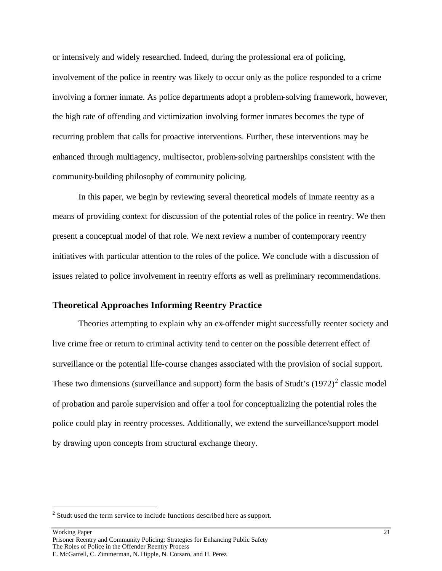or intensively and widely researched. Indeed, during the professional era of policing, involvement of the police in reentry was likely to occur only as the police responded to a crime involving a former inmate. As police departments adopt a problem-solving framework, however, the high rate of offending and victimization involving former inmates becomes the type of recurring problem that calls for proactive interventions. Further, these interventions may be enhanced through multiagency, multisector, problem-solving partnerships consistent with the community-building philosophy of community policing.

In this paper, we begin by reviewing several theoretical models of inmate reentry as a means of providing context for discussion of the potential roles of the police in reentry. We then present a conceptual model of that role. We next review a number of contemporary reentry initiatives with particular attention to the roles of the police. We conclude with a discussion of issues related to police involvement in reentry efforts as well as preliminary recommendations.

#### **Theoretical Approaches Informing Reentry Practice**

Theories attempting to explain why an ex-offender might successfully reenter society and live crime free or return to criminal activity tend to center on the possible deterrent effect of surveillance or the potential life-course changes associated with the provision of social support. These two dimensions (surveillance and support) form the basis of Studt's  $(1972)^2$  classic model of probation and parole supervision and offer a tool for conceptualizing the potential roles the police could play in reentry processes. Additionally, we extend the surveillance/support model by drawing upon concepts from structural exchange theory.

 $\overline{a}$ 

 $2^{2}$  Studt used the term service to include functions described here as support.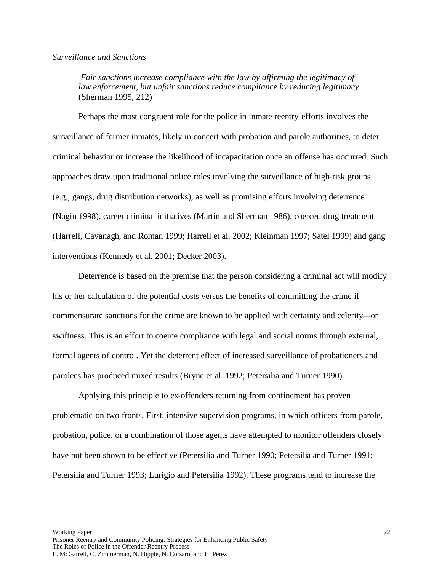#### *Surveillance and Sanctions*

 *Fair sanctions increase compliance with the law by affirming the legitimacy of law enforcement, but unfair sanctions reduce compliance by reducing legitimacy*  (Sherman 1995, 212)

Perhaps the most congruent role for the police in inmate reentry efforts involves the surveillance of former inmates, likely in concert with probation and parole authorities, to deter criminal behavior or increase the likelihood of incapacitation once an offense has occurred. Such approaches draw upon traditional police roles involving the surveillance of high-risk groups (e.g., gangs, drug distribution networks), as well as promising efforts involving deterrence (Nagin 1998), career criminal initiatives (Martin and Sherman 1986), coerced drug treatment (Harrell, Cavanagh, and Roman 1999; Harrell et al. 2002; Kleinman 1997; Satel 1999) and gang interventions (Kennedy et al. 2001; Decker 2003).

Deterrence is based on the premise that the person considering a criminal act will modify his or her calculation of the potential costs versus the benefits of committing the crime if commensurate sanctions for the crime are known to be applied with certainty and celerity—or swiftness. This is an effort to coerce compliance with legal and social norms through external, formal agents of control. Yet the deterrent effect of increased surveillance of probationers and parolees has produced mixed results (Bryne et al. 1992; Petersilia and Turner 1990).

Applying this principle to ex-offenders returning from confinement has proven problematic on two fronts. First, intensive supervision programs, in which officers from parole, probation, police, or a combination of those agents have attempted to monitor offenders closely have not been shown to be effective (Petersilia and Turner 1990; Petersilia and Turner 1991; Petersilia and Turner 1993; Lurigio and Petersilia 1992). These programs tend to increase the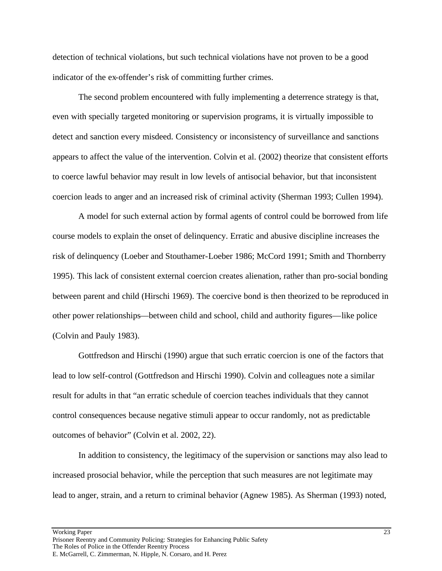detection of technical violations, but such technical violations have not proven to be a good indicator of the ex-offender's risk of committing further crimes.

The second problem encountered with fully implementing a deterrence strategy is that, even with specially targeted monitoring or supervision programs, it is virtually impossible to detect and sanction every misdeed. Consistency or inconsistency of surveillance and sanctions appears to affect the value of the intervention. Colvin et al. (2002) theorize that consistent efforts to coerce lawful behavior may result in low levels of antisocial behavior, but that inconsistent coercion leads to anger and an increased risk of criminal activity (Sherman 1993; Cullen 1994).

A model for such external action by formal agents of control could be borrowed from life course models to explain the onset of delinquency. Erratic and abusive discipline increases the risk of delinquency (Loeber and Stouthamer-Loeber 1986; McCord 1991; Smith and Thornberry 1995). This lack of consistent external coercion creates alienation, rather than pro-social bonding between parent and child (Hirschi 1969). The coercive bond is then theorized to be reproduced in other power relationships—between child and school, child and authority figures—like police (Colvin and Pauly 1983).

Gottfredson and Hirschi (1990) argue that such erratic coercion is one of the factors that lead to low self-control (Gottfredson and Hirschi 1990). Colvin and colleagues note a similar result for adults in that "an erratic schedule of coercion teaches individuals that they cannot control consequences because negative stimuli appear to occur randomly, not as predictable outcomes of behavior" (Colvin et al. 2002, 22).

In addition to consistency, the legitimacy of the supervision or sanctions may also lead to increased prosocial behavior, while the perception that such measures are not legitimate may lead to anger, strain, and a return to criminal behavior (Agnew 1985). As Sherman (1993) noted,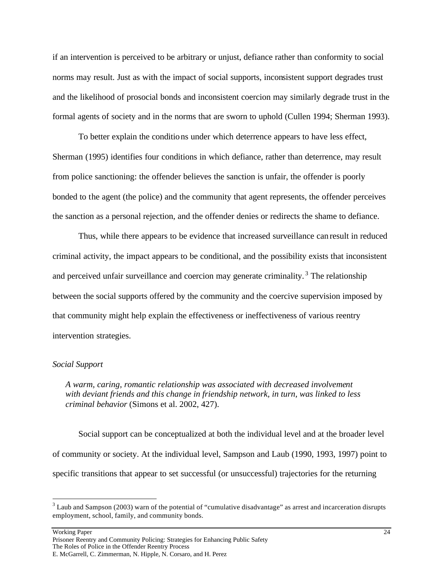if an intervention is perceived to be arbitrary or unjust, defiance rather than conformity to social norms may result. Just as with the impact of social supports, inconsistent support degrades trust and the likelihood of prosocial bonds and inconsistent coercion may similarly degrade trust in the formal agents of society and in the norms that are sworn to uphold (Cullen 1994; Sherman 1993).

To better explain the conditions under which deterrence appears to have less effect, Sherman (1995) identifies four conditions in which defiance, rather than deterrence, may result from police sanctioning: the offender believes the sanction is unfair, the offender is poorly bonded to the agent (the police) and the community that agent represents, the offender perceives the sanction as a personal rejection, and the offender denies or redirects the shame to defiance.

Thus, while there appears to be evidence that increased surveillance can result in reduced criminal activity, the impact appears to be conditional, and the possibility exists that inconsistent and perceived unfair surveillance and coercion may generate criminality.<sup>3</sup> The relationship between the social supports offered by the community and the coercive supervision imposed by that community might help explain the effectiveness or ineffectiveness of various reentry intervention strategies.

#### *Social Support*

*A warm, caring, romantic relationship was associated with decreased involvement with deviant friends and this change in friendship network, in turn, was linked to less criminal behavior* (Simons et al. 2002, 427).

Social support can be conceptualized at both the individual level and at the broader level of community or society. At the individual level, Sampson and Laub (1990, 1993, 1997) point to specific transitions that appear to set successful (or unsuccessful) trajectories for the returning

Working Paper 24

 $\overline{a}$ 

 $3$  Laub and Sampson (2003) warn of the potential of "cumulative disadvantage" as arrest and incarceration disrupts employment, school, family, and community bonds.

Prisoner Reentry and Community Policing: Strategies for Enhancing Public Safety The Roles of Police in the Offender Reentry Process E. McGarrell, C. Zimmerman, N. Hipple, N. Corsaro, and H. Perez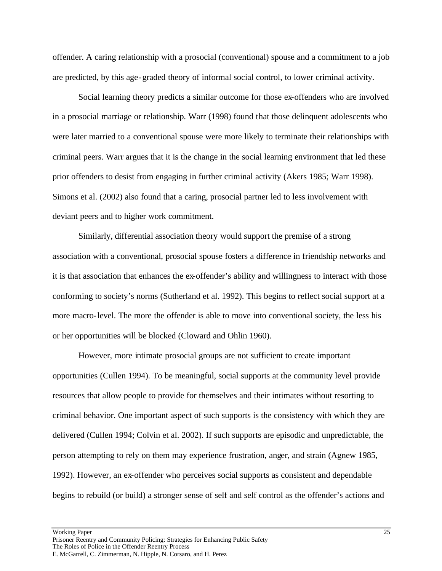offender. A caring relationship with a prosocial (conventional) spouse and a commitment to a job are predicted, by this age-graded theory of informal social control, to lower criminal activity.

Social learning theory predicts a similar outcome for those ex-offenders who are involved in a prosocial marriage or relationship. Warr (1998) found that those delinquent adolescents who were later married to a conventional spouse were more likely to terminate their relationships with criminal peers. Warr argues that it is the change in the social learning environment that led these prior offenders to desist from engaging in further criminal activity (Akers 1985; Warr 1998). Simons et al. (2002) also found that a caring, prosocial partner led to less involvement with deviant peers and to higher work commitment.

Similarly, differential association theory would support the premise of a strong association with a conventional, prosocial spouse fosters a difference in friendship networks and it is that association that enhances the ex-offender's ability and willingness to interact with those conforming to society's norms (Sutherland et al. 1992). This begins to reflect social support at a more macro-level. The more the offender is able to move into conventional society, the less his or her opportunities will be blocked (Cloward and Ohlin 1960).

However, more intimate prosocial groups are not sufficient to create important opportunities (Cullen 1994). To be meaningful, social supports at the community level provide resources that allow people to provide for themselves and their intimates without resorting to criminal behavior. One important aspect of such supports is the consistency with which they are delivered (Cullen 1994; Colvin et al. 2002). If such supports are episodic and unpredictable, the person attempting to rely on them may experience frustration, anger, and strain (Agnew 1985, 1992). However, an ex-offender who perceives social supports as consistent and dependable begins to rebuild (or build) a stronger sense of self and self control as the offender's actions and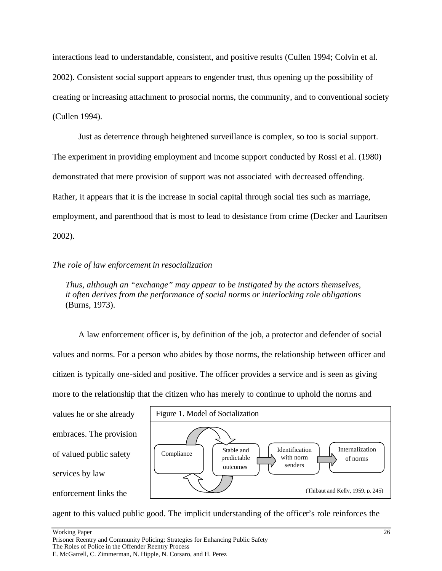interactions lead to understandable, consistent, and positive results (Cullen 1994; Colvin et al. 2002). Consistent social support appears to engender trust, thus opening up the possibility of creating or increasing attachment to prosocial norms, the community, and to conventional society (Cullen 1994).

Just as deterrence through heightened surveillance is complex, so too is social support. The experiment in providing employment and income support conducted by Rossi et al. (1980) demonstrated that mere provision of support was not associated with decreased offending. Rather, it appears that it is the increase in social capital through social ties such as marriage, employment, and parenthood that is most to lead to desistance from crime (Decker and Lauritsen 2002).

#### *The role of law enforcement in resocialization*

*Thus, although an "exchange" may appear to be instigated by the actors themselves, it often derives from the performance of social norms or interlocking role obligations* (Burns, 1973).

A law enforcement officer is, by definition of the job, a protector and defender of social values and norms. For a person who abides by those norms, the relationship between officer and citizen is typically one-sided and positive. The officer provides a service and is seen as giving more to the relationship that the citizen who has merely to continue to uphold the norms and





agent to this valued public good. The implicit understanding of the officer's role reinforces the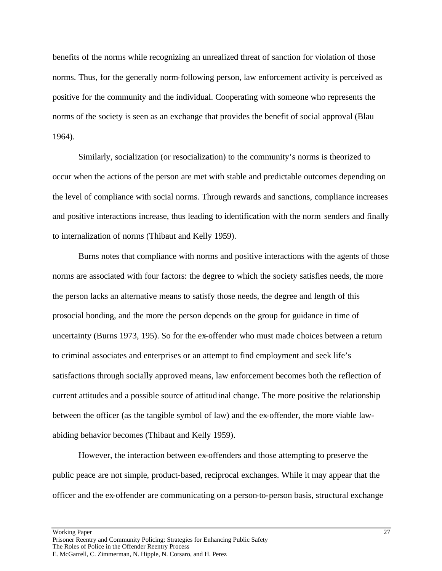benefits of the norms while recognizing an unrealized threat of sanction for violation of those norms. Thus, for the generally norm-following person, law enforcement activity is perceived as positive for the community and the individual. Cooperating with someone who represents the norms of the society is seen as an exchange that provides the benefit of social approval (Blau 1964).

Similarly, socialization (or resocialization) to the community's norms is theorized to occur when the actions of the person are met with stable and predictable outcomes depending on the level of compliance with social norms. Through rewards and sanctions, compliance increases and positive interactions increase, thus leading to identification with the norm senders and finally to internalization of norms (Thibaut and Kelly 1959).

Burns notes that compliance with norms and positive interactions with the agents of those norms are associated with four factors: the degree to which the society satisfies needs, the more the person lacks an alternative means to satisfy those needs, the degree and length of this prosocial bonding, and the more the person depends on the group for guidance in time of uncertainty (Burns 1973, 195). So for the ex-offender who must made choices between a return to criminal associates and enterprises or an attempt to find employment and seek life's satisfactions through socially approved means, law enforcement becomes both the reflection of current attitudes and a possible source of attitudinal change. The more positive the relationship between the officer (as the tangible symbol of law) and the ex-offender, the more viable lawabiding behavior becomes (Thibaut and Kelly 1959).

However, the interaction between ex-offenders and those attempting to preserve the public peace are not simple, product-based, reciprocal exchanges. While it may appear that the officer and the ex-offender are communicating on a person-to-person basis, structural exchange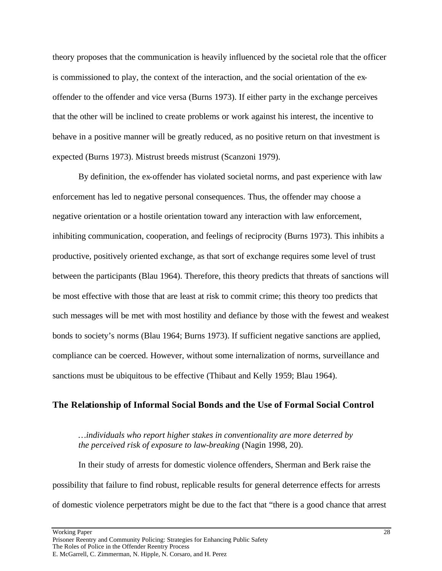theory proposes that the communication is heavily influenced by the societal role that the officer is commissioned to play, the context of the interaction, and the social orientation of the exoffender to the offender and vice versa (Burns 1973). If either party in the exchange perceives that the other will be inclined to create problems or work against his interest, the incentive to behave in a positive manner will be greatly reduced, as no positive return on that investment is expected (Burns 1973). Mistrust breeds mistrust (Scanzoni 1979).

By definition, the ex-offender has violated societal norms, and past experience with law enforcement has led to negative personal consequences. Thus, the offender may choose a negative orientation or a hostile orientation toward any interaction with law enforcement, inhibiting communication, cooperation, and feelings of reciprocity (Burns 1973). This inhibits a productive, positively oriented exchange, as that sort of exchange requires some level of trust between the participants (Blau 1964). Therefore, this theory predicts that threats of sanctions will be most effective with those that are least at risk to commit crime; this theory too predicts that such messages will be met with most hostility and defiance by those with the fewest and weakest bonds to society's norms (Blau 1964; Burns 1973). If sufficient negative sanctions are applied, compliance can be coerced. However, without some internalization of norms, surveillance and sanctions must be ubiquitous to be effective (Thibaut and Kelly 1959; Blau 1964).

#### **The Relationship of Informal Social Bonds and the Use of Formal Social Control**

*…individuals who report higher stakes in conventionality are more deterred by the perceived risk of exposure to law-breaking* (Nagin 1998, 20).

In their study of arrests for domestic violence offenders, Sherman and Berk raise the possibility that failure to find robust, replicable results for general deterrence effects for arrests of domestic violence perpetrators might be due to the fact that "there is a good chance that arrest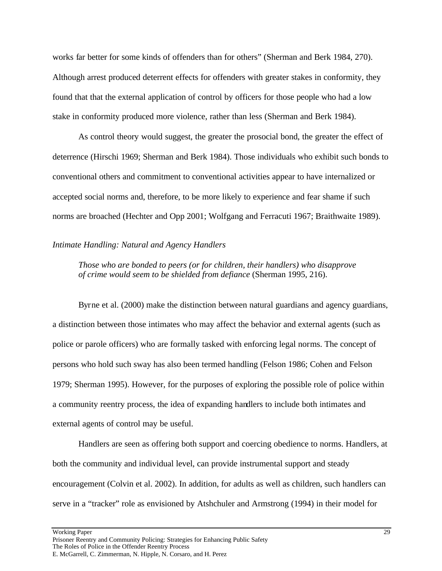works far better for some kinds of offenders than for others" (Sherman and Berk 1984, 270). Although arrest produced deterrent effects for offenders with greater stakes in conformity, they found that that the external application of control by officers for those people who had a low stake in conformity produced more violence, rather than less (Sherman and Berk 1984).

As control theory would suggest, the greater the prosocial bond, the greater the effect of deterrence (Hirschi 1969; Sherman and Berk 1984). Those individuals who exhibit such bonds to conventional others and commitment to conventional activities appear to have internalized or accepted social norms and, therefore, to be more likely to experience and fear shame if such norms are broached (Hechter and Opp 2001; Wolfgang and Ferracuti 1967; Braithwaite 1989).

#### *Intimate Handling: Natural and Agency Handlers*

*Those who are bonded to peers (or for children, their handlers) who disapprove of crime would seem to be shielded from defiance* (Sherman 1995, 216).

Byrne et al. (2000) make the distinction between natural guardians and agency guardians, a distinction between those intimates who may affect the behavior and external agents (such as police or parole officers) who are formally tasked with enforcing legal norms. The concept of persons who hold such sway has also been termed handling (Felson 1986; Cohen and Felson 1979; Sherman 1995). However, for the purposes of exploring the possible role of police within a community reentry process, the idea of expanding handlers to include both intimates and external agents of control may be useful.

Handlers are seen as offering both support and coercing obedience to norms. Handlers, at both the community and individual level, can provide instrumental support and steady encouragement (Colvin et al. 2002). In addition, for adults as well as children, such handlers can serve in a "tracker" role as envisioned by Atshchuler and Armstrong (1994) in their model for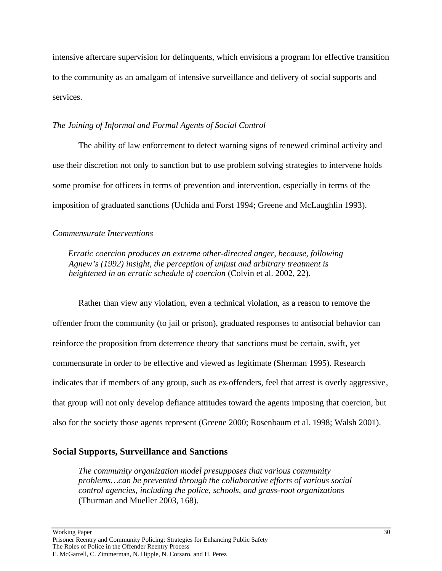intensive aftercare supervision for delinquents, which envisions a program for effective transition to the community as an amalgam of intensive surveillance and delivery of social supports and services.

#### *The Joining of Informal and Formal Agents of Social Control*

The ability of law enforcement to detect warning signs of renewed criminal activity and use their discretion not only to sanction but to use problem solving strategies to intervene holds some promise for officers in terms of prevention and intervention, especially in terms of the imposition of graduated sanctions (Uchida and Forst 1994; Greene and McLaughlin 1993).

#### *Commensurate Interventions*

*Erratic coercion produces an extreme other-directed anger, because, following Agnew's (1992) insight, the perception of unjust and arbitrary treatment is heightened in an erratic schedule of coercion* (Colvin et al. 2002, 22).

Rather than view any violation, even a technical violation, as a reason to remove the offender from the community (to jail or prison), graduated responses to antisocial behavior can reinforce the proposition from deterrence theory that sanctions must be certain, swift, yet commensurate in order to be effective and viewed as legitimate (Sherman 1995). Research indicates that if members of any group, such as ex-offenders, feel that arrest is overly aggressive, that group will not only develop defiance attitudes toward the agents imposing that coercion, but also for the society those agents represent (Greene 2000; Rosenbaum et al. 1998; Walsh 2001).

## **Social Supports, Surveillance and Sanctions**

*The community organization model presupposes that various community problems…can be prevented through the collaborative efforts of various social control agencies, including the police, schools, and grass-root organizations* (Thurman and Mueller 2003, 168).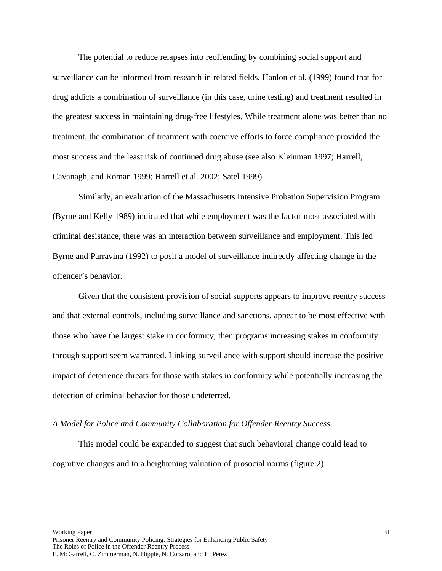The potential to reduce relapses into reoffending by combining social support and surveillance can be informed from research in related fields. Hanlon et al. (1999) found that for drug addicts a combination of surveillance (in this case, urine testing) and treatment resulted in the greatest success in maintaining drug-free lifestyles. While treatment alone was better than no treatment, the combination of treatment with coercive efforts to force compliance provided the most success and the least risk of continued drug abuse (see also Kleinman 1997; Harrell, Cavanagh, and Roman 1999; Harrell et al. 2002; Satel 1999).

Similarly, an evaluation of the Massachusetts Intensive Probation Supervision Program (Byrne and Kelly 1989) indicated that while employment was the factor most associated with criminal desistance, there was an interaction between surveillance and employment. This led Byrne and Parravina (1992) to posit a model of surveillance indirectly affecting change in the offender's behavior.

Given that the consistent provision of social supports appears to improve reentry success and that external controls, including surveillance and sanctions, appear to be most effective with those who have the largest stake in conformity, then programs increasing stakes in conformity through support seem warranted. Linking surveillance with support should increase the positive impact of deterrence threats for those with stakes in conformity while potentially increasing the detection of criminal behavior for those undeterred.

#### *A Model for Police and Community Collaboration for Offender Reentry Success*

This model could be expanded to suggest that such behavioral change could lead to cognitive changes and to a heightening valuation of prosocial norms (figure 2).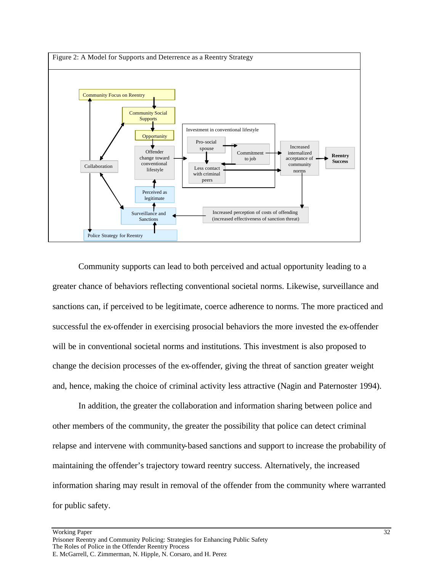

Community supports can lead to both perceived and actual opportunity leading to a greater chance of behaviors reflecting conventional societal norms. Likewise, surveillance and sanctions can, if perceived to be legitimate, coerce adherence to norms. The more practiced and successful the ex-offender in exercising prosocial behaviors the more invested the ex-offender will be in conventional societal norms and institutions. This investment is also proposed to change the decision processes of the ex-offender, giving the threat of sanction greater weight and, hence, making the choice of criminal activity less attractive (Nagin and Paternoster 1994).

In addition, the greater the collaboration and information sharing between police and other members of the community, the greater the possibility that police can detect criminal relapse and intervene with community-based sanctions and support to increase the probability of maintaining the offender's trajectory toward reentry success. Alternatively, the increased information sharing may result in removal of the offender from the community where warranted for public safety.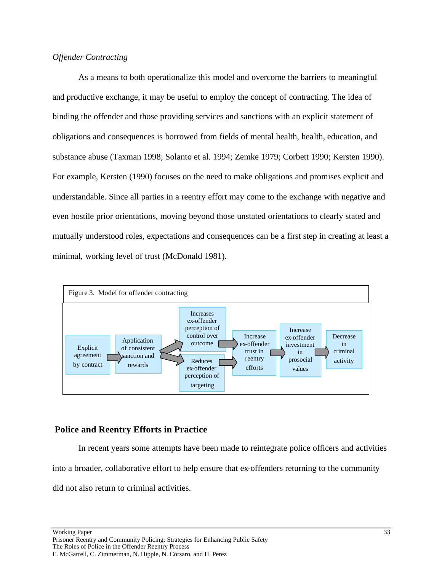## *Offender Contracting*

As a means to both operationalize this model and overcome the barriers to meaningful and productive exchange, it may be useful to employ the concept of contracting. The idea of binding the offender and those providing services and sanctions with an explicit statement of obligations and consequences is borrowed from fields of mental health, health, education, and substance abuse (Taxman 1998; Solanto et al. 1994; Zemke 1979; Corbett 1990; Kersten 1990). For example, Kersten (1990) focuses on the need to make obligations and promises explicit and understandable. Since all parties in a reentry effort may come to the exchange with negative and even hostile prior orientations, moving beyond those unstated orientations to clearly stated and mutually understood roles, expectations and consequences can be a first step in creating at least a minimal, working level of trust (McDonald 1981).



## **Police and Reentry Efforts in Practice**

In recent years some attempts have been made to reintegrate police officers and activities into a broader, collaborative effort to help ensure that ex-offenders returning to the community did not also return to criminal activities.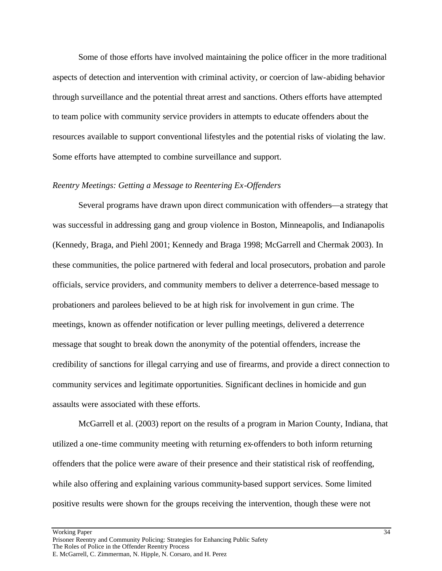Some of those efforts have involved maintaining the police officer in the more traditional aspects of detection and intervention with criminal activity, or coercion of law-abiding behavior through surveillance and the potential threat arrest and sanctions. Others efforts have attempted to team police with community service providers in attempts to educate offenders about the resources available to support conventional lifestyles and the potential risks of violating the law. Some efforts have attempted to combine surveillance and support.

#### *Reentry Meetings: Getting a Message to Reentering Ex-Offenders*

Several programs have drawn upon direct communication with offenders—a strategy that was successful in addressing gang and group violence in Boston, Minneapolis, and Indianapolis (Kennedy, Braga, and Piehl 2001; Kennedy and Braga 1998; McGarrell and Chermak 2003). In these communities, the police partnered with federal and local prosecutors, probation and parole officials, service providers, and community members to deliver a deterrence-based message to probationers and parolees believed to be at high risk for involvement in gun crime. The meetings, known as offender notification or lever pulling meetings, delivered a deterrence message that sought to break down the anonymity of the potential offenders, increase the credibility of sanctions for illegal carrying and use of firearms, and provide a direct connection to community services and legitimate opportunities. Significant declines in homicide and gun assaults were associated with these efforts.

McGarrell et al. (2003) report on the results of a program in Marion County, Indiana, that utilized a one-time community meeting with returning ex-offenders to both inform returning offenders that the police were aware of their presence and their statistical risk of reoffending, while also offering and explaining various community-based support services. Some limited positive results were shown for the groups receiving the intervention, though these were not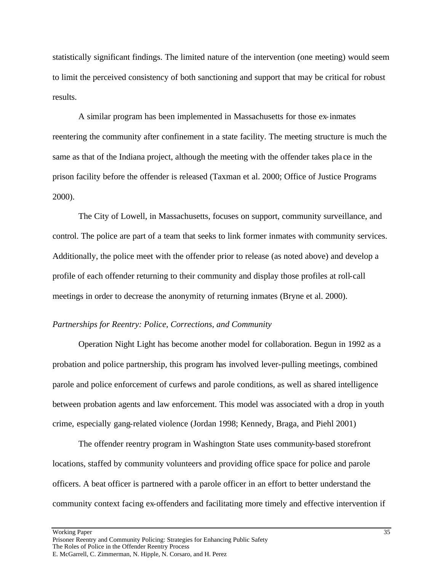statistically significant findings. The limited nature of the intervention (one meeting) would seem to limit the perceived consistency of both sanctioning and support that may be critical for robust results.

A similar program has been implemented in Massachusetts for those ex-inmates reentering the community after confinement in a state facility. The meeting structure is much the same as that of the Indiana project, although the meeting with the offender takes pla ce in the prison facility before the offender is released (Taxman et al. 2000; Office of Justice Programs 2000).

The City of Lowell, in Massachusetts, focuses on support, community surveillance, and control. The police are part of a team that seeks to link former inmates with community services. Additionally, the police meet with the offender prior to release (as noted above) and develop a profile of each offender returning to their community and display those profiles at roll-call meetings in order to decrease the anonymity of returning inmates (Bryne et al. 2000).

#### *Partnerships for Reentry: Police, Corrections, and Community*

Operation Night Light has become another model for collaboration. Begun in 1992 as a probation and police partnership, this program has involved lever-pulling meetings, combined parole and police enforcement of curfews and parole conditions, as well as shared intelligence between probation agents and law enforcement. This model was associated with a drop in youth crime, especially gang-related violence (Jordan 1998; Kennedy, Braga, and Piehl 2001)

The offender reentry program in Washington State uses community-based storefront locations, staffed by community volunteers and providing office space for police and parole officers. A beat officer is partnered with a parole officer in an effort to better understand the community context facing ex-offenders and facilitating more timely and effective intervention if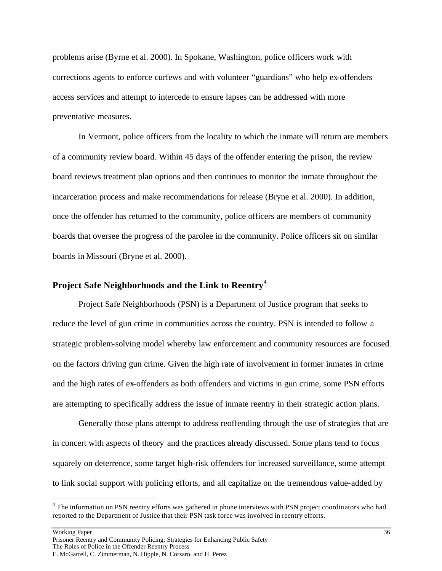problems arise (Byrne et al. 2000). In Spokane, Washington, police officers work with corrections agents to enforce curfews and with volunteer "guardians" who help ex-offenders access services and attempt to intercede to ensure lapses can be addressed with more preventative measures.

In Vermont, police officers from the locality to which the inmate will return are members of a community review board. Within 45 days of the offender entering the prison, the review board reviews treatment plan options and then continues to monitor the inmate throughout the incarceration process and make recommendations for release (Bryne et al. 2000). In addition, once the offender has returned to the community, police officers are members of community boards that oversee the progress of the parolee in the community. Police officers sit on similar boards in Missouri (Bryne et al. 2000).

## **Project Safe Neighborhoods and the Link to Reentry**<sup>4</sup>

Project Safe Neighborhoods (PSN) is a Department of Justice program that seeks to reduce the level of gun crime in communities across the country. PSN is intended to follow a strategic problem-solving model whereby law enforcement and community resources are focused on the factors driving gun crime. Given the high rate of involvement in former inmates in crime and the high rates of ex-offenders as both offenders and victims in gun crime, some PSN efforts are attempting to specifically address the issue of inmate reentry in their strategic action plans.

Generally those plans attempt to address reoffending through the use of strategies that are in concert with aspects of theory and the practices already discussed. Some plans tend to focus squarely on deterrence, some target high-risk offenders for increased surveillance, some attempt to link social support with policing efforts, and all capitalize on the tremendous value-added by

 $\overline{a}$ 

<sup>&</sup>lt;sup>4</sup> The information on PSN reentry efforts was gathered in phone interviews with PSN project coordinators who had reported to the Department of Justice that their PSN task force was involved in reentry efforts.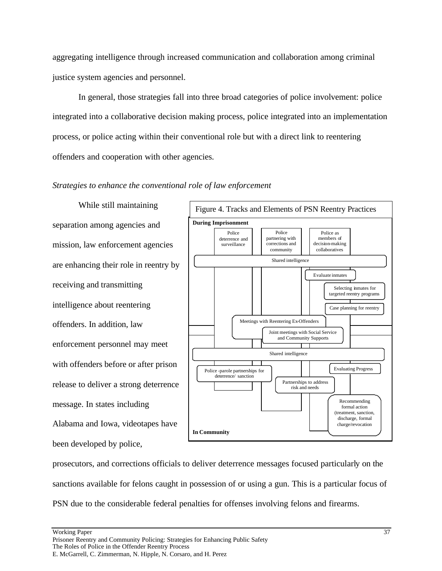aggregating intelligence through increased communication and collaboration among criminal justice system agencies and personnel.

In general, those strategies fall into three broad categories of police involvement: police integrated into a collaborative decision making process, police integrated into an implementation process, or police acting within their conventional role but with a direct link to reentering offenders and cooperation with other agencies.

## *Strategies to enhance the conventional role of law enforcement*

While still maintaining separation among agencies and mission, law enforcement agencies are enhancing their role in reentry by receiving and transmitting intelligence about reentering offenders. In addition, law enforcement personnel may meet with offenders before or after prison release to deliver a strong deterrence message. In states including Alabama and Iowa, videotapes have been developed by police,



prosecutors, and corrections officials to deliver deterrence messages focused particularly on the sanctions available for felons caught in possession of or using a gun. This is a particular focus of PSN due to the considerable federal penalties for offenses involving felons and firearms.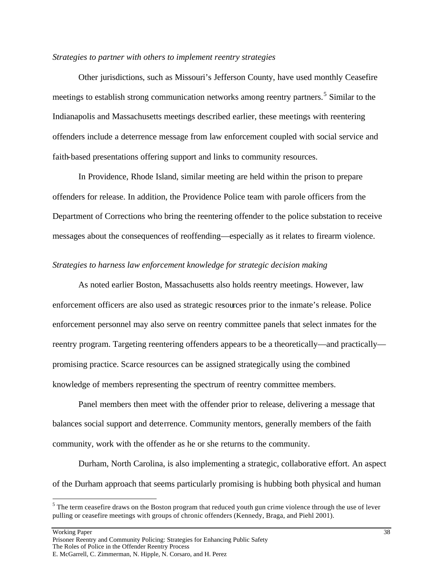#### *Strategies to partner with others to implement reentry strategies*

Other jurisdictions, such as Missouri's Jefferson County, have used monthly Ceasefire meetings to establish strong communication networks among reentry partners.<sup>5</sup> Similar to the Indianapolis and Massachusetts meetings described earlier, these meetings with reentering offenders include a deterrence message from law enforcement coupled with social service and faith-based presentations offering support and links to community resources.

In Providence, Rhode Island, similar meeting are held within the prison to prepare offenders for release. In addition, the Providence Police team with parole officers from the Department of Corrections who bring the reentering offender to the police substation to receive messages about the consequences of reoffending—especially as it relates to firearm violence.

#### *Strategies to harness law enforcement knowledge for strategic decision making*

As noted earlier Boston, Massachusetts also holds reentry meetings. However, law enforcement officers are also used as strategic resources prior to the inmate's release. Police enforcement personnel may also serve on reentry committee panels that select inmates for the reentry program. Targeting reentering offenders appears to be a theoretically—and practically promising practice. Scarce resources can be assigned strategically using the combined knowledge of members representing the spectrum of reentry committee members.

Panel members then meet with the offender prior to release, delivering a message that balances social support and deterrence. Community mentors, generally members of the faith community, work with the offender as he or she returns to the community.

Durham, North Carolina, is also implementing a strategic, collaborative effort. An aspect of the Durham approach that seems particularly promising is hubbing both physical and human

Working Paper 38

 $\overline{a}$ 

 $<sup>5</sup>$  The term ceasefire draws on the Boston program that reduced youth gun crime violence through the use of lever</sup> pulling or ceasefire meetings with groups of chronic offenders (Kennedy, Braga, and Piehl 2001).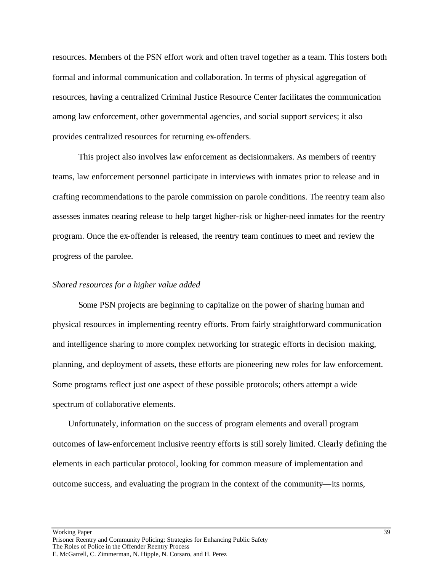resources. Members of the PSN effort work and often travel together as a team. This fosters both formal and informal communication and collaboration. In terms of physical aggregation of resources, having a centralized Criminal Justice Resource Center facilitates the communication among law enforcement, other governmental agencies, and social support services; it also provides centralized resources for returning ex-offenders.

This project also involves law enforcement as decisionmakers. As members of reentry teams, law enforcement personnel participate in interviews with inmates prior to release and in crafting recommendations to the parole commission on parole conditions. The reentry team also assesses inmates nearing release to help target higher-risk or higher-need inmates for the reentry program. Once the ex-offender is released, the reentry team continues to meet and review the progress of the parolee.

#### *Shared resources for a higher value added*

Some PSN projects are beginning to capitalize on the power of sharing human and physical resources in implementing reentry efforts. From fairly straightforward communication and intelligence sharing to more complex networking for strategic efforts in decision making, planning, and deployment of assets, these efforts are pioneering new roles for law enforcement. Some programs reflect just one aspect of these possible protocols; others attempt a wide spectrum of collaborative elements.

Unfortunately, information on the success of program elements and overall program outcomes of law-enforcement inclusive reentry efforts is still sorely limited. Clearly defining the elements in each particular protocol, looking for common measure of implementation and outcome success, and evaluating the program in the context of the community—its norms,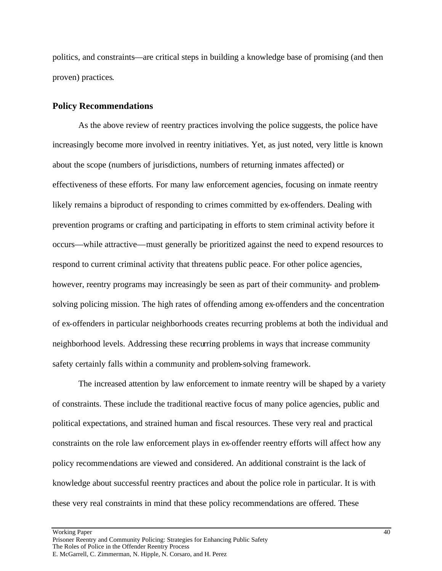politics, and constraints—are critical steps in building a knowledge base of promising (and then proven) practices.

## **Policy Recommendations**

As the above review of reentry practices involving the police suggests, the police have increasingly become more involved in reentry initiatives. Yet, as just noted, very little is known about the scope (numbers of jurisdictions, numbers of returning inmates affected) or effectiveness of these efforts. For many law enforcement agencies, focusing on inmate reentry likely remains a biproduct of responding to crimes committed by ex-offenders. Dealing with prevention programs or crafting and participating in efforts to stem criminal activity before it occurs—while attractive—must generally be prioritized against the need to expend resources to respond to current criminal activity that threatens public peace. For other police agencies, however, reentry programs may increasingly be seen as part of their community- and problemsolving policing mission. The high rates of offending among ex-offenders and the concentration of ex-offenders in particular neighborhoods creates recurring problems at both the individual and neighborhood levels. Addressing these recurring problems in ways that increase community safety certainly falls within a community and problem-solving framework.

The increased attention by law enforcement to inmate reentry will be shaped by a variety of constraints. These include the traditional reactive focus of many police agencies, public and political expectations, and strained human and fiscal resources. These very real and practical constraints on the role law enforcement plays in ex-offender reentry efforts will affect how any policy recommendations are viewed and considered. An additional constraint is the lack of knowledge about successful reentry practices and about the police role in particular. It is with these very real constraints in mind that these policy recommendations are offered. These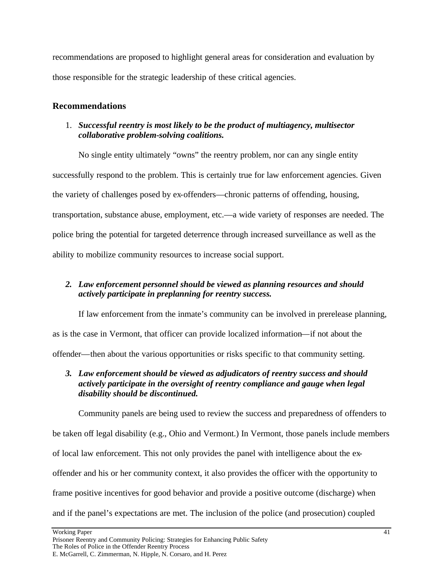recommendations are proposed to highlight general areas for consideration and evaluation by those responsible for the strategic leadership of these critical agencies.

# **Recommendations**

## 1. *Successful reentry is most likely to be the product of multiagency, multisector collaborative problem-solving coalitions.*

No single entity ultimately "owns" the reentry problem, nor can any single entity successfully respond to the problem. This is certainly true for law enforcement agencies. Given the variety of challenges posed by ex-offenders—chronic patterns of offending, housing, transportation, substance abuse, employment, etc.—a wide variety of responses are needed. The police bring the potential for targeted deterrence through increased surveillance as well as the ability to mobilize community resources to increase social support.

# *2. Law enforcement personnel should be viewed as planning resources and should actively participate in preplanning for reentry success.*

If law enforcement from the inmate's community can be involved in prerelease planning, as is the case in Vermont, that officer can provide localized information—if not about the offender—then about the various opportunities or risks specific to that community setting.

# *3. Law enforcement should be viewed as adjudicators of reentry success and should actively participate in the oversight of reentry compliance and gauge when legal disability should be discontinued.*

Community panels are being used to review the success and preparedness of offenders to be taken off legal disability (e.g., Ohio and Vermont.) In Vermont, those panels include members of local law enforcement. This not only provides the panel with intelligence about the exoffender and his or her community context, it also provides the officer with the opportunity to frame positive incentives for good behavior and provide a positive outcome (discharge) when and if the panel's expectations are met. The inclusion of the police (and prosecution) coupled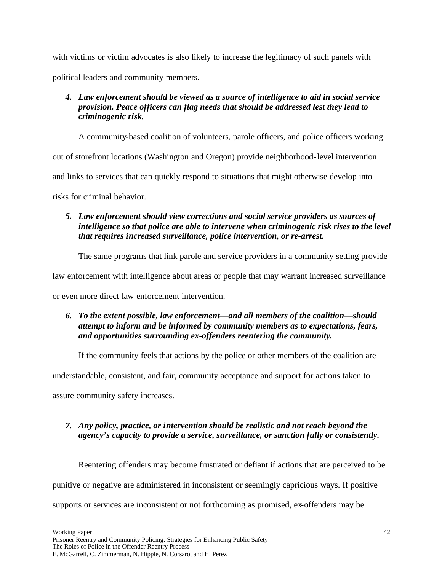with victims or victim advocates is also likely to increase the legitimacy of such panels with political leaders and community members.

# *4. Law enforcement should be viewed as a source of intelligence to aid in social service provision. Peace officers can flag needs that should be addressed lest they lead to criminogenic risk.*

A community-based coalition of volunteers, parole officers, and police officers working

out of storefront locations (Washington and Oregon) provide neighborhood-level intervention

and links to services that can quickly respond to situations that might otherwise develop into

risks for criminal behavior.

# *5. Law enforcement should view corrections and social service providers as sources of intelligence so that police are able to intervene when criminogenic risk rises to the level that requires increased surveillance, police intervention, or re-arrest.*

The same programs that link parole and service providers in a community setting provide

law enforcement with intelligence about areas or people that may warrant increased surveillance

or even more direct law enforcement intervention.

# *6. To the extent possible, law enforcement—and all members of the coalition—should attempt to inform and be informed by community members as to expectations, fears, and opportunities surrounding ex-offenders reentering the community.*

If the community feels that actions by the police or other members of the coalition are

understandable, consistent, and fair, community acceptance and support for actions taken to

assure community safety increases.

# *7. Any policy, practice, or intervention should be realistic and not reach beyond the agency's capacity to provide a service, surveillance, or sanction fully or consistently.*

Reentering offenders may become frustrated or defiant if actions that are perceived to be

punitive or negative are administered in inconsistent or seemingly capricious ways. If positive

supports or services are inconsistent or not forthcoming as promised, ex-offenders may be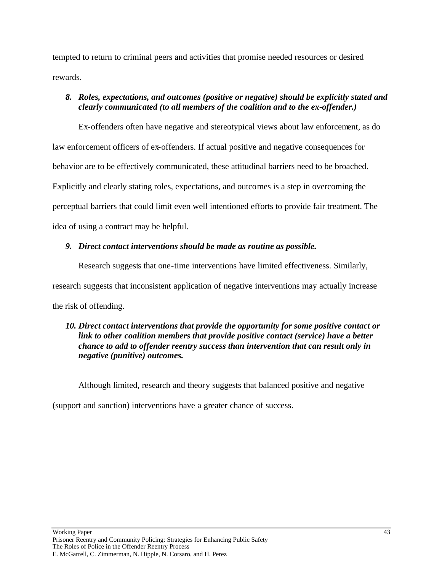tempted to return to criminal peers and activities that promise needed resources or desired rewards.

## *8. Roles, expectations, and outcomes (positive or negative) should be explicitly stated and clearly communicated (to all members of the coalition and to the ex-offender.)*

Ex-offenders often have negative and stereotypical views about law enforcement, as do law enforcement officers of ex-offenders. If actual positive and negative consequences for behavior are to be effectively communicated, these attitudinal barriers need to be broached. Explicitly and clearly stating roles, expectations, and outcomes is a step in overcoming the perceptual barriers that could limit even well intentioned efforts to provide fair treatment. The idea of using a contract may be helpful.

# *9. Direct contact interventions should be made as routine as possible.*

Research suggests that one-time interventions have limited effectiveness. Similarly, research suggests that inconsistent application of negative interventions may actually increase the risk of offending.

## *10. Direct contact interventions that provide the opportunity for some positive contact or link to other coalition members that provide positive contact (service) have a better chance to add to offender reentry success than intervention that can result only in negative (punitive) outcomes.*

Although limited, research and theory suggests that balanced positive and negative

(support and sanction) interventions have a greater chance of success.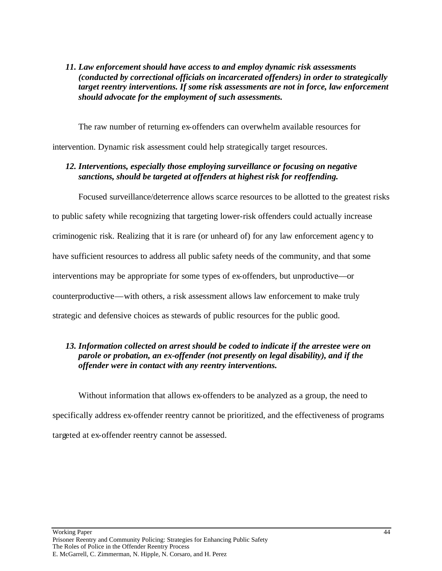## *11. Law enforcement should have access to and employ dynamic risk assessments (conducted by correctional officials on incarcerated offenders) in order to strategically target reentry interventions. If some risk assessments are not in force, law enforcement should advocate for the employment of such assessments.*

The raw number of returning ex-offenders can overwhelm available resources for intervention. Dynamic risk assessment could help strategically target resources.

## *12. Interventions, especially those employing surveillance or focusing on negative sanctions, should be targeted at offenders at highest risk for reoffending.*

Focused surveillance/deterrence allows scarce resources to be allotted to the greatest risks

to public safety while recognizing that targeting lower-risk offenders could actually increase

criminogenic risk. Realizing that it is rare (or unheard of) for any law enforcement agency to

have sufficient resources to address all public safety needs of the community, and that some

interventions may be appropriate for some types of ex-offenders, but unproductive—or

counterproductive—with others, a risk assessment allows law enforcement to make truly

strategic and defensive choices as stewards of public resources for the public good.

## *13. Information collected on arrest should be coded to indicate if the arrestee were on parole or probation, an ex-offender (not presently on legal disability), and if the offender were in contact with any reentry interventions.*

Without information that allows ex-offenders to be analyzed as a group, the need to specifically address ex-offender reentry cannot be prioritized, and the effectiveness of programs targeted at ex-offender reentry cannot be assessed.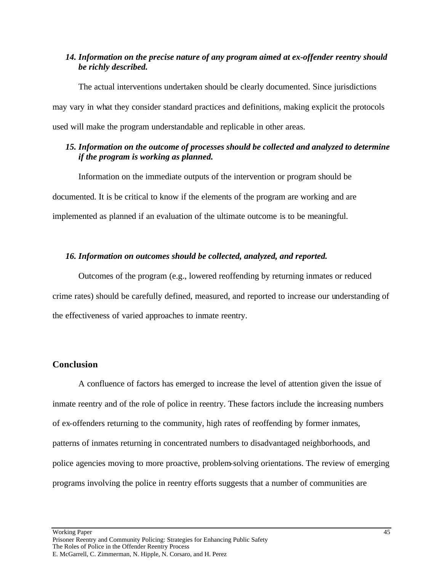## *14. Information on the precise nature of any program aimed at ex-offender reentry should be richly described.*

The actual interventions undertaken should be clearly documented. Since jurisdictions may vary in what they consider standard practices and definitions, making explicit the protocols used will make the program understandable and replicable in other areas.

## *15. Information on the outcome of processes should be collected and analyzed to determine if the program is working as planned.*

Information on the immediate outputs of the intervention or program should be documented. It is be critical to know if the elements of the program are working and are implemented as planned if an evaluation of the ultimate outcome is to be meaningful.

## *16. Information on outcomes should be collected, analyzed, and reported.*

Outcomes of the program (e.g., lowered reoffending by returning inmates or reduced crime rates) should be carefully defined, measured, and reported to increase our understanding of the effectiveness of varied approaches to inmate reentry.

## **Conclusion**

A confluence of factors has emerged to increase the level of attention given the issue of inmate reentry and of the role of police in reentry. These factors include the increasing numbers of ex-offenders returning to the community, high rates of reoffending by former inmates, patterns of inmates returning in concentrated numbers to disadvantaged neighborhoods, and police agencies moving to more proactive, problem-solving orientations. The review of emerging programs involving the police in reentry efforts suggests that a number of communities are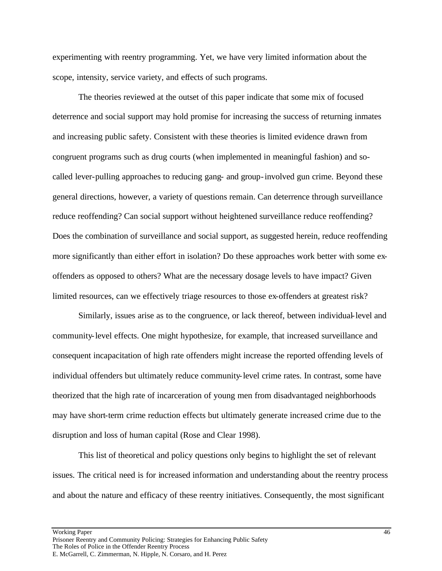experimenting with reentry programming. Yet, we have very limited information about the scope, intensity, service variety, and effects of such programs.

The theories reviewed at the outset of this paper indicate that some mix of focused deterrence and social support may hold promise for increasing the success of returning inmates and increasing public safety. Consistent with these theories is limited evidence drawn from congruent programs such as drug courts (when implemented in meaningful fashion) and socalled lever-pulling approaches to reducing gang- and group-involved gun crime. Beyond these general directions, however, a variety of questions remain. Can deterrence through surveillance reduce reoffending? Can social support without heightened surveillance reduce reoffending? Does the combination of surveillance and social support, as suggested herein, reduce reoffending more significantly than either effort in isolation? Do these approaches work better with some exoffenders as opposed to others? What are the necessary dosage levels to have impact? Given limited resources, can we effectively triage resources to those ex-offenders at greatest risk?

Similarly, issues arise as to the congruence, or lack thereof, between individual-level and community-level effects. One might hypothesize, for example, that increased surveillance and consequent incapacitation of high rate offenders might increase the reported offending levels of individual offenders but ultimately reduce community-level crime rates. In contrast, some have theorized that the high rate of incarceration of young men from disadvantaged neighborhoods may have short-term crime reduction effects but ultimately generate increased crime due to the disruption and loss of human capital (Rose and Clear 1998).

This list of theoretical and policy questions only begins to highlight the set of relevant issues. The critical need is for increased information and understanding about the reentry process and about the nature and efficacy of these reentry initiatives. Consequently, the most significant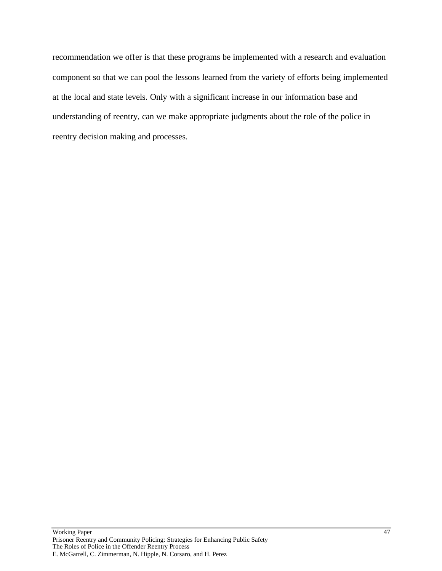recommendation we offer is that these programs be implemented with a research and evaluation component so that we can pool the lessons learned from the variety of efforts being implemented at the local and state levels. Only with a significant increase in our information base and understanding of reentry, can we make appropriate judgments about the role of the police in reentry decision making and processes.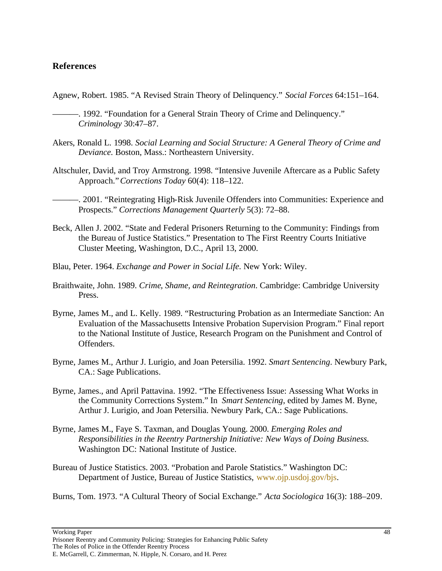## **References**

- Agnew, Robert. 1985. "A Revised Strain Theory of Delinquency." *Social Forces* 64:151–164.
	- ———. 1992. "Foundation for a General Strain Theory of Crime and Delinquency." *Criminology* 30:47–87.
- Akers, Ronald L. 1998. *Social Learning and Social Structure: A General Theory of Crime and Deviance.* Boston, Mass.: Northeastern University.
- Altschuler, David, and Troy Armstrong. 1998. "Intensive Juvenile Aftercare as a Public Safety Approach."*Corrections Today* 60(4): 118–122.
	- ———. 2001. "Reintegrating High-Risk Juvenile Offenders into Communities: Experience and Prospects." *Corrections Management Quarterly* 5(3): 72–88.
- Beck, Allen J. 2002. "State and Federal Prisoners Returning to the Community: Findings from the Bureau of Justice Statistics." Presentation to The First Reentry Courts Initiative Cluster Meeting*,* Washington, D.C., April 13, 2000.
- Blau, Peter. 1964. *Exchange and Power in Social Life.* New York: Wiley.
- Braithwaite, John. 1989. *Crime, Shame, and Reintegration*. Cambridge: Cambridge University Press.
- Byrne, James M., and L. Kelly. 1989. "Restructuring Probation as an Intermediate Sanction: An Evaluation of the Massachusetts Intensive Probation Supervision Program." Final report to the National Institute of Justice, Research Program on the Punishment and Control of Offenders.
- Byrne, James M., Arthur J. Lurigio, and Joan Petersilia. 1992. *Smart Sentencing*. Newbury Park, CA.: Sage Publications.
- Byrne, James., and April Pattavina. 1992. "The Effectiveness Issue: Assessing What Works in the Community Corrections System." In *Smart Sentencing*, edited by James M. Byne, Arthur J. Lurigio, and Joan Petersilia. Newbury Park, CA.: Sage Publications.
- Byrne, James M., Faye S. Taxman, and Douglas Young. 2000. *Emerging Roles and Responsibilities in the Reentry Partnership Initiative: New Ways of Doing Business.* Washington DC: National Institute of Justice.
- Bureau of Justice Statistics. 2003. "Probation and Parole Statistics." Washington DC: Department of Justice, Bureau of Justice Statistics, www.ojp.usdoj.gov/bjs.

Burns, Tom. 1973. "A Cultural Theory of Social Exchange." *Acta Sociologica* 16(3): 188–209.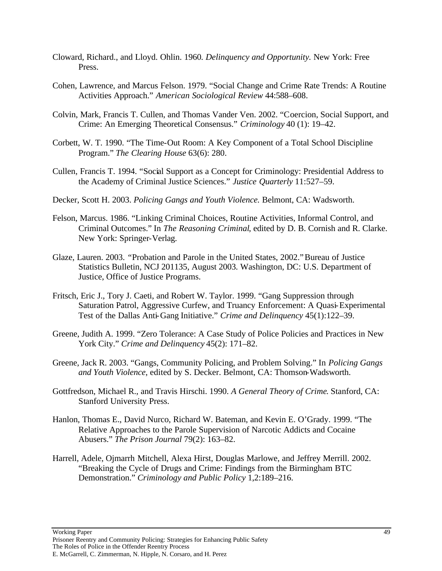- Cloward, Richard., and Lloyd. Ohlin. 1960*. Delinquency and Opportunity.* New York: Free Press.
- Cohen, Lawrence, and Marcus Felson. 1979. "Social Change and Crime Rate Trends: A Routine Activities Approach." *American Sociological Review* 44:588–608.
- Colvin, Mark, Francis T. Cullen, and Thomas Vander Ven. 2002. "Coercion, Social Support, and Crime: An Emerging Theoretical Consensus." *Criminology* 40 (1): 19–42.
- Corbett, W. T. 1990. "The Time-Out Room: A Key Component of a Total School Discipline Program." *The Clearing House* 63(6): 280.
- Cullen, Francis T. 1994. "Social Support as a Concept for Criminology: Presidential Address to the Academy of Criminal Justice Sciences." *Justice Quarterly* 11:527–59.
- Decker, Scott H. 2003. *Policing Gangs and Youth Violence.* Belmont, CA: Wadsworth.
- Felson, Marcus. 1986. "Linking Criminal Choices, Routine Activities, Informal Control, and Criminal Outcomes." In *The Reasoning Criminal*, edited by D. B. Cornish and R. Clarke. New York: Springer-Verlag.
- Glaze, Lauren. 2003. *"*Probation and Parole in the United States, 2002."Bureau of Justice Statistics Bulletin, NCJ 201135, August 2003*.* Washington, DC: U.S. Department of Justice, Office of Justice Programs.
- Fritsch, Eric J., Tory J. Caeti, and Robert W. Taylor. 1999. "Gang Suppression through Saturation Patrol, Aggressive Curfew, and Truancy Enforcement: A Quasi-Experimental Test of the Dallas Anti-Gang Initiative." *Crime and Delinquency* 45(1):122–39.
- Greene, Judith A. 1999. "Zero Tolerance: A Case Study of Police Policies and Practices in New York City." *Crime and Delinquency* 45(2): 171–82.
- Greene, Jack R. 2003. "Gangs, Community Policing, and Problem Solving." In *Policing Gangs and Youth Violence*, edited by S. Decker. Belmont, CA: Thomson-Wadsworth.
- Gottfredson, Michael R., and Travis Hirschi. 1990. *A General Theory of Crime*. Stanford, CA: Stanford University Press.
- Hanlon, Thomas E., David Nurco, Richard W. Bateman, and Kevin E. O'Grady. 1999. "The Relative Approaches to the Parole Supervision of Narcotic Addicts and Cocaine Abusers." *The Prison Journal* 79(2): 163–82.
- Harrell, Adele, Ojmarrh Mitchell, Alexa Hirst, Douglas Marlowe, and Jeffrey Merrill. 2002. "Breaking the Cycle of Drugs and Crime: Findings from the Birmingham BTC Demonstration." *Criminology and Public Policy* 1,2:189–216.

Prisoner Reentry and Community Policing: Strategies for Enhancing Public Safety The Roles of Police in the Offender Reentry Process E. McGarrell, C. Zimmerman, N. Hipple, N. Corsaro, and H. Perez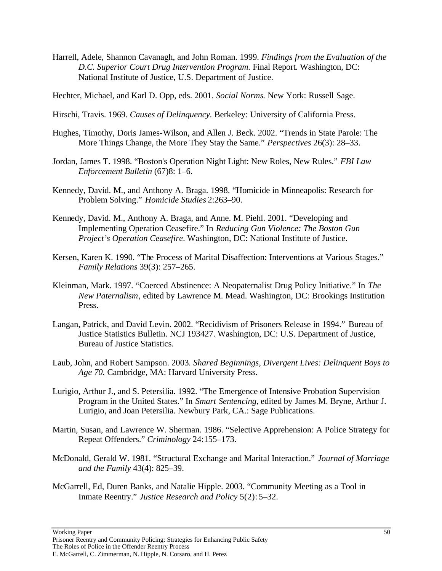Harrell, Adele, Shannon Cavanagh, and John Roman. 1999. *Findings from the Evaluation of the D.C. Superior Court Drug Intervention Program.* Final Report. Washington, DC: National Institute of Justice, U.S. Department of Justice.

Hechter, Michael, and Karl D. Opp, eds. 2001. *Social Norms*. New York: Russell Sage.

- Hirschi, Travis. 1969. *Causes of Delinquency.* Berkeley: University of California Press.
- Hughes, Timothy, Doris James-Wilson, and Allen J. Beck. 2002. "Trends in State Parole: The More Things Change, the More They Stay the Same." *Perspectives* 26(3): 28–33.
- Jordan, James T. 1998. "Boston's Operation Night Light: New Roles, New Rules." *FBI Law Enforcement Bulletin* (67)8: 1–6.
- Kennedy, David. M., and Anthony A. Braga. 1998. "Homicide in Minneapolis: Research for Problem Solving." *Homicide Studies* 2:263–90.
- Kennedy, David. M., Anthony A. Braga, and Anne. M. Piehl. 2001. "Developing and Implementing Operation Ceasefire." In *Reducing Gun Violence: The Boston Gun Project's Operation Ceasefire*. Washington, DC: National Institute of Justice.
- Kersen, Karen K. 1990. "The Process of Marital Disaffection: Interventions at Various Stages." *Family Relations* 39(3): 257–265.
- Kleinman, Mark. 1997. "Coerced Abstinence: A Neopaternalist Drug Policy Initiative." In *The New Paternalism*, edited by Lawrence M. Mead. Washington, DC: Brookings Institution Press.
- Langan, Patrick, and David Levin. 2002. "Recidivism of Prisoners Release in 1994." Bureau of Justice Statistics Bulletin. NCJ 193427. Washington, DC: U.S. Department of Justice, Bureau of Justice Statistics.
- Laub, John, and Robert Sampson. 2003*. Shared Beginnings, Divergent Lives: Delinquent Boys to Age 70.* Cambridge, MA: Harvard University Press.
- Lurigio, Arthur J., and S. Petersilia. 1992. "The Emergence of Intensive Probation Supervision Program in the United States." In *Smart Sentencing*, edited by James M. Bryne, Arthur J. Lurigio, and Joan Petersilia. Newbury Park, CA.: Sage Publications.
- Martin, Susan, and Lawrence W. Sherman. 1986. "Selective Apprehension: A Police Strategy for Repeat Offenders." *Criminology* 24:155–173.
- McDonald, Gerald W. 1981. "Structural Exchange and Marital Interaction." *Journal of Marriage and the Family* 43(4): 825–39.
- McGarrell, Ed, Duren Banks, and Natalie Hipple. 2003. "Community Meeting as a Tool in Inmate Reentry." *Justice Research and Policy* 5(2): 5–32.

Prisoner Reentry and Community Policing: Strategies for Enhancing Public Safety The Roles of Police in the Offender Reentry Process E. McGarrell, C. Zimmerman, N. Hipple, N. Corsaro, and H. Perez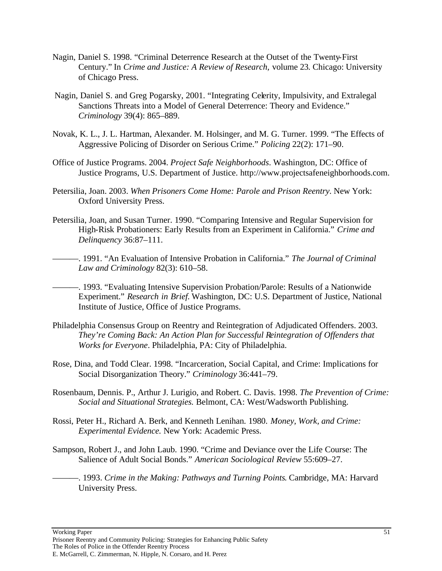- Nagin, Daniel S. 1998. "Criminal Deterrence Research at the Outset of the Twenty-First Century." In *Crime and Justice: A Review of Research,* volume 23*.* Chicago: University of Chicago Press.
- Nagin, Daniel S. and Greg Pogarsky, 2001. "Integrating Celerity, Impulsivity, and Extralegal Sanctions Threats into a Model of General Deterrence: Theory and Evidence." *Criminology* 39(4): 865–889.
- Novak, K. L., J. L. Hartman, Alexander. M. Holsinger, and M. G. Turner. 1999. "The Effects of Aggressive Policing of Disorder on Serious Crime." *Policing* 22(2): 171–90.
- Office of Justice Programs. 2004. *Project Safe Neighborhoods*. Washington, DC: Office of Justice Programs, U.S. Department of Justice. http://www.projectsafeneighborhoods.com.
- Petersilia, Joan. 2003. *When Prisoners Come Home: Parole and Prison Reentry.* New York: Oxford University Press.
- Petersilia, Joan, and Susan Turner. 1990. "Comparing Intensive and Regular Supervision for High-Risk Probationers: Early Results from an Experiment in California." *Crime and Delinquency* 36:87–111.
- ———. 1991. "An Evaluation of Intensive Probation in California." *The Journal of Criminal Law and Criminology* 82(3): 610–58.
- ———. 1993. "Evaluating Intensive Supervision Probation/Parole: Results of a Nationwide Experiment." *Research in Brief.* Washington, DC: U.S. Department of Justice, National Institute of Justice, Office of Justice Programs.
- Philadelphia Consensus Group on Reentry and Reintegration of Adjudicated Offenders. 2003. *They're Coming Back: An Action Plan for Successful Reintegration of Offenders that Works for Everyone*. Philadelphia, PA: City of Philadelphia.
- Rose, Dina, and Todd Clear. 1998. "Incarceration, Social Capital, and Crime: Implications for Social Disorganization Theory." *Criminology* 36:441–79.
- Rosenbaum, Dennis. P., Arthur J. Lurigio, and Robert. C. Davis. 1998. *The Prevention of Crime: Social and Situational Strategies.* Belmont, CA: West/Wadsworth Publishing.
- Rossi, Peter H., Richard A. Berk, and Kenneth Lenihan. 1980. *Money, Work, and Crime: Experimental Evidence.* New York: Academic Press.
- Sampson, Robert J., and John Laub. 1990. "Crime and Deviance over the Life Course: The Salience of Adult Social Bonds." *American Sociological Review* 55:609–27.
	- ———. 1993. *Crime in the Making: Pathways and Turning Points*. Cambridge, MA: Harvard University Press.

Prisoner Reentry and Community Policing: Strategies for Enhancing Public Safety The Roles of Police in the Offender Reentry Process E. McGarrell, C. Zimmerman, N. Hipple, N. Corsaro, and H. Perez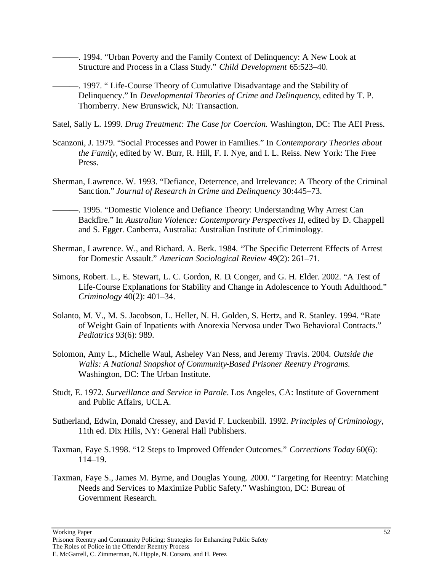-. 1994. "Urban Poverty and the Family Context of Delinquency: A New Look at Structure and Process in a Class Study." *Child Development* 65:523–40.

- ———. 1997. " Life-Course Theory of Cumulative Disadvantage and the Stability of Delinquency." In *Developmental Theories of Crime and Delinquency*, edited by T. P. Thornberry. New Brunswick, NJ: Transaction.
- Satel, Sally L. 1999. *Drug Treatment: The Case for Coercion.* Washington, DC: The AEI Press.
- Scanzoni, J. 1979. "Social Processes and Power in Families." In *Contemporary Theories about the Family*, edited by W. Burr, R. Hill, F. I. Nye, and I. L. Reiss. New York: The Free Press.
- Sherman, Lawrence. W. 1993. "Defiance, Deterrence, and Irrelevance: A Theory of the Criminal Sanction." *Journal of Research in Crime and Delinquency* 30:445–73.
- -. 1995. "Domestic Violence and Defiance Theory: Understanding Why Arrest Can Backfire." In *Australian Violence: Contemporary Perspectives II*, edited by D. Chappell and S. Egger*.* Canberra, Australia: Australian Institute of Criminology.
- Sherman, Lawrence. W., and Richard. A. Berk. 1984. "The Specific Deterrent Effects of Arrest for Domestic Assault." *American Sociological Review* 49(2): 261–71.
- Simons, Robert. L., E. Stewart, L. C. Gordon, R. D. Conger, and G. H. Elder. 2002. "A Test of Life-Course Explanations for Stability and Change in Adolescence to Youth Adulthood." *Criminology* 40(2): 401–34.
- Solanto, M. V., M. S. Jacobson, L. Heller, N. H. Golden, S. Hertz, and R. Stanley. 1994. "Rate of Weight Gain of Inpatients with Anorexia Nervosa under Two Behavioral Contracts." *Pediatrics* 93(6): 989.
- Solomon, Amy L., Michelle Waul, Asheley Van Ness, and Jeremy Travis. 2004*. Outside the Walls: A National Snapshot of Community-Based Prisoner Reentry Programs.* Washington, DC: The Urban Institute.
- Studt, E. 1972. *Surveillance and Service in Parole*. Los Angeles, CA: Institute of Government and Public Affairs, UCLA.
- Sutherland, Edwin, Donald Cressey, and David F. Luckenbill. 1992. *Principles of Criminology,* 11th ed. Dix Hills, NY: General Hall Publishers.
- Taxman, Faye S.1998. "12 Steps to Improved Offender Outcomes." *Corrections Today* 60(6): 114–19.
- Taxman, Faye S., James M. Byrne, and Douglas Young. 2000. "Targeting for Reentry: Matching Needs and Services to Maximize Public Safety." Washington, DC: Bureau of Government Research.

Prisoner Reentry and Community Policing: Strategies for Enhancing Public Safety The Roles of Police in the Offender Reentry Process E. McGarrell, C. Zimmerman, N. Hipple, N. Corsaro, and H. Perez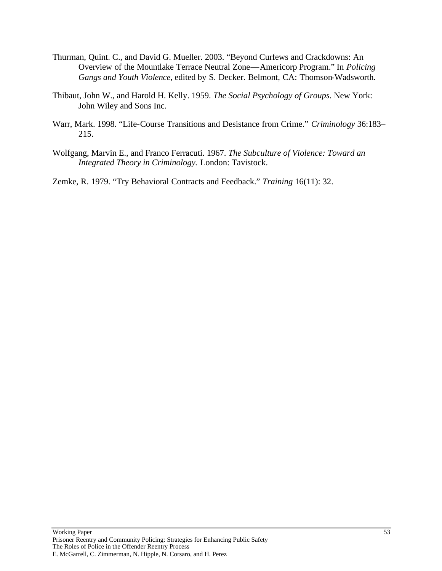- Thurman, Quint. C., and David G. Mueller. 2003. "Beyond Curfews and Crackdowns: An Overview of the Mountlake Terrace Neutral Zone—Americorp Program." In *Policing Gangs and Youth Violence*, edited by S. Decker. Belmont, CA: Thomson-Wadsworth.
- Thibaut, John W., and Harold H. Kelly. 1959. *The Social Psychology of Groups.* New York: John Wiley and Sons Inc.
- Warr, Mark. 1998. "Life-Course Transitions and Desistance from Crime." *Criminology* 36:183– 215.
- Wolfgang, Marvin E., and Franco Ferracuti. 1967. *The Subculture of Violence: Toward an Integrated Theory in Criminology.* London: Tavistock.

Zemke, R. 1979. "Try Behavioral Contracts and Feedback." *Training* 16(11): 32.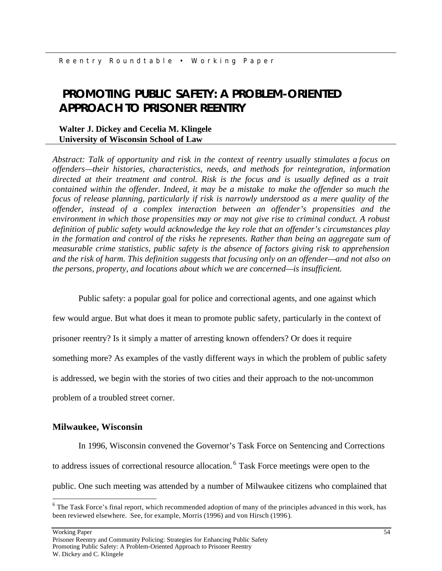# **PROMOTING PUBLIC SAFETY: A PROBLEM-ORIENTED APPROACH TO PRISONER REENTRY**

## **Walter J. Dickey and Cecelia M. Klingele University of Wisconsin School of Law**

*Abstract: Talk of opportunity and risk in the context of reentry usually stimulates a focus on offenders—their histories, characteristics, needs, and methods for reintegration, information directed at their treatment and control. Risk is the focus and is usually defined as a trait contained within the offender. Indeed, it may be a mistake to make the offender so much the focus of release planning, particularly if risk is narrowly understood as a mere quality of the offender, instead of a complex interaction between an offender's propensities and the environment in which those propensities may or may not give rise to criminal conduct. A robust definition of public safety would acknowledge the key role that an offender's circumstances play in the formation and control of the risks he represents. Rather than being an aggregate sum of measurable crime statistics, public safety is the absence of factors giving risk to apprehension and the risk of harm. This definition suggests that focusing only on an offender—and not also on the persons, property, and locations about which we are concerned—is insufficient.* 

Public safety: a popular goal for police and correctional agents, and one against which

few would argue. But what does it mean to promote public safety, particularly in the context of prisoner reentry? Is it simply a matter of arresting known offenders? Or does it require something more? As examples of the vastly different ways in which the problem of public safety is addressed, we begin with the stories of two cities and their approach to the not-uncommon problem of a troubled street corner.

## **Milwaukee, Wisconsin**

In 1996, Wisconsin convened the Governor's Task Force on Sentencing and Corrections to address issues of correctional resource allocation. <sup>6</sup> Task Force meetings were open to the public. One such meeting was attended by a number of Milwaukee citizens who complained that

Working Paper 54

 $\overline{a}$ 

 $6$  The Task Force's final report, which recommended adoption of many of the principles advanced in this work, has been reviewed elsewhere. See, for example, Morris (1996) and von Hirsch (1996).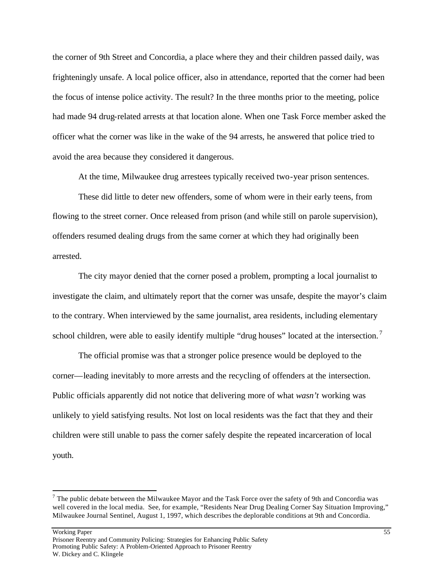the corner of 9th Street and Concordia, a place where they and their children passed daily, was frighteningly unsafe. A local police officer, also in attendance, reported that the corner had been the focus of intense police activity. The result? In the three months prior to the meeting, police had made 94 drug-related arrests at that location alone. When one Task Force member asked the officer what the corner was like in the wake of the 94 arrests, he answered that police tried to avoid the area because they considered it dangerous.

At the time, Milwaukee drug arrestees typically received two-year prison sentences.

These did little to deter new offenders, some of whom were in their early teens, from flowing to the street corner. Once released from prison (and while still on parole supervision), offenders resumed dealing drugs from the same corner at which they had originally been arrested.

The city mayor denied that the corner posed a problem, prompting a local journalist to investigate the claim, and ultimately report that the corner was unsafe, despite the mayor's claim to the contrary. When interviewed by the same journalist, area residents, including elementary school children, were able to easily identify multiple "drug houses" located at the intersection.<sup>7</sup>

The official promise was that a stronger police presence would be deployed to the corner—leading inevitably to more arrests and the recycling of offenders at the intersection. Public officials apparently did not notice that delivering more of what *wasn't* working was unlikely to yield satisfying results. Not lost on local residents was the fact that they and their children were still unable to pass the corner safely despite the repeated incarceration of local youth.

 $\overline{a}$ 

 $7$  The public debate between the Milwaukee Mayor and the Task Force over the safety of 9th and Concordia was well covered in the local media. See, for example, "Residents Near Drug Dealing Corner Say Situation Improving," Milwaukee Journal Sentinel, August 1, 1997, which describes the deplorable conditions at 9th and Concordia.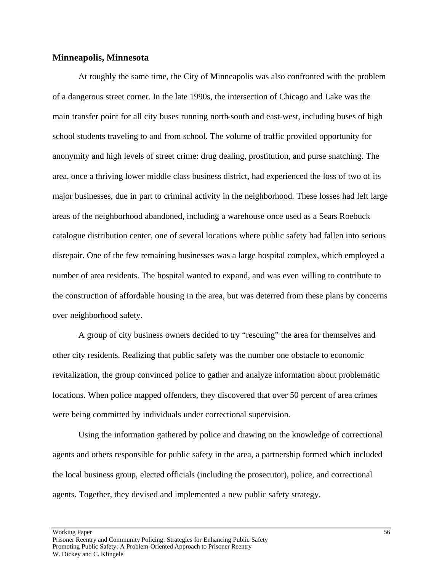#### **Minneapolis, Minnesota**

At roughly the same time, the City of Minneapolis was also confronted with the problem of a dangerous street corner. In the late 1990s, the intersection of Chicago and Lake was the main transfer point for all city buses running north-south and east-west, including buses of high school students traveling to and from school. The volume of traffic provided opportunity for anonymity and high levels of street crime: drug dealing, prostitution, and purse snatching. The area, once a thriving lower middle class business district, had experienced the loss of two of its major businesses, due in part to criminal activity in the neighborhood. These losses had left large areas of the neighborhood abandoned, including a warehouse once used as a Sears Roebuck catalogue distribution center, one of several locations where public safety had fallen into serious disrepair. One of the few remaining businesses was a large hospital complex, which employed a number of area residents. The hospital wanted to expand, and was even willing to contribute to the construction of affordable housing in the area, but was deterred from these plans by concerns over neighborhood safety.

A group of city business owners decided to try "rescuing" the area for themselves and other city residents. Realizing that public safety was the number one obstacle to economic revitalization, the group convinced police to gather and analyze information about problematic locations. When police mapped offenders, they discovered that over 50 percent of area crimes were being committed by individuals under correctional supervision.

Using the information gathered by police and drawing on the knowledge of correctional agents and others responsible for public safety in the area, a partnership formed which included the local business group, elected officials (including the prosecutor), police, and correctional agents. Together, they devised and implemented a new public safety strategy.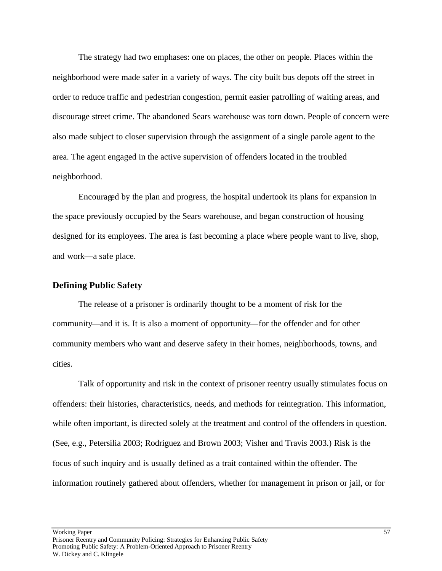The strategy had two emphases: one on places, the other on people. Places within the neighborhood were made safer in a variety of ways. The city built bus depots off the street in order to reduce traffic and pedestrian congestion, permit easier patrolling of waiting areas, and discourage street crime. The abandoned Sears warehouse was torn down. People of concern were also made subject to closer supervision through the assignment of a single parole agent to the area. The agent engaged in the active supervision of offenders located in the troubled neighborhood.

Encouraged by the plan and progress, the hospital undertook its plans for expansion in the space previously occupied by the Sears warehouse, and began construction of housing designed for its employees. The area is fast becoming a place where people want to live, shop, and work—a safe place.

## **Defining Public Safety**

The release of a prisoner is ordinarily thought to be a moment of risk for the community—and it is. It is also a moment of opportunity—for the offender and for other community members who want and deserve safety in their homes, neighborhoods, towns, and cities.

Talk of opportunity and risk in the context of prisoner reentry usually stimulates focus on offenders: their histories, characteristics, needs, and methods for reintegration. This information, while often important, is directed solely at the treatment and control of the offenders in question. (See, e.g., Petersilia 2003; Rodriguez and Brown 2003; Visher and Travis 2003.) Risk is the focus of such inquiry and is usually defined as a trait contained within the offender. The information routinely gathered about offenders, whether for management in prison or jail, or for

Working Paper 57 Prisoner Reentry and Community Policing: Strategies for Enhancing Public Safety Promoting Public Safety: A Problem-Oriented Approach to Prisoner Reentry W. Dickey and C. Klingele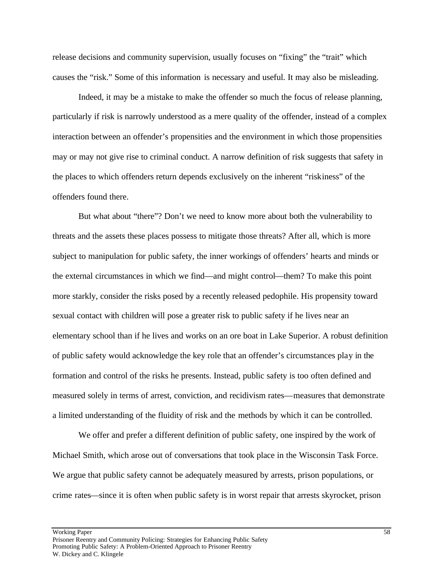release decisions and community supervision, usually focuses on "fixing" the "trait" which causes the "risk." Some of this information is necessary and useful. It may also be misleading.

Indeed, it may be a mistake to make the offender so much the focus of release planning, particularly if risk is narrowly understood as a mere quality of the offender, instead of a complex interaction between an offender's propensities and the environment in which those propensities may or may not give rise to criminal conduct. A narrow definition of risk suggests that safety in the places to which offenders return depends exclusively on the inherent "riskiness" of the offenders found there.

But what about "there"? Don't we need to know more about both the vulnerability to threats and the assets these places possess to mitigate those threats? After all, which is more subject to manipulation for public safety, the inner workings of offenders' hearts and minds or the external circumstances in which we find—and might control—them? To make this point more starkly, consider the risks posed by a recently released pedophile. His propensity toward sexual contact with children will pose a greater risk to public safety if he lives near an elementary school than if he lives and works on an ore boat in Lake Superior. A robust definition of public safety would acknowledge the key role that an offender's circumstances play in the formation and control of the risks he presents. Instead, public safety is too often defined and measured solely in terms of arrest, conviction, and recidivism rates—measures that demonstrate a limited understanding of the fluidity of risk and the methods by which it can be controlled.

We offer and prefer a different definition of public safety, one inspired by the work of Michael Smith, which arose out of conversations that took place in the Wisconsin Task Force. We argue that public safety cannot be adequately measured by arrests, prison populations, or crime rates—since it is often when public safety is in worst repair that arrests skyrocket, prison

Working Paper 58 Prisoner Reentry and Community Policing: Strategies for Enhancing Public Safety Promoting Public Safety: A Problem-Oriented Approach to Prisoner Reentry W. Dickey and C. Klingele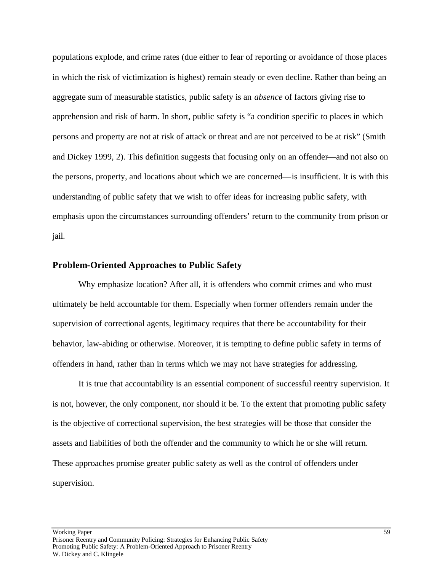populations explode, and crime rates (due either to fear of reporting or avoidance of those places in which the risk of victimization is highest) remain steady or even decline. Rather than being an aggregate sum of measurable statistics, public safety is an *absence* of factors giving rise to apprehension and risk of harm. In short, public safety is "a condition specific to places in which persons and property are not at risk of attack or threat and are not perceived to be at risk" (Smith and Dickey 1999, 2). This definition suggests that focusing only on an offender—and not also on the persons, property, and locations about which we are concerned—is insufficient. It is with this understanding of public safety that we wish to offer ideas for increasing public safety, with emphasis upon the circumstances surrounding offenders' return to the community from prison or jail.

#### **Problem-Oriented Approaches to Public Safety**

Why emphasize location? After all, it is offenders who commit crimes and who must ultimately be held accountable for them. Especially when former offenders remain under the supervision of correctional agents, legitimacy requires that there be accountability for their behavior, law-abiding or otherwise. Moreover, it is tempting to define public safety in terms of offenders in hand, rather than in terms which we may not have strategies for addressing.

It is true that accountability is an essential component of successful reentry supervision. It is not, however, the only component, nor should it be. To the extent that promoting public safety is the objective of correctional supervision, the best strategies will be those that consider the assets and liabilities of both the offender and the community to which he or she will return. These approaches promise greater public safety as well as the control of offenders under supervision.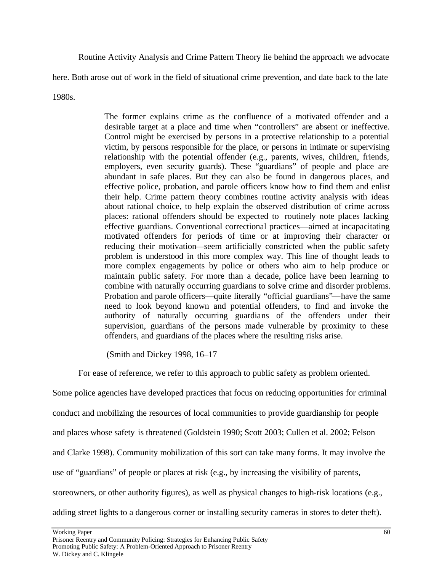Routine Activity Analysis and Crime Pattern Theory lie behind the approach we advocate

here. Both arose out of work in the field of situational crime prevention, and date back to the late

1980s.

The former explains crime as the confluence of a motivated offender and a desirable target at a place and time when "controllers" are absent or ineffective. Control might be exercised by persons in a protective relationship to a potential victim, by persons responsible for the place, or persons in intimate or supervising relationship with the potential offender (e.g., parents, wives, children, friends, employers, even security guards). These "guardians" of people and place are abundant in safe places. But they can also be found in dangerous places, and effective police, probation, and parole officers know how to find them and enlist their help. Crime pattern theory combines routine activity analysis with ideas about rational choice, to help explain the observed distribution of crime across places: rational offenders should be expected to routinely note places lacking effective guardians. Conventional correctional practices—aimed at incapacitating motivated offenders for periods of time or at improving their character or reducing their motivation—seem artificially constricted when the public safety problem is understood in this more complex way. This line of thought leads to more complex engagements by police or others who aim to help produce or maintain public safety. For more than a decade, police have been learning to combine with naturally occurring guardians to solve crime and disorder problems. Probation and parole officers—quite literally "official guardians"—have the same need to look beyond known and potential offenders, to find and invoke the authority of naturally occurring guardians of the offenders under their supervision, guardians of the persons made vulnerable by proximity to these offenders, and guardians of the places where the resulting risks arise.

(Smith and Dickey 1998, 16–17

For ease of reference, we refer to this approach to public safety as problem oriented.

Some police agencies have developed practices that focus on reducing opportunities for criminal

conduct and mobilizing the resources of local communities to provide guardianship for people

and places whose safety is threatened (Goldstein 1990; Scott 2003; Cullen et al. 2002; Felson

and Clarke 1998). Community mobilization of this sort can take many forms. It may involve the

use of "guardians" of people or places at risk (e.g., by increasing the visibility of parents,

storeowners, or other authority figures), as well as physical changes to high-risk locations (e.g.,

adding street lights to a dangerous corner or installing security cameras in stores to deter theft).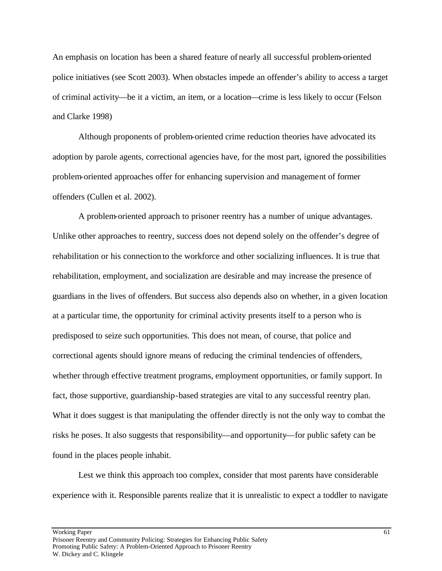An emphasis on location has been a shared feature of nearly all successful problem-oriented police initiatives (see Scott 2003). When obstacles impede an offender's ability to access a target of criminal activity—be it a victim, an item, or a location—crime is less likely to occur (Felson and Clarke 1998)

Although proponents of problem-oriented crime reduction theories have advocated its adoption by parole agents, correctional agencies have, for the most part, ignored the possibilities problem-oriented approaches offer for enhancing supervision and management of former offenders (Cullen et al. 2002).

A problem-oriented approach to prisoner reentry has a number of unique advantages. Unlike other approaches to reentry, success does not depend solely on the offender's degree of rehabilitation or his connection to the workforce and other socializing influences. It is true that rehabilitation, employment, and socialization are desirable and may increase the presence of guardians in the lives of offenders. But success also depends also on whether, in a given location at a particular time, the opportunity for criminal activity presents itself to a person who is predisposed to seize such opportunities. This does not mean, of course, that police and correctional agents should ignore means of reducing the criminal tendencies of offenders, whether through effective treatment programs, employment opportunities, or family support. In fact, those supportive, guardianship-based strategies are vital to any successful reentry plan. What it does suggest is that manipulating the offender directly is not the only way to combat the risks he poses. It also suggests that responsibility—and opportunity—for public safety can be found in the places people inhabit.

Lest we think this approach too complex, consider that most parents have considerable experience with it. Responsible parents realize that it is unrealistic to expect a toddler to navigate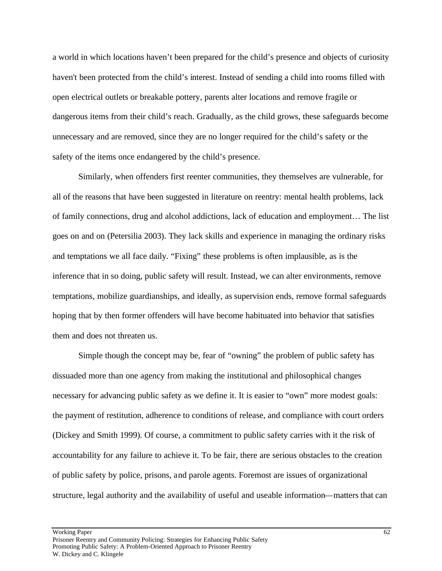a world in which locations haven't been prepared for the child's presence and objects of curiosity haven't been protected from the child's interest. Instead of sending a child into rooms filled with open electrical outlets or breakable pottery, parents alter locations and remove fragile or dangerous items from their child's reach. Gradually, as the child grows, these safeguards become unnecessary and are removed, since they are no longer required for the child's safety or the safety of the items once endangered by the child's presence.

Similarly, when offenders first reenter communities, they themselves are vulnerable, for all of the reasons that have been suggested in literature on reentry: mental health problems, lack of family connections, drug and alcohol addictions, lack of education and employment… The list goes on and on (Petersilia 2003). They lack skills and experience in managing the ordinary risks and temptations we all face daily. "Fixing" these problems is often implausible, as is the inference that in so doing, public safety will result. Instead, we can alter environments, remove temptations, mobilize guardianships, and ideally, as supervision ends, remove formal safeguards hoping that by then former offenders will have become habituated into behavior that satisfies them and does not threaten us.

Simple though the concept may be, fear of "owning" the problem of public safety has dissuaded more than one agency from making the institutional and philosophical changes necessary for advancing public safety as we define it. It is easier to "own" more modest goals: the payment of restitution, adherence to conditions of release, and compliance with court orders (Dickey and Smith 1999). Of course, a commitment to public safety carries with it the risk of accountability for any failure to achieve it. To be fair, there are serious obstacles to the creation of public safety by police, prisons, and parole agents. Foremost are issues of organizational structure, legal authority and the availability of useful and useable information—matters that can

Working Paper 62 Prisoner Reentry and Community Policing: Strategies for Enhancing Public Safety Promoting Public Safety: A Problem-Oriented Approach to Prisoner Reentry W. Dickey and C. Klingele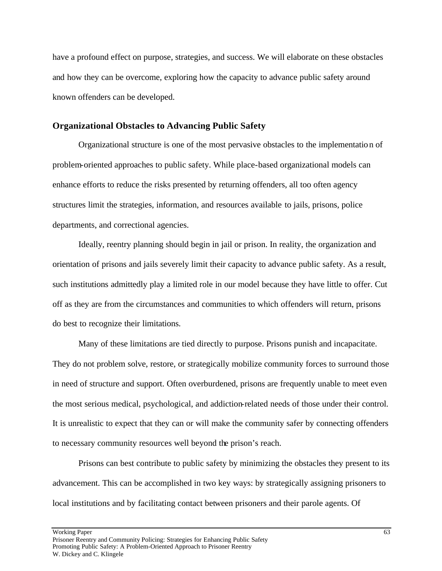have a profound effect on purpose, strategies, and success. We will elaborate on these obstacles and how they can be overcome, exploring how the capacity to advance public safety around known offenders can be developed.

#### **Organizational Obstacles to Advancing Public Safety**

Organizational structure is one of the most pervasive obstacles to the implementation of problem-oriented approaches to public safety. While place-based organizational models can enhance efforts to reduce the risks presented by returning offenders, all too often agency structures limit the strategies, information, and resources available to jails, prisons, police departments, and correctional agencies.

Ideally, reentry planning should begin in jail or prison. In reality, the organization and orientation of prisons and jails severely limit their capacity to advance public safety. As a result, such institutions admittedly play a limited role in our model because they have little to offer. Cut off as they are from the circumstances and communities to which offenders will return, prisons do best to recognize their limitations.

Many of these limitations are tied directly to purpose. Prisons punish and incapacitate. They do not problem solve, restore, or strategically mobilize community forces to surround those in need of structure and support. Often overburdened, prisons are frequently unable to meet even the most serious medical, psychological, and addiction-related needs of those under their control. It is unrealistic to expect that they can or will make the community safer by connecting offenders to necessary community resources well beyond the prison's reach.

Prisons can best contribute to public safety by minimizing the obstacles they present to its advancement. This can be accomplished in two key ways: by strategically assigning prisoners to local institutions and by facilitating contact between prisoners and their parole agents. Of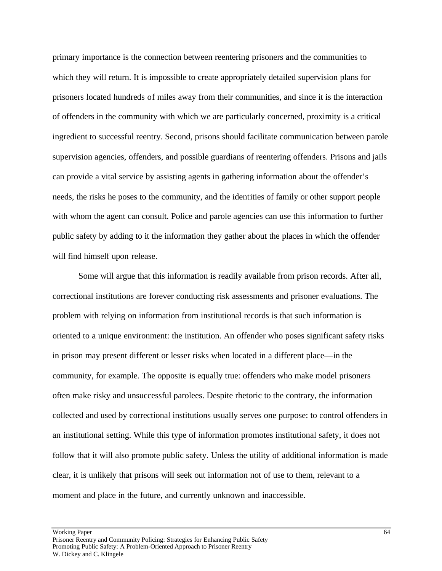primary importance is the connection between reentering prisoners and the communities to which they will return. It is impossible to create appropriately detailed supervision plans for prisoners located hundreds of miles away from their communities, and since it is the interaction of offenders in the community with which we are particularly concerned, proximity is a critical ingredient to successful reentry. Second, prisons should facilitate communication between parole supervision agencies, offenders, and possible guardians of reentering offenders. Prisons and jails can provide a vital service by assisting agents in gathering information about the offender's needs, the risks he poses to the community, and the identities of family or other support people with whom the agent can consult. Police and parole agencies can use this information to further public safety by adding to it the information they gather about the places in which the offender will find himself upon release.

Some will argue that this information is readily available from prison records. After all, correctional institutions are forever conducting risk assessments and prisoner evaluations. The problem with relying on information from institutional records is that such information is oriented to a unique environment: the institution. An offender who poses significant safety risks in prison may present different or lesser risks when located in a different place—in the community, for example. The opposite is equally true: offenders who make model prisoners often make risky and unsuccessful parolees. Despite rhetoric to the contrary, the information collected and used by correctional institutions usually serves one purpose: to control offenders in an institutional setting. While this type of information promotes institutional safety, it does not follow that it will also promote public safety. Unless the utility of additional information is made clear, it is unlikely that prisons will seek out information not of use to them, relevant to a moment and place in the future, and currently unknown and inaccessible.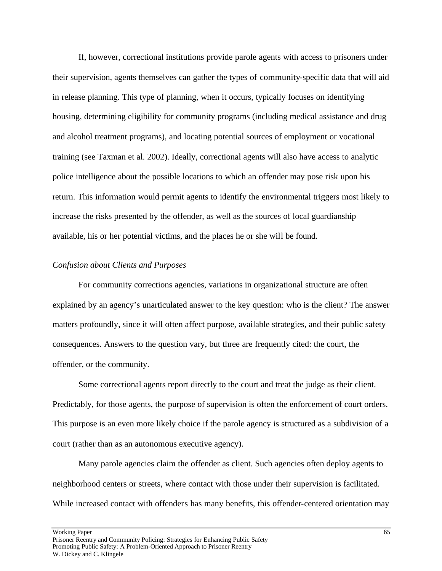If, however, correctional institutions provide parole agents with access to prisoners under their supervision, agents themselves can gather the types of community-specific data that will aid in release planning. This type of planning, when it occurs, typically focuses on identifying housing, determining eligibility for community programs (including medical assistance and drug and alcohol treatment programs), and locating potential sources of employment or vocational training (see Taxman et al. 2002). Ideally, correctional agents will also have access to analytic police intelligence about the possible locations to which an offender may pose risk upon his return. This information would permit agents to identify the environmental triggers most likely to increase the risks presented by the offender, as well as the sources of local guardianship available, his or her potential victims, and the places he or she will be found.

## *Confusion about Clients and Purposes*

For community corrections agencies, variations in organizational structure are often explained by an agency's unarticulated answer to the key question: who is the client? The answer matters profoundly, since it will often affect purpose, available strategies, and their public safety consequences. Answers to the question vary, but three are frequently cited: the court, the offender, or the community.

Some correctional agents report directly to the court and treat the judge as their client. Predictably, for those agents, the purpose of supervision is often the enforcement of court orders. This purpose is an even more likely choice if the parole agency is structured as a subdivision of a court (rather than as an autonomous executive agency).

Many parole agencies claim the offender as client. Such agencies often deploy agents to neighborhood centers or streets, where contact with those under their supervision is facilitated. While increased contact with offenders has many benefits, this offender-centered orientation may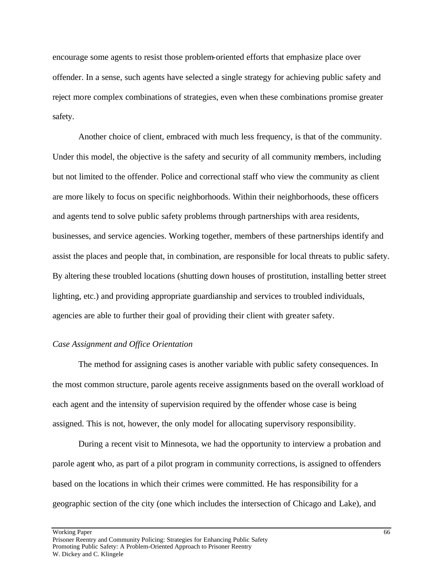encourage some agents to resist those problem-oriented efforts that emphasize place over offender. In a sense, such agents have selected a single strategy for achieving public safety and reject more complex combinations of strategies, even when these combinations promise greater safety.

Another choice of client, embraced with much less frequency, is that of the community. Under this model, the objective is the safety and security of all community members, including but not limited to the offender. Police and correctional staff who view the community as client are more likely to focus on specific neighborhoods. Within their neighborhoods, these officers and agents tend to solve public safety problems through partnerships with area residents, businesses, and service agencies. Working together, members of these partnerships identify and assist the places and people that, in combination, are responsible for local threats to public safety. By altering these troubled locations (shutting down houses of prostitution, installing better street lighting, etc.) and providing appropriate guardianship and services to troubled individuals, agencies are able to further their goal of providing their client with greater safety.

### *Case Assignment and Office Orientation*

The method for assigning cases is another variable with public safety consequences. In the most common structure, parole agents receive assignments based on the overall workload of each agent and the intensity of supervision required by the offender whose case is being assigned. This is not, however, the only model for allocating supervisory responsibility.

During a recent visit to Minnesota, we had the opportunity to interview a probation and parole agent who, as part of a pilot program in community corrections, is assigned to offenders based on the locations in which their crimes were committed. He has responsibility for a geographic section of the city (one which includes the intersection of Chicago and Lake), and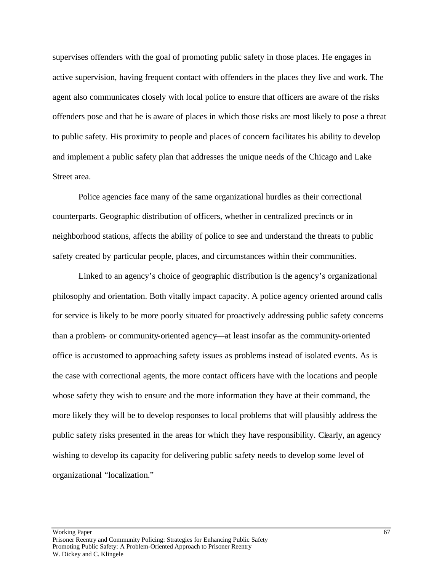supervises offenders with the goal of promoting public safety in those places. He engages in active supervision, having frequent contact with offenders in the places they live and work. The agent also communicates closely with local police to ensure that officers are aware of the risks offenders pose and that he is aware of places in which those risks are most likely to pose a threat to public safety. His proximity to people and places of concern facilitates his ability to develop and implement a public safety plan that addresses the unique needs of the Chicago and Lake Street area.

Police agencies face many of the same organizational hurdles as their correctional counterparts. Geographic distribution of officers, whether in centralized precincts or in neighborhood stations, affects the ability of police to see and understand the threats to public safety created by particular people, places, and circumstances within their communities.

Linked to an agency's choice of geographic distribution is the agency's organizational philosophy and orientation. Both vitally impact capacity. A police agency oriented around calls for service is likely to be more poorly situated for proactively addressing public safety concerns than a problem- or community-oriented agency—at least insofar as the community-oriented office is accustomed to approaching safety issues as problems instead of isolated events. As is the case with correctional agents, the more contact officers have with the locations and people whose safety they wish to ensure and the more information they have at their command, the more likely they will be to develop responses to local problems that will plausibly address the public safety risks presented in the areas for which they have responsibility. Clearly, an agency wishing to develop its capacity for delivering public safety needs to develop some level of organizational "localization."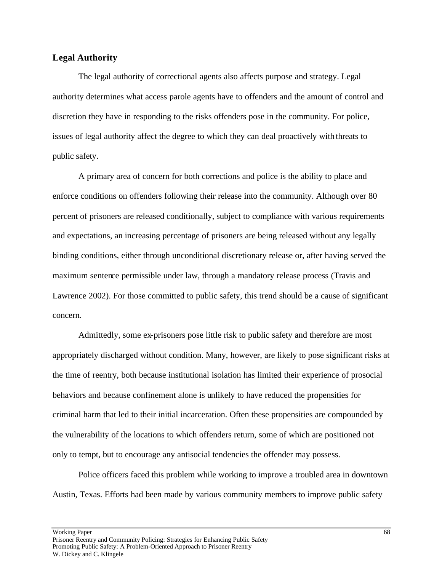### **Legal Authority**

The legal authority of correctional agents also affects purpose and strategy. Legal authority determines what access parole agents have to offenders and the amount of control and discretion they have in responding to the risks offenders pose in the community. For police, issues of legal authority affect the degree to which they can deal proactively with threats to public safety.

A primary area of concern for both corrections and police is the ability to place and enforce conditions on offenders following their release into the community. Although over 80 percent of prisoners are released conditionally, subject to compliance with various requirements and expectations, an increasing percentage of prisoners are being released without any legally binding conditions, either through unconditional discretionary release or, after having served the maximum sentence permissible under law, through a mandatory release process (Travis and Lawrence 2002). For those committed to public safety, this trend should be a cause of significant concern.

Admittedly, some ex-prisoners pose little risk to public safety and therefore are most appropriately discharged without condition. Many, however, are likely to pose significant risks at the time of reentry, both because institutional isolation has limited their experience of prosocial behaviors and because confinement alone is unlikely to have reduced the propensities for criminal harm that led to their initial incarceration. Often these propensities are compounded by the vulnerability of the locations to which offenders return, some of which are positioned not only to tempt, but to encourage any antisocial tendencies the offender may possess.

Police officers faced this problem while working to improve a troubled area in downtown Austin, Texas. Efforts had been made by various community members to improve public safety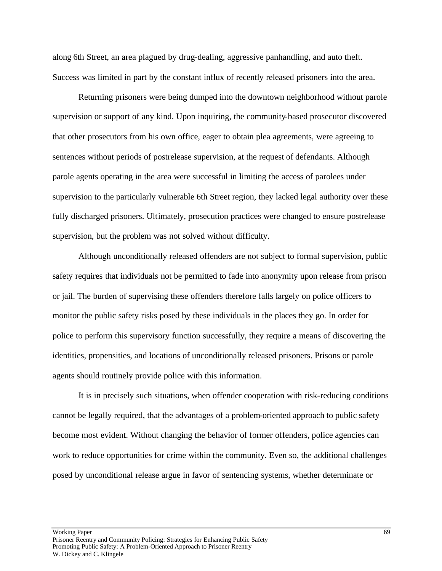along 6th Street, an area plagued by drug-dealing, aggressive panhandling, and auto theft. Success was limited in part by the constant influx of recently released prisoners into the area.

Returning prisoners were being dumped into the downtown neighborhood without parole supervision or support of any kind. Upon inquiring, the community-based prosecutor discovered that other prosecutors from his own office, eager to obtain plea agreements, were agreeing to sentences without periods of postrelease supervision, at the request of defendants. Although parole agents operating in the area were successful in limiting the access of parolees under supervision to the particularly vulnerable 6th Street region, they lacked legal authority over these fully discharged prisoners. Ultimately, prosecution practices were changed to ensure postrelease supervision, but the problem was not solved without difficulty.

Although unconditionally released offenders are not subject to formal supervision, public safety requires that individuals not be permitted to fade into anonymity upon release from prison or jail. The burden of supervising these offenders therefore falls largely on police officers to monitor the public safety risks posed by these individuals in the places they go. In order for police to perform this supervisory function successfully, they require a means of discovering the identities, propensities, and locations of unconditionally released prisoners. Prisons or parole agents should routinely provide police with this information.

It is in precisely such situations, when offender cooperation with risk-reducing conditions cannot be legally required, that the advantages of a problem-oriented approach to public safety become most evident. Without changing the behavior of former offenders, police agencies can work to reduce opportunities for crime within the community. Even so, the additional challenges posed by unconditional release argue in favor of sentencing systems, whether determinate or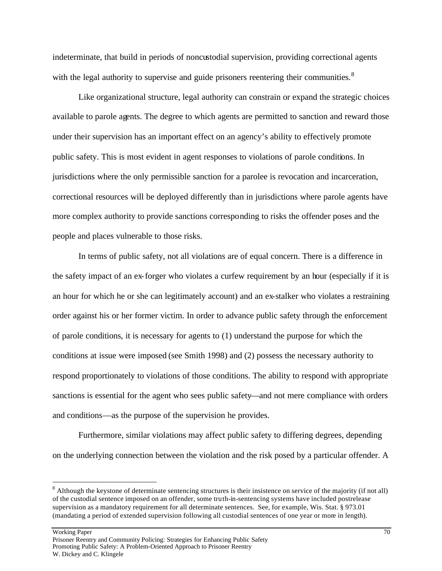indeterminate, that build in periods of noncustodial supervision, providing correctional agents with the legal authority to supervise and guide prisoners reentering their communities.<sup>8</sup>

Like organizational structure, legal authority can constrain or expand the strategic choices available to parole agents. The degree to which agents are permitted to sanction and reward those under their supervision has an important effect on an agency's ability to effectively promote public safety. This is most evident in agent responses to violations of parole conditions. In jurisdictions where the only permissible sanction for a parolee is revocation and incarceration, correctional resources will be deployed differently than in jurisdictions where parole agents have more complex authority to provide sanctions corresponding to risks the offender poses and the people and places vulnerable to those risks.

In terms of public safety, not all violations are of equal concern. There is a difference in the safety impact of an ex-forger who violates a curfew requirement by an hour (especially if it is an hour for which he or she can legitimately account) and an ex-stalker who violates a restraining order against his or her former victim. In order to advance public safety through the enforcement of parole conditions, it is necessary for agents to (1) understand the purpose for which the conditions at issue were imposed (see Smith 1998) and (2) possess the necessary authority to respond proportionately to violations of those conditions. The ability to respond with appropriate sanctions is essential for the agent who sees public safety—and not mere compliance with orders and conditions—as the purpose of the supervision he provides.

Furthermore, similar violations may affect public safety to differing degrees, depending on the underlying connection between the violation and the risk posed by a particular offender. A

 $\overline{a}$ 

 $8$  Although the keystone of determinate sentencing structures is their insistence on service of the majority (if not all) of the custodial sentence imposed on an offender, some truth-in-sentencing systems have included postrelease supervision as a mandatory requirement for all determinate sentences. See, for example, Wis. Stat. § 973.01 (mandating a period of extended supervision following all custodial sentences of one year or more in length).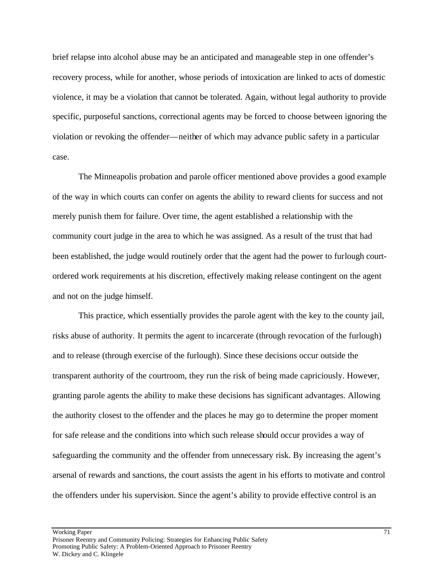brief relapse into alcohol abuse may be an anticipated and manageable step in one offender's recovery process, while for another, whose periods of intoxication are linked to acts of domestic violence, it may be a violation that cannot be tolerated. Again, without legal authority to provide specific, purposeful sanctions, correctional agents may be forced to choose between ignoring the violation or revoking the offender—neither of which may advance public safety in a particular case.

The Minneapolis probation and parole officer mentioned above provides a good example of the way in which courts can confer on agents the ability to reward clients for success and not merely punish them for failure. Over time, the agent established a relationship with the community court judge in the area to which he was assigned. As a result of the trust that had been established, the judge would routinely order that the agent had the power to furlough courtordered work requirements at his discretion, effectively making release contingent on the agent and not on the judge himself.

This practice, which essentially provides the parole agent with the key to the county jail, risks abuse of authority. It permits the agent to incarcerate (through revocation of the furlough) and to release (through exercise of the furlough). Since these decisions occur outside the transparent authority of the courtroom, they run the risk of being made capriciously. However, granting parole agents the ability to make these decisions has significant advantages. Allowing the authority closest to the offender and the places he may go to determine the proper moment for safe release and the conditions into which such release should occur provides a way of safeguarding the community and the offender from unnecessary risk. By increasing the agent's arsenal of rewards and sanctions, the court assists the agent in his efforts to motivate and control the offenders under his supervision. Since the agent's ability to provide effective control is an

Working Paper 71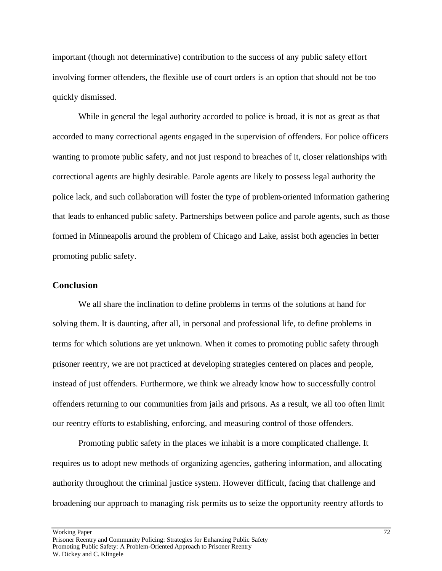important (though not determinative) contribution to the success of any public safety effort involving former offenders, the flexible use of court orders is an option that should not be too quickly dismissed.

While in general the legal authority accorded to police is broad, it is not as great as that accorded to many correctional agents engaged in the supervision of offenders. For police officers wanting to promote public safety, and not just respond to breaches of it, closer relationships with correctional agents are highly desirable. Parole agents are likely to possess legal authority the police lack, and such collaboration will foster the type of problem-oriented information gathering that leads to enhanced public safety. Partnerships between police and parole agents, such as those formed in Minneapolis around the problem of Chicago and Lake, assist both agencies in better promoting public safety.

### **Conclusion**

We all share the inclination to define problems in terms of the solutions at hand for solving them. It is daunting, after all, in personal and professional life, to define problems in terms for which solutions are yet unknown. When it comes to promoting public safety through prisoner reentry, we are not practiced at developing strategies centered on places and people, instead of just offenders. Furthermore, we think we already know how to successfully control offenders returning to our communities from jails and prisons. As a result, we all too often limit our reentry efforts to establishing, enforcing, and measuring control of those offenders.

Promoting public safety in the places we inhabit is a more complicated challenge. It requires us to adopt new methods of organizing agencies, gathering information, and allocating authority throughout the criminal justice system. However difficult, facing that challenge and broadening our approach to managing risk permits us to seize the opportunity reentry affords to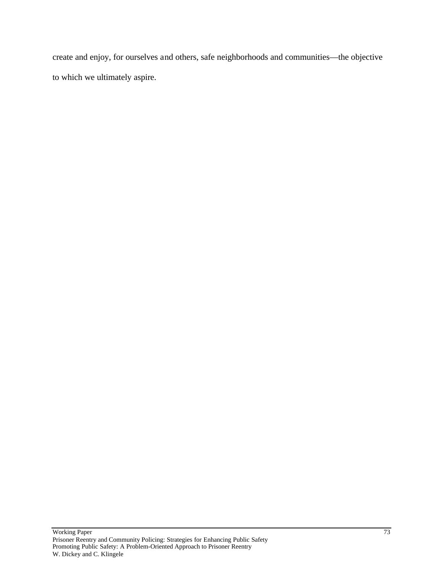create and enjoy, for ourselves and others, safe neighborhoods and communities—the objective to which we ultimately aspire.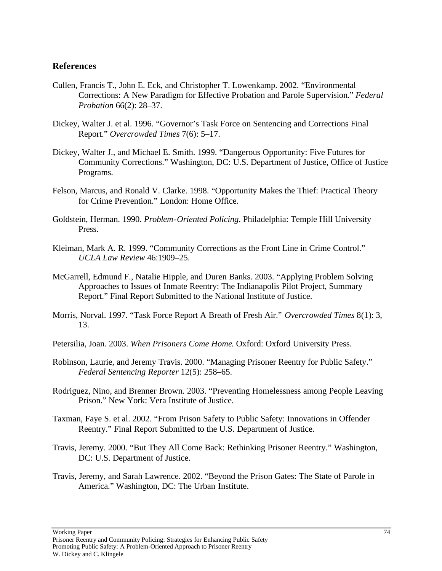### **References**

- Cullen, Francis T., John E. Eck, and Christopher T. Lowenkamp. 2002. "Environmental Corrections: A New Paradigm for Effective Probation and Parole Supervision." *Federal Probation* 66(2): 28–37.
- Dickey, Walter J. et al. 1996. "Governor's Task Force on Sentencing and Corrections Final Report." *Overcrowded Times* 7(6): 5–17.
- Dickey, Walter J., and Michael E. Smith. 1999. "Dangerous Opportunity: Five Futures for Community Corrections." Washington, DC: U.S. Department of Justice, Office of Justice Programs.
- Felson, Marcus, and Ronald V. Clarke. 1998. "Opportunity Makes the Thief: Practical Theory for Crime Prevention." London: Home Office.
- Goldstein, Herman. 1990. *Problem-Oriented Policing*. Philadelphia: Temple Hill University Press.
- Kleiman, Mark A. R. 1999. "Community Corrections as the Front Line in Crime Control." *UCLA Law Review* 46:1909–25.
- McGarrell, Edmund F., Natalie Hipple, and Duren Banks. 2003. "Applying Problem Solving Approaches to Issues of Inmate Reentry: The Indianapolis Pilot Project, Summary Report." Final Report Submitted to the National Institute of Justice.
- Morris, Norval. 1997. "Task Force Report A Breath of Fresh Air." *Overcrowded Times* 8(1): 3, 13.

Petersilia, Joan. 2003. *When Prisoners Come Home*. Oxford: Oxford University Press.

- Robinson, Laurie, and Jeremy Travis. 2000. "Managing Prisoner Reentry for Public Safety." *Federal Sentencing Reporter* 12(5): 258–65.
- Rodriguez, Nino, and Brenner Brown. 2003. "Preventing Homelessness among People Leaving Prison." New York: Vera Institute of Justice.
- Taxman, Faye S. et al. 2002. "From Prison Safety to Public Safety: Innovations in Offender Reentry." Final Report Submitted to the U.S. Department of Justice.
- Travis, Jeremy. 2000. "But They All Come Back: Rethinking Prisoner Reentry." Washington, DC: U.S. Department of Justice.
- Travis, Jeremy, and Sarah Lawrence. 2002. "Beyond the Prison Gates: The State of Parole in America." Washington, DC: The Urban Institute.

Working Paper 74

Prisoner Reentry and Community Policing: Strategies for Enhancing Public Safety Promoting Public Safety: A Problem-Oriented Approach to Prisoner Reentry W. Dickey and C. Klingele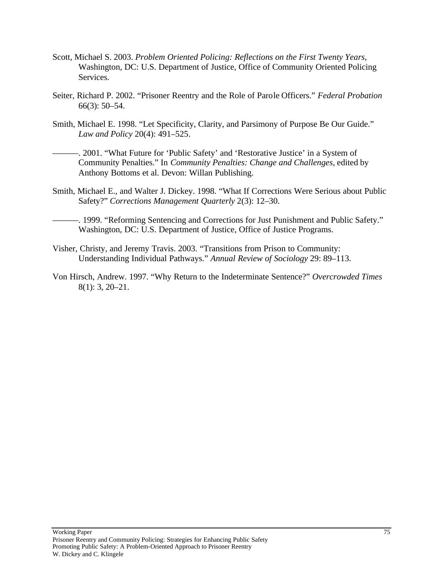- Scott, Michael S. 2003. *Problem Oriented Policing: Reflections on the First Twenty Years*, Washington, DC: U.S. Department of Justice, Office of Community Oriented Policing Services.
- Seiter, Richard P. 2002. "Prisoner Reentry and the Role of Parole Officers." *Federal Probation* 66(3): 50–54.
- Smith, Michael E. 1998. "Let Specificity, Clarity, and Parsimony of Purpose Be Our Guide." *Law and Policy* 20(4): 491–525.
- -. 2001. "What Future for 'Public Safety' and 'Restorative Justice' in a System of Community Penalties." In *Community Penalties: Change and Challenges*, edited by Anthony Bottoms et al. Devon: Willan Publishing.
- Smith, Michael E., and Walter J. Dickey. 1998. "What If Corrections Were Serious about Public Safety?" *Corrections Management Quarterly* 2(3): 12–30.
- ———. 1999. "Reforming Sentencing and Corrections for Just Punishment and Public Safety." Washington, DC: U.S. Department of Justice, Office of Justice Programs.
- Visher, Christy, and Jeremy Travis. 2003. "Transitions from Prison to Community: Understanding Individual Pathways." *Annual Review of Sociology* 29: 89–113.
- Von Hirsch, Andrew. 1997. "Why Return to the Indeterminate Sentence?" *Overcrowded Times* 8(1): 3, 20–21.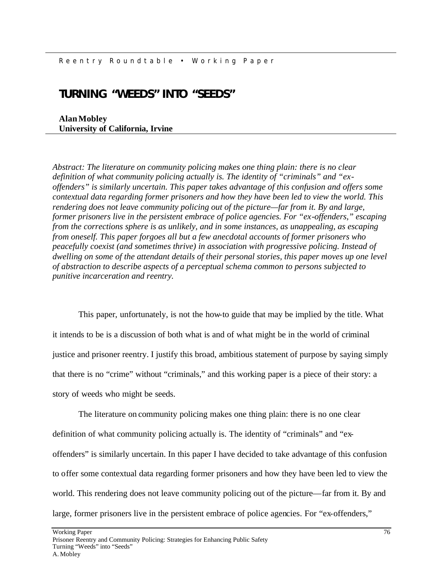## **TURNING "WEEDS" INTO "SEEDS"**

**Alan Mobley University of California, Irvine**

*Abstract: The literature on community policing makes one thing plain: there is no clear definition of what community policing actually is. The identity of "criminals" and "exoffenders" is similarly uncertain. This paper takes advantage of this confusion and offers some contextual data regarding former prisoners and how they have been led to view the world. This rendering does not leave community policing out of the picture—far from it. By and large, former prisoners live in the persistent embrace of police agencies. For "ex-offenders," escaping from the corrections sphere is as unlikely, and in some instances, as unappealing, as escaping from oneself. This paper forgoes all but a few anecdotal accounts of former prisoners who peacefully coexist (and sometimes thrive) in association with progressive policing. Instead of dwelling on some of the attendant details of their personal stories, this paper moves up one level of abstraction to describe aspects of a perceptual schema common to persons subjected to punitive incarceration and reentry.* 

This paper, unfortunately, is not the how-to guide that may be implied by the title. What it intends to be is a discussion of both what is and of what might be in the world of criminal justice and prisoner reentry. I justify this broad, ambitious statement of purpose by saying simply that there is no "crime" without "criminals," and this working paper is a piece of their story: a story of weeds who might be seeds.

The literature on community policing makes one thing plain: there is no one clear definition of what community policing actually is. The identity of "criminals" and "exoffenders" is similarly uncertain. In this paper I have decided to take advantage of this confusion to offer some contextual data regarding former prisoners and how they have been led to view the world. This rendering does not leave community policing out of the picture—far from it. By and large, former prisoners live in the persistent embrace of police agencies. For "ex-offenders,"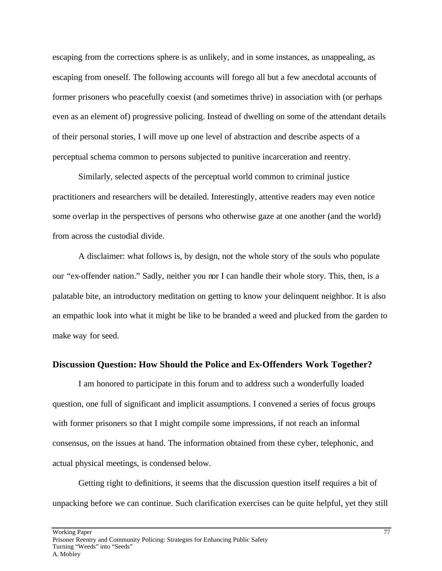escaping from the corrections sphere is as unlikely, and in some instances, as unappealing, as escaping from oneself. The following accounts will forego all but a few anecdotal accounts of former prisoners who peacefully coexist (and sometimes thrive) in association with (or perhaps even as an element of) progressive policing. Instead of dwelling on some of the attendant details of their personal stories, I will move up one level of abstraction and describe aspects of a perceptual schema common to persons subjected to punitive incarceration and reentry.

Similarly, selected aspects of the perceptual world common to criminal justice practitioners and researchers will be detailed. Interestingly, attentive readers may even notice some overlap in the perspectives of persons who otherwise gaze at one another (and the world) from across the custodial divide.

A disclaimer: what follows is, by design, not the whole story of the souls who populate our "ex-offender nation." Sadly, neither you nor I can handle their whole story. This, then, is a palatable bite, an introductory meditation on getting to know your delinquent neighbor. It is also an empathic look into what it might be like to be branded a weed and plucked from the garden to make way for seed.

### **Discussion Question: How Should the Police and Ex-Offenders Work Together?**

I am honored to participate in this forum and to address such a wonderfully loaded question, one full of significant and implicit assumptions. I convened a series of focus groups with former prisoners so that I might compile some impressions, if not reach an informal consensus, on the issues at hand. The information obtained from these cyber, telephonic, and actual physical meetings, is condensed below.

Getting right to definitions, it seems that the discussion question itself requires a bit of unpacking before we can continue. Such clarification exercises can be quite helpful, yet they still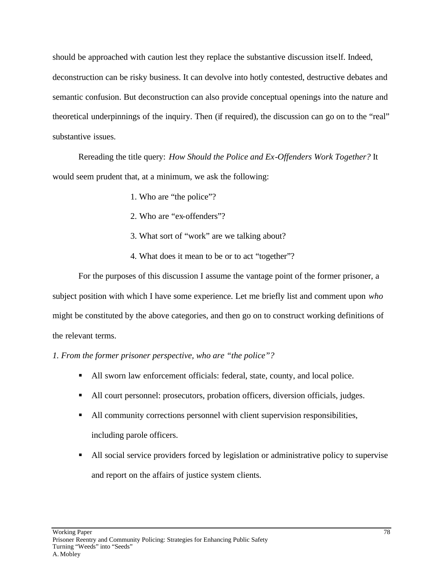should be approached with caution lest they replace the substantive discussion itself. Indeed, deconstruction can be risky business. It can devolve into hotly contested, destructive debates and semantic confusion. But deconstruction can also provide conceptual openings into the nature and theoretical underpinnings of the inquiry. Then (if required), the discussion can go on to the "real" substantive issues.

Rereading the title query: *How Should the Police and Ex-Offenders Work Together?* It would seem prudent that, at a minimum, we ask the following:

- 1. Who are "the police"?
- 2. Who are "ex-offenders"?
- 3. What sort of "work" are we talking about?
- 4. What does it mean to be or to act "together"?

For the purposes of this discussion I assume the vantage point of the former prisoner, a subject position with which I have some experience. Let me briefly list and comment upon *who* might be constituted by the above categories, and then go on to construct working definitions of the relevant terms.

*1. From the former prisoner perspective, who are "the police"?*

- If All sworn law enforcement officials: federal, state, county, and local police.
- If All court personnel: prosecutors, probation officers, diversion officials, judges.
- If All community corrections personnel with client supervision responsibilities, including parole officers.
- ß All social service providers forced by legislation or administrative policy to supervise and report on the affairs of justice system clients.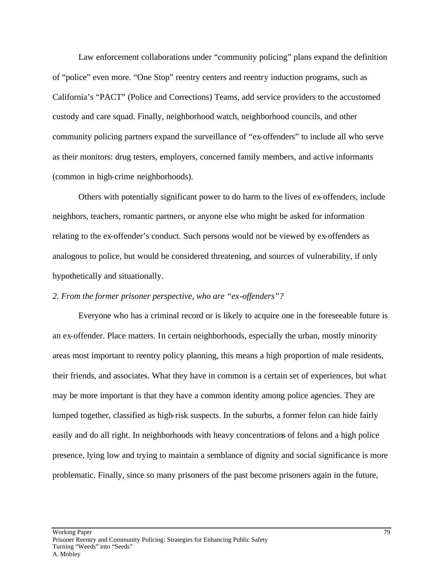Law enforcement collaborations under "community policing" plans expand the definition of "police" even more. "One Stop" reentry centers and reentry induction programs, such as California's "PACT" (Police and Corrections) Teams, add service providers to the accustomed custody and care squad. Finally, neighborhood watch, neighborhood councils, and other community policing partners expand the surveillance of "ex-offenders" to include all who serve as their monitors: drug testers, employers, concerned family members, and active informants (common in high-crime neighborhoods).

Others with potentially significant power to do harm to the lives of ex-offenders, include neighbors, teachers, romantic partners, or anyone else who might be asked for information relating to the ex-offender's conduct. Such persons would not be viewed by ex-offenders as analogous to police, but would be considered threatening, and sources of vulnerability, if only hypothetically and situationally.

### *2. From the former prisoner perspective, who are "ex-offenders"?*

Everyone who has a criminal record or is likely to acquire one in the foreseeable future is an ex-offender. Place matters. In certain neighborhoods, especially the urban, mostly minority areas most important to reentry policy planning, this means a high proportion of male residents, their friends, and associates. What they have in common is a certain set of experiences, but what may be more important is that they have a common identity among police agencies. They are lumped together, classified as high-risk suspects. In the suburbs, a former felon can hide fairly easily and do all right. In neighborhoods with heavy concentrations of felons and a high police presence, lying low and trying to maintain a semblance of dignity and social significance is more problematic. Finally, since so many prisoners of the past become prisoners again in the future,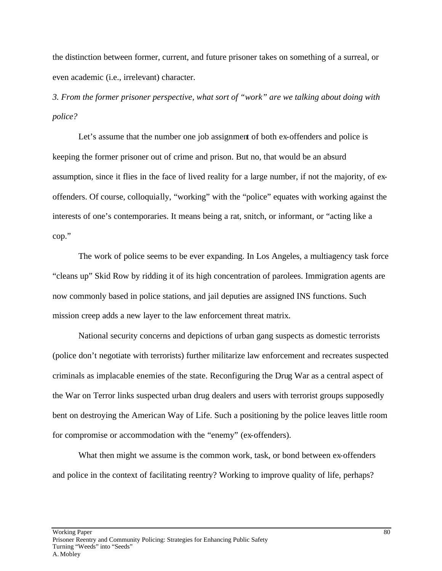the distinction between former, current, and future prisoner takes on something of a surreal, or even academic (i.e., irrelevant) character.

*3. From the former prisoner perspective, what sort of "work" are we talking about doing with police?*

Let's assume that the number one job assignment of both ex-offenders and police is keeping the former prisoner out of crime and prison. But no, that would be an absurd assumption, since it flies in the face of lived reality for a large number, if not the majority, of exoffenders. Of course, colloquially, "working" with the "police" equates with working against the interests of one's contemporaries. It means being a rat, snitch, or informant, or "acting like a cop."

The work of police seems to be ever expanding. In Los Angeles, a multiagency task force "cleans up" Skid Row by ridding it of its high concentration of parolees. Immigration agents are now commonly based in police stations, and jail deputies are assigned INS functions. Such mission creep adds a new layer to the law enforcement threat matrix.

National security concerns and depictions of urban gang suspects as domestic terrorists (police don't negotiate with terrorists) further militarize law enforcement and recreates suspected criminals as implacable enemies of the state. Reconfiguring the Drug War as a central aspect of the War on Terror links suspected urban drug dealers and users with terrorist groups supposedly bent on destroying the American Way of Life. Such a positioning by the police leaves little room for compromise or accommodation with the "enemy" (ex-offenders).

What then might we assume is the common work, task, or bond between ex-offenders and police in the context of facilitating reentry? Working to improve quality of life, perhaps?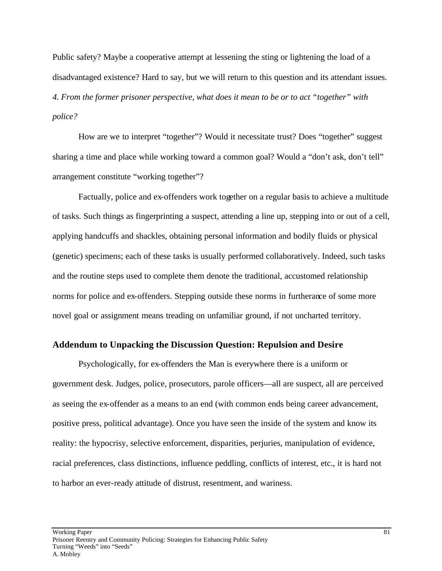Public safety? Maybe a cooperative attempt at lessening the sting or lightening the load of a disadvantaged existence? Hard to say, but we will return to this question and its attendant issues. *4. From the former prisoner perspective, what does it mean to be or to act "together" with police?*

How are we to interpret "together"? Would it necessitate trust? Does "together" suggest sharing a time and place while working toward a common goal? Would a "don't ask, don't tell" arrangement constitute "working together"?

Factually, police and ex-offenders work together on a regular basis to achieve a multitude of tasks. Such things as fingerprinting a suspect, attending a line up, stepping into or out of a cell, applying handcuffs and shackles, obtaining personal information and bodily fluids or physical (genetic) specimens; each of these tasks is usually performed collaboratively. Indeed, such tasks and the routine steps used to complete them denote the traditional, accustomed relationship norms for police and ex-offenders. Stepping outside these norms in furtherance of some more novel goal or assignment means treading on unfamiliar ground, if not uncharted territory.

### **Addendum to Unpacking the Discussion Question: Repulsion and Desire**

Psychologically, for ex-offenders the Man is everywhere there is a uniform or government desk. Judges, police, prosecutors, parole officers—all are suspect, all are perceived as seeing the ex-offender as a means to an end (with common ends being career advancement, positive press, political advantage). Once you have seen the inside of the system and know its reality: the hypocrisy, selective enforcement, disparities, perjuries, manipulation of evidence, racial preferences, class distinctions, influence peddling, conflicts of interest, etc., it is hard not to harbor an ever-ready attitude of distrust, resentment, and wariness.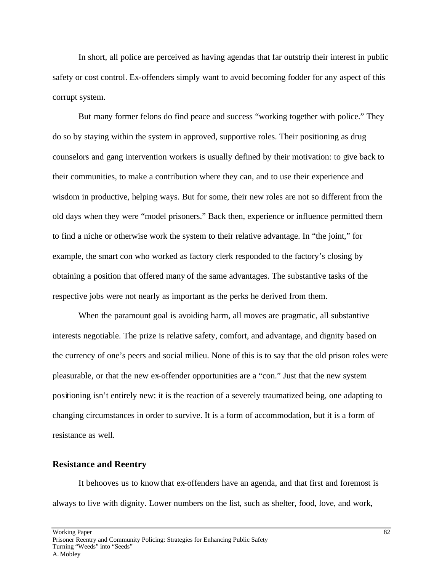In short, all police are perceived as having agendas that far outstrip their interest in public safety or cost control. Ex-offenders simply want to avoid becoming fodder for any aspect of this corrupt system.

But many former felons do find peace and success "working together with police." They do so by staying within the system in approved, supportive roles. Their positioning as drug counselors and gang intervention workers is usually defined by their motivation: to give back to their communities, to make a contribution where they can, and to use their experience and wisdom in productive, helping ways. But for some, their new roles are not so different from the old days when they were "model prisoners." Back then, experience or influence permitted them to find a niche or otherwise work the system to their relative advantage. In "the joint," for example, the smart con who worked as factory clerk responded to the factory's closing by obtaining a position that offered many of the same advantages. The substantive tasks of the respective jobs were not nearly as important as the perks he derived from them.

When the paramount goal is avoiding harm, all moves are pragmatic, all substantive interests negotiable. The prize is relative safety, comfort, and advantage, and dignity based on the currency of one's peers and social milieu. None of this is to say that the old prison roles were pleasurable, or that the new ex-offender opportunities are a "con." Just that the new system positioning isn't entirely new: it is the reaction of a severely traumatized being, one adapting to changing circumstances in order to survive. It is a form of accommodation, but it is a form of resistance as well.

#### **Resistance and Reentry**

It behooves us to know that ex-offenders have an agenda, and that first and foremost is always to live with dignity. Lower numbers on the list, such as shelter, food, love, and work,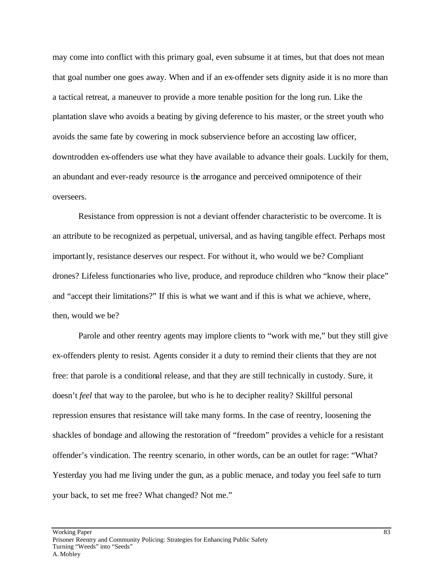may come into conflict with this primary goal, even subsume it at times, but that does not mean that goal number one goes away. When and if an ex-offender sets dignity aside it is no more than a tactical retreat, a maneuver to provide a more tenable position for the long run. Like the plantation slave who avoids a beating by giving deference to his master, or the street youth who avoids the same fate by cowering in mock subservience before an accosting law officer, downtrodden ex-offenders use what they have available to advance their goals. Luckily for them, an abundant and ever-ready resource is the arrogance and perceived omnipotence of their overseers.

Resistance from oppression is not a deviant offender characteristic to be overcome. It is an attribute to be recognized as perpetual, universal, and as having tangible effect. Perhaps most importantly, resistance deserves our respect. For without it, who would we be? Compliant drones? Lifeless functionaries who live, produce, and reproduce children who "know their place" and "accept their limitations?" If this is what we want and if this is what we achieve, where, then, would we be?

Parole and other reentry agents may implore clients to "work with me," but they still give ex-offenders plenty to resist. Agents consider it a duty to remind their clients that they are not free: that parole is a conditional release, and that they are still technically in custody. Sure, it doesn't *feel* that way to the parolee, but who is he to decipher reality? Skillful personal repression ensures that resistance will take many forms. In the case of reentry, loosening the shackles of bondage and allowing the restoration of "freedom" provides a vehicle for a resistant offender's vindication. The reentry scenario, in other words, can be an outlet for rage: "What? Yesterday you had me living under the gun, as a public menace, and today you feel safe to turn your back, to set me free? What changed? Not me."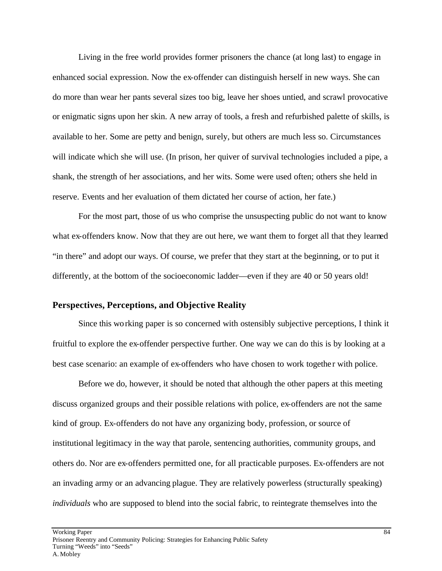Living in the free world provides former prisoners the chance (at long last) to engage in enhanced social expression. Now the ex-offender can distinguish herself in new ways. She can do more than wear her pants several sizes too big, leave her shoes untied, and scrawl provocative or enigmatic signs upon her skin. A new array of tools, a fresh and refurbished palette of skills, is available to her. Some are petty and benign, surely, but others are much less so. Circumstances will indicate which she will use. (In prison, her quiver of survival technologies included a pipe, a shank, the strength of her associations, and her wits. Some were used often; others she held in reserve. Events and her evaluation of them dictated her course of action, her fate.)

For the most part, those of us who comprise the unsuspecting public do not want to know what ex-offenders know. Now that they are out here, we want them to forget all that they learned "in there" and adopt our ways. Of course, we prefer that they start at the beginning, or to put it differently, at the bottom of the socioeconomic ladder—even if they are 40 or 50 years old!

### **Perspectives, Perceptions, and Objective Reality**

Since this working paper is so concerned with ostensibly subjective perceptions, I think it fruitful to explore the ex-offender perspective further. One way we can do this is by looking at a best case scenario: an example of ex-offenders who have chosen to work together with police.

Before we do, however, it should be noted that although the other papers at this meeting discuss organized groups and their possible relations with police, ex-offenders are not the same kind of group. Ex-offenders do not have any organizing body, profession, or source of institutional legitimacy in the way that parole, sentencing authorities, community groups, and others do. Nor are ex-offenders permitted one, for all practicable purposes. Ex-offenders are not an invading army or an advancing plague. They are relatively powerless (structurally speaking) *individuals* who are supposed to blend into the social fabric, to reintegrate themselves into the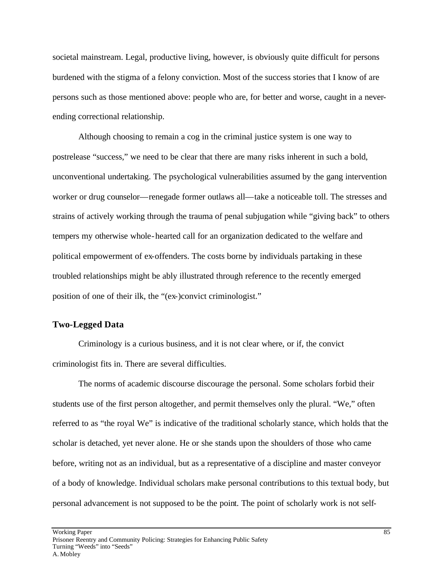societal mainstream. Legal, productive living, however, is obviously quite difficult for persons burdened with the stigma of a felony conviction. Most of the success stories that I know of are persons such as those mentioned above: people who are, for better and worse, caught in a neverending correctional relationship.

Although choosing to remain a cog in the criminal justice system is one way to postrelease "success," we need to be clear that there are many risks inherent in such a bold, unconventional undertaking. The psychological vulnerabilities assumed by the gang intervention worker or drug counselor—renegade former outlaws all—take a noticeable toll. The stresses and strains of actively working through the trauma of penal subjugation while "giving back" to others tempers my otherwise whole-hearted call for an organization dedicated to the welfare and political empowerment of ex-offenders. The costs borne by individuals partaking in these troubled relationships might be ably illustrated through reference to the recently emerged position of one of their ilk, the "(ex-)convict criminologist."

### **Two-Legged Data**

Criminology is a curious business, and it is not clear where, or if, the convict criminologist fits in. There are several difficulties.

The norms of academic discourse discourage the personal. Some scholars forbid their students use of the first person altogether, and permit themselves only the plural. "We," often referred to as "the royal We" is indicative of the traditional scholarly stance, which holds that the scholar is detached, yet never alone. He or she stands upon the shoulders of those who came before, writing not as an individual, but as a representative of a discipline and master conveyor of a body of knowledge. Individual scholars make personal contributions to this textual body, but personal advancement is not supposed to be the point. The point of scholarly work is not self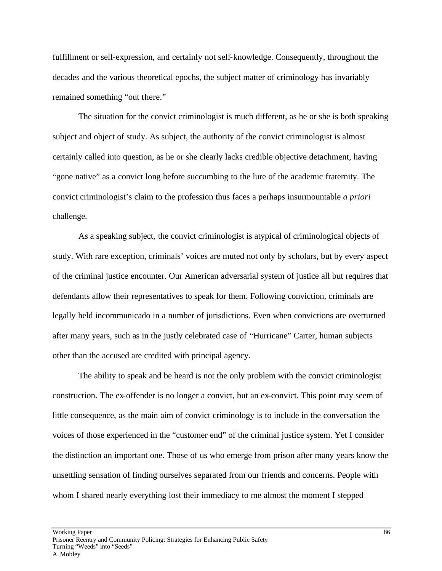fulfillment or self-expression, and certainly not self-knowledge. Consequently, throughout the decades and the various theoretical epochs, the subject matter of criminology has invariably remained something "out there."

The situation for the convict criminologist is much different, as he or she is both speaking subject and object of study. As subject, the authority of the convict criminologist is almost certainly called into question, as he or she clearly lacks credible objective detachment, having "gone native" as a convict long before succumbing to the lure of the academic fraternity. The convict criminologist's claim to the profession thus faces a perhaps insurmountable *a priori* challenge.

As a speaking subject, the convict criminologist is atypical of criminological objects of study. With rare exception, criminals' voices are muted not only by scholars, but by every aspect of the criminal justice encounter. Our American adversarial system of justice all but requires that defendants allow their representatives to speak for them. Following conviction, criminals are legally held incommunicado in a number of jurisdictions. Even when convictions are overturned after many years, such as in the justly celebrated case of "Hurricane" Carter, human subjects other than the accused are credited with principal agency.

The ability to speak and be heard is not the only problem with the convict criminologist construction. The ex-offender is no longer a convict, but an ex-convict. This point may seem of little consequence, as the main aim of convict criminology is to include in the conversation the voices of those experienced in the "customer end" of the criminal justice system. Yet I consider the distinction an important one. Those of us who emerge from prison after many years know the unsettling sensation of finding ourselves separated from our friends and concerns. People with whom I shared nearly everything lost their immediacy to me almost the moment I stepped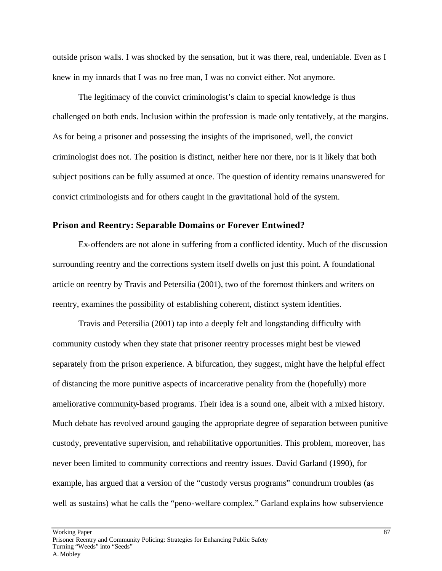outside prison walls. I was shocked by the sensation, but it was there, real, undeniable. Even as I knew in my innards that I was no free man, I was no convict either. Not anymore.

The legitimacy of the convict criminologist's claim to special knowledge is thus challenged on both ends. Inclusion within the profession is made only tentatively, at the margins. As for being a prisoner and possessing the insights of the imprisoned, well, the convict criminologist does not. The position is distinct, neither here nor there, nor is it likely that both subject positions can be fully assumed at once. The question of identity remains unanswered for convict criminologists and for others caught in the gravitational hold of the system.

### **Prison and Reentry: Separable Domains or Forever Entwined?**

Ex-offenders are not alone in suffering from a conflicted identity. Much of the discussion surrounding reentry and the corrections system itself dwells on just this point. A foundational article on reentry by Travis and Petersilia (2001), two of the foremost thinkers and writers on reentry, examines the possibility of establishing coherent, distinct system identities.

Travis and Petersilia (2001) tap into a deeply felt and longstanding difficulty with community custody when they state that prisoner reentry processes might best be viewed separately from the prison experience. A bifurcation, they suggest, might have the helpful effect of distancing the more punitive aspects of incarcerative penality from the (hopefully) more ameliorative community-based programs. Their idea is a sound one, albeit with a mixed history. Much debate has revolved around gauging the appropriate degree of separation between punitive custody, preventative supervision, and rehabilitative opportunities. This problem, moreover, has never been limited to community corrections and reentry issues. David Garland (1990), for example, has argued that a version of the "custody versus programs" conundrum troubles (as well as sustains) what he calls the "peno-welfare complex." Garland explains how subservience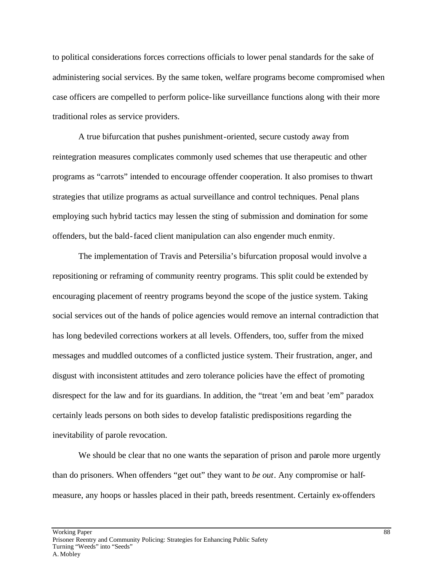to political considerations forces corrections officials to lower penal standards for the sake of administering social services. By the same token, welfare programs become compromised when case officers are compelled to perform police-like surveillance functions along with their more traditional roles as service providers.

A true bifurcation that pushes punishment-oriented, secure custody away from reintegration measures complicates commonly used schemes that use therapeutic and other programs as "carrots" intended to encourage offender cooperation. It also promises to thwart strategies that utilize programs as actual surveillance and control techniques. Penal plans employing such hybrid tactics may lessen the sting of submission and domination for some offenders, but the bald-faced client manipulation can also engender much enmity.

The implementation of Travis and Petersilia's bifurcation proposal would involve a repositioning or reframing of community reentry programs. This split could be extended by encouraging placement of reentry programs beyond the scope of the justice system. Taking social services out of the hands of police agencies would remove an internal contradiction that has long bedeviled corrections workers at all levels. Offenders, too, suffer from the mixed messages and muddled outcomes of a conflicted justice system. Their frustration, anger, and disgust with inconsistent attitudes and zero tolerance policies have the effect of promoting disrespect for the law and for its guardians. In addition, the "treat 'em and beat 'em" paradox certainly leads persons on both sides to develop fatalistic predispositions regarding the inevitability of parole revocation.

We should be clear that no one wants the separation of prison and parole more urgently than do prisoners. When offenders "get out" they want to *be out*. Any compromise or halfmeasure, any hoops or hassles placed in their path, breeds resentment. Certainly ex-offenders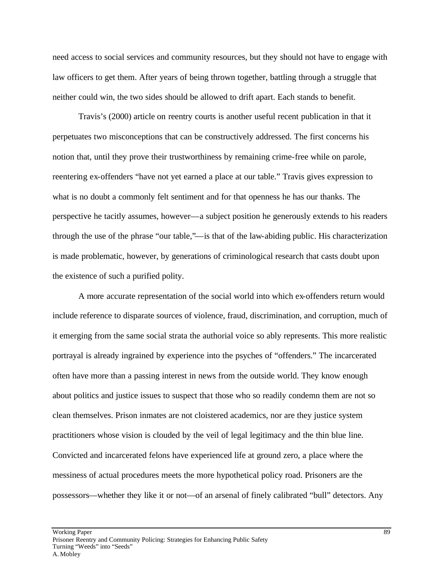need access to social services and community resources, but they should not have to engage with law officers to get them. After years of being thrown together, battling through a struggle that neither could win, the two sides should be allowed to drift apart. Each stands to benefit.

Travis's (2000) article on reentry courts is another useful recent publication in that it perpetuates two misconceptions that can be constructively addressed. The first concerns his notion that, until they prove their trustworthiness by remaining crime-free while on parole, reentering ex-offenders "have not yet earned a place at our table." Travis gives expression to what is no doubt a commonly felt sentiment and for that openness he has our thanks. The perspective he tacitly assumes, however—a subject position he generously extends to his readers through the use of the phrase "our table,"—is that of the law-abiding public. His characterization is made problematic, however, by generations of criminological research that casts doubt upon the existence of such a purified polity.

A more accurate representation of the social world into which ex-offenders return would include reference to disparate sources of violence, fraud, discrimination, and corruption, much of it emerging from the same social strata the authorial voice so ably represents. This more realistic portrayal is already ingrained by experience into the psyches of "offenders." The incarcerated often have more than a passing interest in news from the outside world. They know enough about politics and justice issues to suspect that those who so readily condemn them are not so clean themselves. Prison inmates are not cloistered academics, nor are they justice system practitioners whose vision is clouded by the veil of legal legitimacy and the thin blue line. Convicted and incarcerated felons have experienced life at ground zero, a place where the messiness of actual procedures meets the more hypothetical policy road. Prisoners are the possessors—whether they like it or not—of an arsenal of finely calibrated "bull" detectors. Any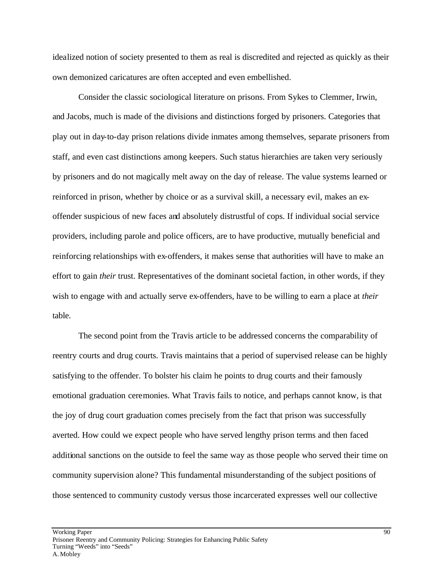idealized notion of society presented to them as real is discredited and rejected as quickly as their own demonized caricatures are often accepted and even embellished.

Consider the classic sociological literature on prisons. From Sykes to Clemmer, Irwin, and Jacobs, much is made of the divisions and distinctions forged by prisoners. Categories that play out in day-to-day prison relations divide inmates among themselves, separate prisoners from staff, and even cast distinctions among keepers. Such status hierarchies are taken very seriously by prisoners and do not magically melt away on the day of release. The value systems learned or reinforced in prison, whether by choice or as a survival skill, a necessary evil, makes an exoffender suspicious of new faces and absolutely distrustful of cops. If individual social service providers, including parole and police officers, are to have productive, mutually beneficial and reinforcing relationships with ex-offenders, it makes sense that authorities will have to make an effort to gain *their* trust. Representatives of the dominant societal faction, in other words, if they wish to engage with and actually serve ex-offenders, have to be willing to earn a place at *their* table.

The second point from the Travis article to be addressed concerns the comparability of reentry courts and drug courts. Travis maintains that a period of supervised release can be highly satisfying to the offender. To bolster his claim he points to drug courts and their famously emotional graduation ceremonies. What Travis fails to notice, and perhaps cannot know, is that the joy of drug court graduation comes precisely from the fact that prison was successfully averted. How could we expect people who have served lengthy prison terms and then faced additional sanctions on the outside to feel the same way as those people who served their time on community supervision alone? This fundamental misunderstanding of the subject positions of those sentenced to community custody versus those incarcerated expresses well our collective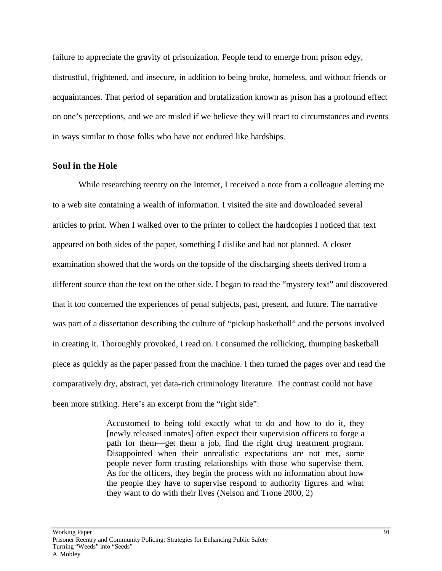failure to appreciate the gravity of prisonization. People tend to emerge from prison edgy, distrustful, frightened, and insecure, in addition to being broke, homeless, and without friends or acquaintances. That period of separation and brutalization known as prison has a profound effect on one's perceptions, and we are misled if we believe they will react to circumstances and events in ways similar to those folks who have not endured like hardships.

### **Soul in the Hole**

While researching reentry on the Internet, I received a note from a colleague alerting me to a web site containing a wealth of information. I visited the site and downloaded several articles to print. When I walked over to the printer to collect the hardcopies I noticed that text appeared on both sides of the paper, something I dislike and had not planned. A closer examination showed that the words on the topside of the discharging sheets derived from a different source than the text on the other side. I began to read the "mystery text" and discovered that it too concerned the experiences of penal subjects, past, present, and future. The narrative was part of a dissertation describing the culture of "pickup basketball" and the persons involved in creating it. Thoroughly provoked, I read on. I consumed the rollicking, thumping basketball piece as quickly as the paper passed from the machine. I then turned the pages over and read the comparatively dry, abstract, yet data-rich criminology literature. The contrast could not have been more striking. Here's an excerpt from the "right side":

> Accustomed to being told exactly what to do and how to do it, they [newly released inmates] often expect their supervision officers to forge a path for them—get them a job, find the right drug treatment program. Disappointed when their unrealistic expectations are not met, some people never form trusting relationships with those who supervise them. As for the officers, they begin the process with no information about how the people they have to supervise respond to authority figures and what they want to do with their lives (Nelson and Trone 2000, 2)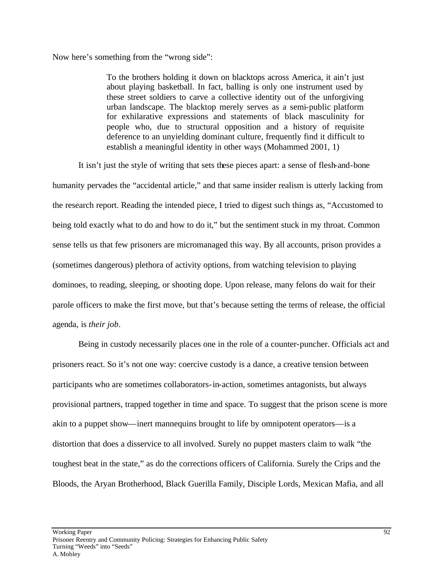Now here's something from the "wrong side":

To the brothers holding it down on blacktops across America, it ain't just about playing basketball. In fact, balling is only one instrument used by these street soldiers to carve a collective identity out of the unforgiving urban landscape. The blacktop merely serves as a semi-public platform for exhilarative expressions and statements of black masculinity for people who, due to structural opposition and a history of requisite deference to an unyielding dominant culture, frequently find it difficult to establish a meaningful identity in other ways (Mohammed 2001, 1)

It isn't just the style of writing that sets these pieces apart: a sense of flesh-and-bone

humanity pervades the "accidental article," and that same insider realism is utterly lacking from the research report. Reading the intended piece, I tried to digest such things as, "Accustomed to being told exactly what to do and how to do it," but the sentiment stuck in my throat. Common sense tells us that few prisoners are micromanaged this way. By all accounts, prison provides a (sometimes dangerous) plethora of activity options, from watching television to playing dominoes, to reading, sleeping, or shooting dope. Upon release, many felons do wait for their parole officers to make the first move, but that's because setting the terms of release, the official agenda, is *their job*.

Being in custody necessarily places one in the role of a counter-puncher. Officials act and prisoners react. So it's not one way: coercive custody is a dance, a creative tension between participants who are sometimes collaborators-in-action, sometimes antagonists, but always provisional partners, trapped together in time and space. To suggest that the prison scene is more akin to a puppet show—inert mannequins brought to life by omnipotent operators—is a distortion that does a disservice to all involved. Surely no puppet masters claim to walk "the toughest beat in the state," as do the corrections officers of California. Surely the Crips and the Bloods, the Aryan Brotherhood, Black Guerilla Family, Disciple Lords, Mexican Mafia, and all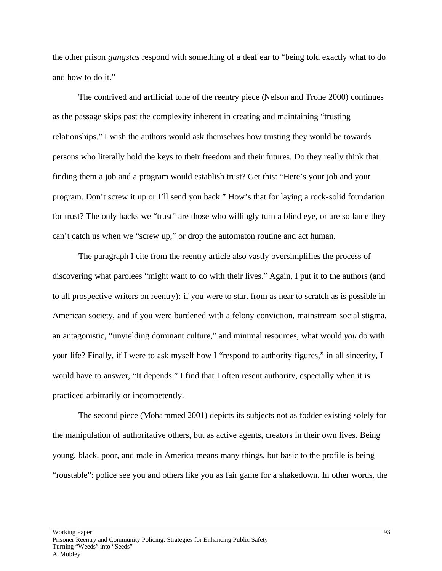the other prison *gangstas* respond with something of a deaf ear to "being told exactly what to do and how to do it."

The contrived and artificial tone of the reentry piece (Nelson and Trone 2000) continues as the passage skips past the complexity inherent in creating and maintaining "trusting relationships." I wish the authors would ask themselves how trusting they would be towards persons who literally hold the keys to their freedom and their futures. Do they really think that finding them a job and a program would establish trust? Get this: "Here's your job and your program. Don't screw it up or I'll send you back." How's that for laying a rock-solid foundation for trust? The only hacks we "trust" are those who willingly turn a blind eye, or are so lame they can't catch us when we "screw up," or drop the automaton routine and act human.

The paragraph I cite from the reentry article also vastly oversimplifies the process of discovering what parolees "might want to do with their lives." Again, I put it to the authors (and to all prospective writers on reentry): if you were to start from as near to scratch as is possible in American society, and if you were burdened with a felony conviction, mainstream social stigma, an antagonistic, "unyielding dominant culture," and minimal resources, what would *you* do with your life? Finally, if I were to ask myself how I "respond to authority figures," in all sincerity, I would have to answer, "It depends." I find that I often resent authority, especially when it is practiced arbitrarily or incompetently.

The second piece (Mohammed 2001) depicts its subjects not as fodder existing solely for the manipulation of authoritative others, but as active agents, creators in their own lives. Being young, black, poor, and male in America means many things, but basic to the profile is being "roustable": police see you and others like you as fair game for a shakedown. In other words, the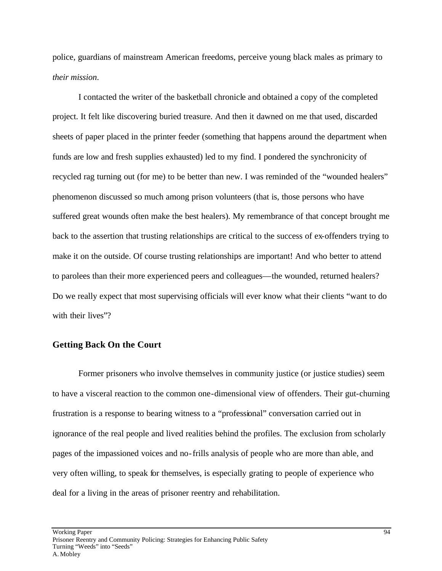police, guardians of mainstream American freedoms, perceive young black males as primary to *their mission*.

I contacted the writer of the basketball chronicle and obtained a copy of the completed project. It felt like discovering buried treasure. And then it dawned on me that used, discarded sheets of paper placed in the printer feeder (something that happens around the department when funds are low and fresh supplies exhausted) led to my find. I pondered the synchronicity of recycled rag turning out (for me) to be better than new. I was reminded of the "wounded healers" phenomenon discussed so much among prison volunteers (that is, those persons who have suffered great wounds often make the best healers). My remembrance of that concept brought me back to the assertion that trusting relationships are critical to the success of ex-offenders trying to make it on the outside. Of course trusting relationships are important! And who better to attend to parolees than their more experienced peers and colleagues—the wounded, returned healers? Do we really expect that most supervising officials will ever know what their clients "want to do with their lives"?

### **Getting Back On the Court**

Former prisoners who involve themselves in community justice (or justice studies) seem to have a visceral reaction to the common one-dimensional view of offenders. Their gut-churning frustration is a response to bearing witness to a "professional" conversation carried out in ignorance of the real people and lived realities behind the profiles. The exclusion from scholarly pages of the impassioned voices and no-frills analysis of people who are more than able, and very often willing, to speak for themselves, is especially grating to people of experience who deal for a living in the areas of prisoner reentry and rehabilitation.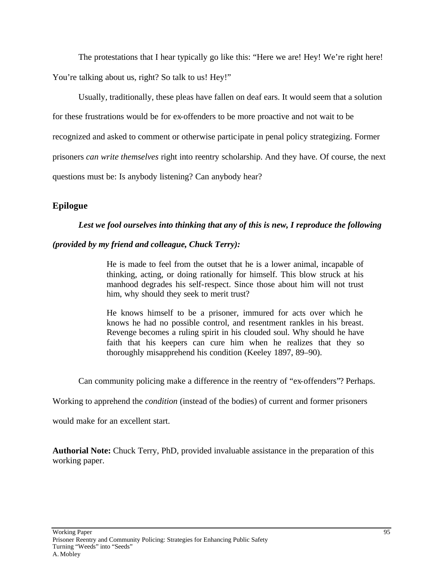The protestations that I hear typically go like this: "Here we are! Hey! We're right here! You're talking about us, right? So talk to us! Hey!"

Usually, traditionally, these pleas have fallen on deaf ears. It would seem that a solution for these frustrations would be for ex-offenders to be more proactive and not wait to be recognized and asked to comment or otherwise participate in penal policy strategizing. Former prisoners *can write themselves* right into reentry scholarship. And they have. Of course, the next questions must be: Is anybody listening? Can anybody hear?

## **Epilogue**

### *Lest we fool ourselves into thinking that any of this is new, I reproduce the following*

### *(provided by my friend and colleague, Chuck Terry):*

He is made to feel from the outset that he is a lower animal, incapable of thinking, acting, or doing rationally for himself. This blow struck at his manhood degrades his self-respect. Since those about him will not trust him, why should they seek to merit trust?

He knows himself to be a prisoner, immured for acts over which he knows he had no possible control, and resentment rankles in his breast. Revenge becomes a ruling spirit in his clouded soul. Why should he have faith that his keepers can cure him when he realizes that they so thoroughly misapprehend his condition (Keeley 1897, 89–90).

Can community policing make a difference in the reentry of "ex-offenders"? Perhaps.

Working to apprehend the *condition* (instead of the bodies) of current and former prisoners

would make for an excellent start.

**Authorial Note:** Chuck Terry, PhD, provided invaluable assistance in the preparation of this working paper.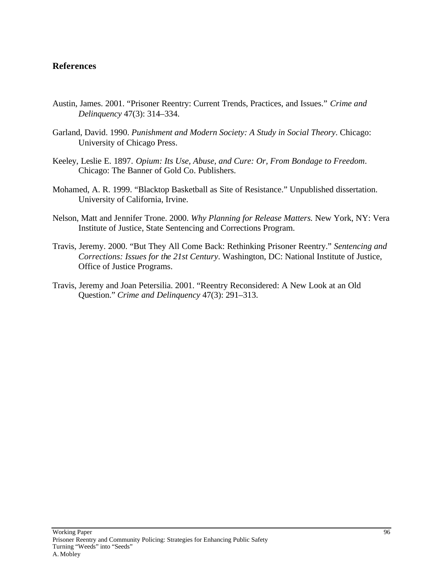### **References**

- Austin, James. 2001. "Prisoner Reentry: Current Trends, Practices, and Issues." *Crime and Delinquency* 47(3): 314–334.
- Garland, David. 1990. *Punishment and Modern Society: A Study in Social Theory*. Chicago: University of Chicago Press.
- Keeley, Leslie E. 1897. *Opium: Its Use, Abuse, and Cure: Or, From Bondage to Freedom*. Chicago: The Banner of Gold Co. Publishers.
- Mohamed, A. R. 1999. "Blacktop Basketball as Site of Resistance." Unpublished dissertation. University of California, Irvine.
- Nelson, Matt and Jennifer Trone. 2000. *Why Planning for Release Matters.* New York, NY: Vera Institute of Justice, State Sentencing and Corrections Program.
- Travis, Jeremy. 2000. "But They All Come Back: Rethinking Prisoner Reentry." *Sentencing and Corrections: Issues for the 21st Century*. Washington, DC: National Institute of Justice, Office of Justice Programs.
- Travis, Jeremy and Joan Petersilia. 2001. "Reentry Reconsidered: A New Look at an Old Question." *Crime and Delinquency* 47(3): 291–313.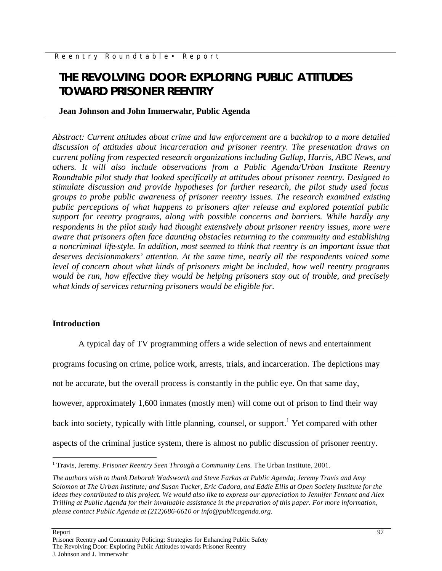# **THE REVOLVING DOOR: EXPLORING PUBLIC ATTITUDES TOWARD PRISONER REENTRY**

### **Jean Johnson and John Immerwahr, Public Agenda**

*Abstract: Current attitudes about crime and law enforcement are a backdrop to a more detailed discussion of attitudes about incarceration and prisoner reentry. The presentation draws on current polling from respected research organizations including Gallup, Harris, ABC News, and others. It will also include observations from a Public Agenda/Urban Institute Reentry Roundtable pilot study that looked specifically at attitudes about prisoner reentry. Designed to stimulate discussion and provide hypotheses for further research, the pilot study used focus groups to probe public awareness of prisoner reentry issues. The research examined existing public perceptions of what happens to prisoners after release and explored potential public support for reentry programs, along with possible concerns and barriers. While hardly any respondents in the pilot study had thought extensively about prisoner reentry issues, more were aware that prisoners often face daunting obstacles returning to the community and establishing a noncriminal life-style. In addition, most seemed to think that reentry is an important issue that deserves decisionmakers' attention. At the same time, nearly all the respondents voiced some level of concern about what kinds of prisoners might be included, how well reentry programs would be run, how effective they would be helping prisoners stay out of trouble, and precisely what kinds of services returning prisoners would be eligible for.* 

### **Introduction**

A typical day of TV programming offers a wide selection of news and entertainment

programs focusing on crime, police work, arrests, trials, and incarceration. The depictions may

not be accurate, but the overall process is constantly in the public eye. On that same day,

however, approximately 1,600 inmates (mostly men) will come out of prison to find their way

back into society, typically with little planning, counsel, or support.<sup>1</sup> Yet compared with other

aspects of the criminal justice system, there is almost no public discussion of prisoner reentry.

 $\overline{a}$ 

<sup>&</sup>lt;sup>1</sup> Travis, Jeremy. *Prisoner Reentry Seen Through a Community Lens*. The Urban Institute, 2001.

*The authors wish to thank Deborah Wadsworth and Steve Farkas at Public Agenda; Jeremy Travis and Amy Solomon at The Urban Institute; and Susan Tucker, Eric Cadora, and Eddie Ellis at Open Society Institute for the ideas they contributed to this project. We would also like to express our appreciation to Jennifer Tennant and Alex Trilling at Public Agenda for their invaluable assistance in the preparation of this paper. For more information, please contact Public Agenda at (212)686-6610 or info@publicagenda.org.*

Report 50 and 200 and 200 and 200 and 200 and 200 and 200 and 200 and 200 and 200 and 200 and 200 and 200 and 200 and 200 and 200 and 200 and 200 and 200 and 200 and 200 and 200 and 200 and 200 and 200 and 200 and 200 and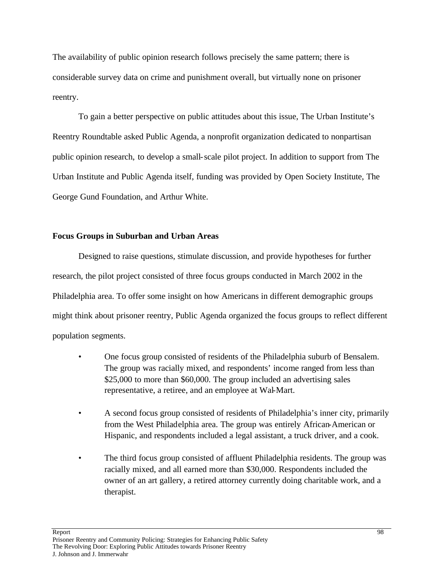The availability of public opinion research follows precisely the same pattern; there is considerable survey data on crime and punishment overall, but virtually none on prisoner reentry.

To gain a better perspective on public attitudes about this issue, The Urban Institute's Reentry Roundtable asked Public Agenda, a nonprofit organization dedicated to nonpartisan public opinion research, to develop a small-scale pilot project. In addition to support from The Urban Institute and Public Agenda itself, funding was provided by Open Society Institute, The George Gund Foundation, and Arthur White.

### **Focus Groups in Suburban and Urban Areas**

Designed to raise questions, stimulate discussion, and provide hypotheses for further research, the pilot project consisted of three focus groups conducted in March 2002 in the Philadelphia area. To offer some insight on how Americans in different demographic groups might think about prisoner reentry, Public Agenda organized the focus groups to reflect different population segments.

- One focus group consisted of residents of the Philadelphia suburb of Bensalem. The group was racially mixed, and respondents' income ranged from less than \$25,000 to more than \$60,000. The group included an advertising sales representative, a retiree, and an employee at Wal-Mart.
- A second focus group consisted of residents of Philadelphia's inner city, primarily from the West Philadelphia area. The group was entirely African-American or Hispanic, and respondents included a legal assistant, a truck driver, and a cook.
- The third focus group consisted of affluent Philadelphia residents. The group was racially mixed, and all earned more than \$30,000. Respondents included the owner of an art gallery, a retired attorney currently doing charitable work, and a therapist.

Report that the contract of the contract of the contract of the contract of the contract of the contract of the contract of the contract of the contract of the contract of the contract of the contract of the contract of th

Prisoner Reentry and Community Policing: Strategies for Enhancing Public Safety The Revolving Door: Exploring Public Attitudes towards Prisoner Reentry J. Johnson and J. Immerwahr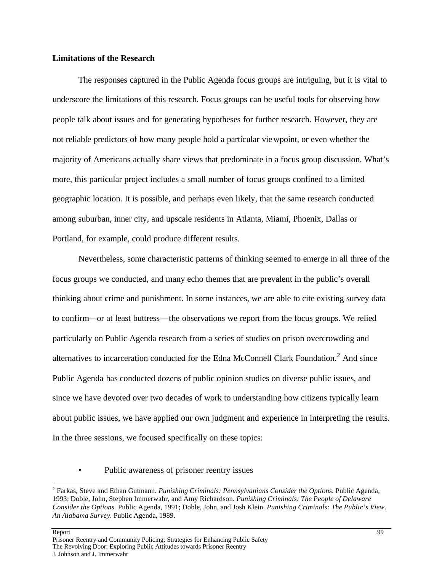### **Limitations of the Research**

The responses captured in the Public Agenda focus groups are intriguing, but it is vital to underscore the limitations of this research. Focus groups can be useful tools for observing how people talk about issues and for generating hypotheses for further research. However, they are not reliable predictors of how many people hold a particular viewpoint, or even whether the majority of Americans actually share views that predominate in a focus group discussion. What's more, this particular project includes a small number of focus groups confined to a limited geographic location. It is possible, and perhaps even likely, that the same research conducted among suburban, inner city, and upscale residents in Atlanta, Miami, Phoenix, Dallas or Portland, for example, could produce different results.

Nevertheless, some characteristic patterns of thinking seemed to emerge in all three of the focus groups we conducted, and many echo themes that are prevalent in the public's overall thinking about crime and punishment. In some instances, we are able to cite existing survey data to confirm—or at least buttress—the observations we report from the focus groups. We relied particularly on Public Agenda research from a series of studies on prison overcrowding and alternatives to incarceration conducted for the Edna McConnell Clark Foundation.<sup>2</sup> And since Public Agenda has conducted dozens of public opinion studies on diverse public issues, and since we have devoted over two decades of work to understanding how citizens typically learn about public issues, we have applied our own judgment and experience in interpreting the results. In the three sessions, we focused specifically on these topics:

#### • Public awareness of prisoner reentry issues

Report that the contract of the contract of the contract of the contract of the contract of the contract of the contract of the contract of the contract of the contract of the contract of the contract of the contract of th

 $\overline{a}$ 

<sup>2</sup> Farkas, Steve and Ethan Gutmann. *Punishing Criminals: Pennsylvanians Consider the Options.* Public Agenda, 1993; Doble, John, Stephen Immerwahr, and Amy Richardson. *Punishing Criminals: The People of Delaware Consider the Options.* Public Agenda, 1991; Doble, John, and Josh Klein. *Punishing Criminals: The Public's View. An Alabama Survey.* Public Agenda, 1989.

Prisoner Reentry and Community Policing: Strategies for Enhancing Public Safety The Revolving Door: Exploring Public Attitudes towards Prisoner Reentry J. Johnson and J. Immerwahr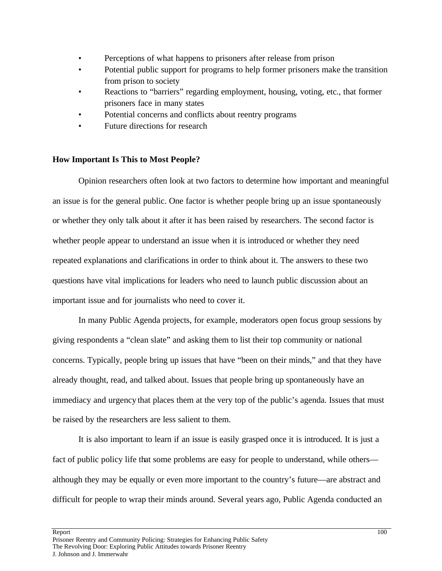- Perceptions of what happens to prisoners after release from prison
- Potential public support for programs to help former prisoners make the transition from prison to society
- Reactions to "barriers" regarding employment, housing, voting, etc., that former prisoners face in many states
- Potential concerns and conflicts about reentry programs
- Future directions for research

### **How Important Is This to Most People?**

Opinion researchers often look at two factors to determine how important and meaningful an issue is for the general public. One factor is whether people bring up an issue spontaneously or whether they only talk about it after it has been raised by researchers. The second factor is whether people appear to understand an issue when it is introduced or whether they need repeated explanations and clarifications in order to think about it. The answers to these two questions have vital implications for leaders who need to launch public discussion about an important issue and for journalists who need to cover it.

In many Public Agenda projects, for example, moderators open focus group sessions by giving respondents a "clean slate" and asking them to list their top community or national concerns. Typically, people bring up issues that have "been on their minds," and that they have already thought, read, and talked about. Issues that people bring up spontaneously have an immediacy and urgency that places them at the very top of the public's agenda. Issues that must be raised by the researchers are less salient to them.

It is also important to learn if an issue is easily grasped once it is introduced. It is just a fact of public policy life that some problems are easy for people to understand, while others although they may be equally or even more important to the country's future—are abstract and difficult for people to wrap their minds around. Several years ago, Public Agenda conducted an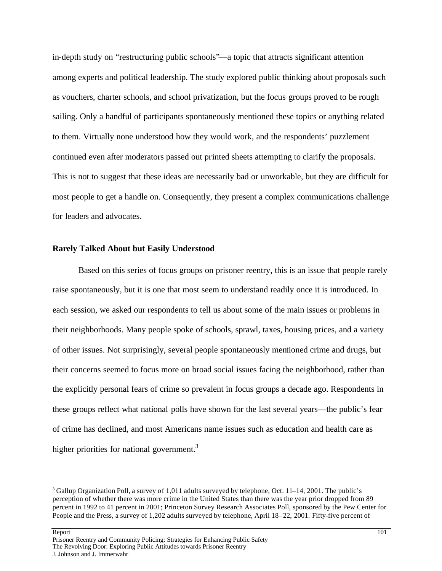in-depth study on "restructuring public schools"—a topic that attracts significant attention among experts and political leadership. The study explored public thinking about proposals such as vouchers, charter schools, and school privatization, but the focus groups proved to be rough sailing. Only a handful of participants spontaneously mentioned these topics or anything related to them. Virtually none understood how they would work, and the respondents' puzzlement continued even after moderators passed out printed sheets attempting to clarify the proposals. This is not to suggest that these ideas are necessarily bad or unworkable, but they are difficult for most people to get a handle on. Consequently, they present a complex communications challenge for leaders and advocates.

#### **Rarely Talked About but Easily Understood**

Based on this series of focus groups on prisoner reentry, this is an issue that people rarely raise spontaneously, but it is one that most seem to understand readily once it is introduced. In each session, we asked our respondents to tell us about some of the main issues or problems in their neighborhoods. Many people spoke of schools, sprawl, taxes, housing prices, and a variety of other issues. Not surprisingly, several people spontaneously mentioned crime and drugs, but their concerns seemed to focus more on broad social issues facing the neighborhood, rather than the explicitly personal fears of crime so prevalent in focus groups a decade ago. Respondents in these groups reflect what national polls have shown for the last several years—the public's fear of crime has declined, and most Americans name issues such as education and health care as higher priorities for national government.<sup>3</sup>

#### Report 101

 $\overline{a}$ 

 $3$  Gallup Organization Poll, a survey of 1,011 adults surveyed by telephone, Oct. 11–14, 2001. The public's perception of whether there was more crime in the United States than there was the year prior dropped from 89 percent in 1992 to 41 percent in 2001; Princeton Survey Research Associates Poll, sponsored by the Pew Center for People and the Press, a survey of 1,202 adults surveyed by telephone, April 18–22, 2001. Fifty-five percent of

Prisoner Reentry and Community Policing: Strategies for Enhancing Public Safety The Revolving Door: Exploring Public Attitudes towards Prisoner Reentry J. Johnson and J. Immerwahr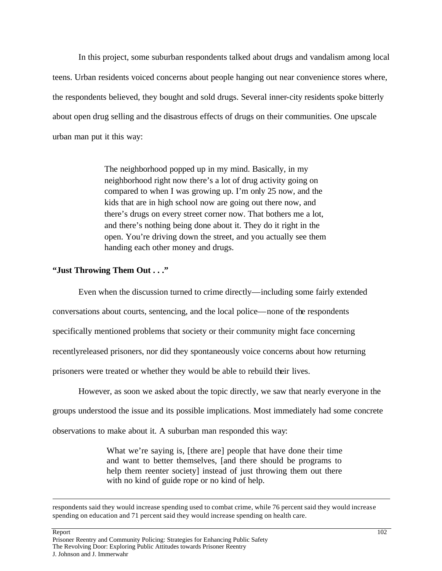In this project, some suburban respondents talked about drugs and vandalism among local teens. Urban residents voiced concerns about people hanging out near convenience stores where, the respondents believed, they bought and sold drugs. Several inner-city residents spoke bitterly about open drug selling and the disastrous effects of drugs on their communities. One upscale urban man put it this way:

> The neighborhood popped up in my mind. Basically, in my neighborhood right now there's a lot of drug activity going on compared to when I was growing up. I'm only 25 now, and the kids that are in high school now are going out there now, and there's drugs on every street corner now. That bothers me a lot, and there's nothing being done about it. They do it right in the open. You're driving down the street, and you actually see them handing each other money and drugs.

# **"Just Throwing Them Out . . ."**

Even when the discussion turned to crime directly—including some fairly extended conversations about courts, sentencing, and the local police—none of the respondents specifically mentioned problems that society or their community might face concerning recentlyreleased prisoners, nor did they spontaneously voice concerns about how returning prisoners were treated or whether they would be able to rebuild their lives.

However, as soon we asked about the topic directly, we saw that nearly everyone in the

groups understood the issue and its possible implications. Most immediately had some concrete

observations to make about it. A suburban man responded this way:

What we're saying is, [there are] people that have done their time and want to better themselves, [and there should be programs to help them reenter society] instead of just throwing them out there with no kind of guide rope or no kind of help.

respondents said they would increase spending used to combat crime, while 76 percent said they would increase spending on education and 71 percent said they would increase spending on health care.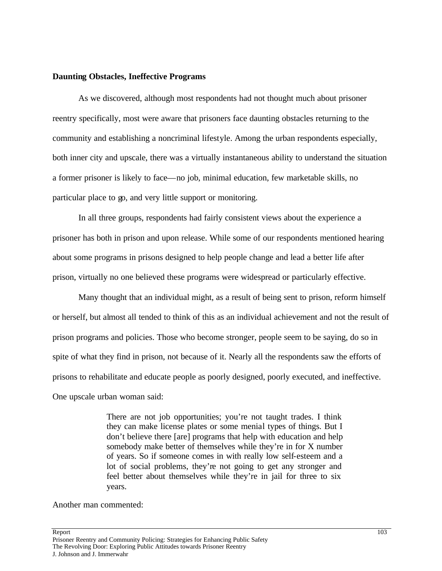# **Daunting Obstacles, Ineffective Programs**

As we discovered, although most respondents had not thought much about prisoner reentry specifically, most were aware that prisoners face daunting obstacles returning to the community and establishing a noncriminal lifestyle. Among the urban respondents especially, both inner city and upscale, there was a virtually instantaneous ability to understand the situation a former prisoner is likely to face—no job, minimal education, few marketable skills, no particular place to go, and very little support or monitoring.

In all three groups, respondents had fairly consistent views about the experience a prisoner has both in prison and upon release. While some of our respondents mentioned hearing about some programs in prisons designed to help people change and lead a better life after prison, virtually no one believed these programs were widespread or particularly effective.

Many thought that an individual might, as a result of being sent to prison, reform himself or herself, but almost all tended to think of this as an individual achievement and not the result of prison programs and policies. Those who become stronger, people seem to be saying, do so in spite of what they find in prison, not because of it. Nearly all the respondents saw the efforts of prisons to rehabilitate and educate people as poorly designed, poorly executed, and ineffective. One upscale urban woman said:

> There are not job opportunities; you're not taught trades. I think they can make license plates or some menial types of things. But I don't believe there [are] programs that help with education and help somebody make better of themselves while they're in for X number of years. So if someone comes in with really low self-esteem and a lot of social problems, they're not going to get any stronger and feel better about themselves while they're in jail for three to six years.

Another man commented:

Report that the contract of the contract of the contract of the contract of the contract of the contract of the contract of the contract of the contract of the contract of the contract of the contract of the contract of th Prisoner Reentry and Community Policing: Strategies for Enhancing Public Safety The Revolving Door: Exploring Public Attitudes towards Prisoner Reentry J. Johnson and J. Immerwahr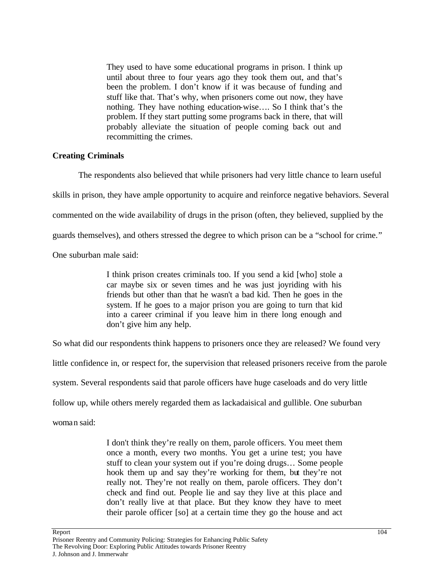They used to have some educational programs in prison. I think up until about three to four years ago they took them out, and that's been the problem. I don't know if it was because of funding and stuff like that. That's why, when prisoners come out now, they have nothing. They have nothing education-wise…. So I think that's the problem. If they start putting some programs back in there, that will probably alleviate the situation of people coming back out and recommitting the crimes.

# **Creating Criminals**

The respondents also believed that while prisoners had very little chance to learn useful skills in prison, they have ample opportunity to acquire and reinforce negative behaviors. Several commented on the wide availability of drugs in the prison (often, they believed, supplied by the guards themselves), and others stressed the degree to which prison can be a "school for crime." One suburban male said:

> I think prison creates criminals too. If you send a kid [who] stole a car maybe six or seven times and he was just joyriding with his friends but other than that he wasn't a bad kid. Then he goes in the system. If he goes to a major prison you are going to turn that kid into a career criminal if you leave him in there long enough and don't give him any help.

So what did our respondents think happens to prisoners once they are released? We found very

little confidence in, or respect for, the supervision that released prisoners receive from the parole

system. Several respondents said that parole officers have huge caseloads and do very little

follow up, while others merely regarded them as lackadaisical and gullible. One suburban

woman said:

I don't think they're really on them, parole officers. You meet them once a month, every two months. You get a urine test; you have stuff to clean your system out if you're doing drugs… Some people hook them up and say they're working for them, but they're not really not. They're not really on them, parole officers. They don't check and find out. People lie and say they live at this place and don't really live at that place. But they know they have to meet their parole officer [so] at a certain time they go the house and act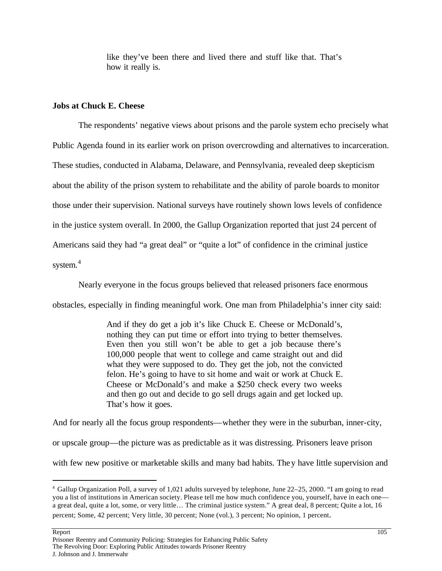like they've been there and lived there and stuff like that. That's how it really is.

# **Jobs at Chuck E. Cheese**

The respondents' negative views about prisons and the parole system echo precisely what Public Agenda found in its earlier work on prison overcrowding and alternatives to incarceration. These studies, conducted in Alabama, Delaware, and Pennsylvania, revealed deep skepticism about the ability of the prison system to rehabilitate and the ability of parole boards to monitor those under their supervision. National surveys have routinely shown lows levels of confidence in the justice system overall. In 2000, the Gallup Organization reported that just 24 percent of Americans said they had "a great deal" or "quite a lot" of confidence in the criminal justice system.<sup>4</sup>

Nearly everyone in the focus groups believed that released prisoners face enormous

obstacles, especially in finding meaningful work. One man from Philadelphia's inner city said:

And if they do get a job it's like Chuck E. Cheese or McDonald's, nothing they can put time or effort into trying to better themselves. Even then you still won't be able to get a job because there's 100,000 people that went to college and came straight out and did what they were supposed to do. They get the job, not the convicted felon. He's going to have to sit home and wait or work at Chuck E. Cheese or McDonald's and make a \$250 check every two weeks and then go out and decide to go sell drugs again and get locked up. That's how it goes.

And for nearly all the focus group respondents—whether they were in the suburban, inner-city, or upscale group—the picture was as predictable as it was distressing. Prisoners leave prison with few new positive or marketable skills and many bad habits. They have little supervision and

<sup>4</sup> Gallup Organization Poll, a survey of 1,021 adults surveyed by telephone, June 22–25, 2000. "I am going to read you a list of institutions in American society. Please tell me how much confidence you, yourself, have in each one a great deal, quite a lot, some, or very little… The criminal justice system." A great deal, 8 percent; Quite a lot, 16 percent; Some, 42 percent; Very little, 30 percent; None (vol.), 3 percent; No opinion, 1 percent.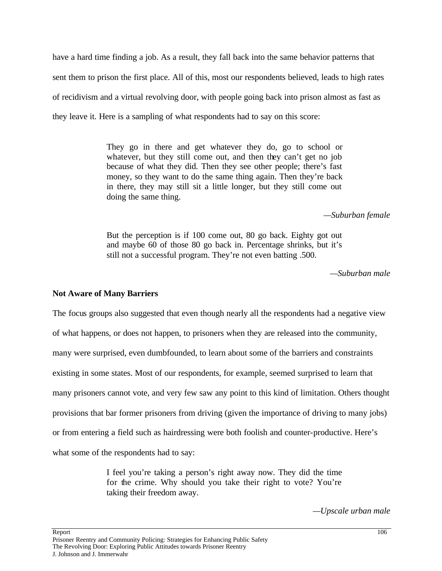have a hard time finding a job. As a result, they fall back into the same behavior patterns that sent them to prison the first place. All of this, most our respondents believed, leads to high rates of recidivism and a virtual revolving door, with people going back into prison almost as fast as they leave it. Here is a sampling of what respondents had to say on this score:

> They go in there and get whatever they do, go to school or whatever, but they still come out, and then they can't get no job because of what they did. Then they see other people; there's fast money, so they want to do the same thing again. Then they're back in there, they may still sit a little longer, but they still come out doing the same thing.

> > *—Suburban female*

But the perception is if 100 come out, 80 go back. Eighty got out and maybe 60 of those 80 go back in. Percentage shrinks, but it's still not a successful program. They're not even batting .500.

*—Suburban male*

# **Not Aware of Many Barriers**

The focus groups also suggested that even though nearly all the respondents had a negative view of what happens, or does not happen, to prisoners when they are released into the community, many were surprised, even dumbfounded, to learn about some of the barriers and constraints existing in some states. Most of our respondents, for example, seemed surprised to learn that many prisoners cannot vote, and very few saw any point to this kind of limitation. Others thought provisions that bar former prisoners from driving (given the importance of driving to many jobs) or from entering a field such as hairdressing were both foolish and counter-productive. Here's what some of the respondents had to say:

> I feel you're taking a person's right away now. They did the time for the crime. Why should you take their right to vote? You're taking their freedom away.

> > *—Upscale urban male*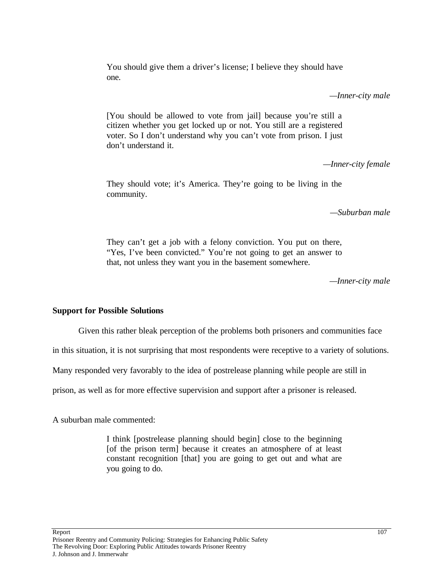You should give them a driver's license; I believe they should have one.

*—Inner-city male* 

[You should be allowed to vote from jail] because you're still a citizen whether you get locked up or not. You still are a registered voter. So I don't understand why you can't vote from prison. I just don't understand it.

*—Inner-city female*

They should vote; it's America. They're going to be living in the community.

*—Suburban male*

They can't get a job with a felony conviction. You put on there, "Yes, I've been convicted." You're not going to get an answer to that, not unless they want you in the basement somewhere.

*—Inner-city male*

# **Support for Possible Solutions**

Given this rather bleak perception of the problems both prisoners and communities face

in this situation, it is not surprising that most respondents were receptive to a variety of solutions.

Many responded very favorably to the idea of postrelease planning while people are still in

prison, as well as for more effective supervision and support after a prisoner is released.

A suburban male commented:

I think [postrelease planning should begin] close to the beginning [of the prison term] because it creates an atmosphere of at least constant recognition [that] you are going to get out and what are you going to do.

Report the contract of the contract of the contract of the contract of the contract of the contract of the contract of the contract of the contract of the contract of the contract of the contract of the contract of the con Prisoner Reentry and Community Policing: Strategies for Enhancing Public Safety The Revolving Door: Exploring Public Attitudes towards Prisoner Reentry J. Johnson and J. Immerwahr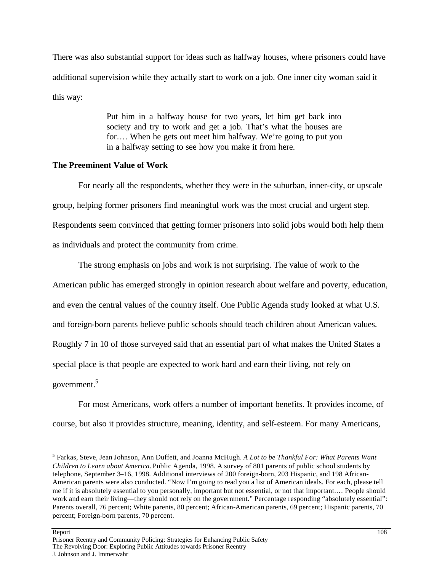There was also substantial support for ideas such as halfway houses, where prisoners could have additional supervision while they actually start to work on a job. One inner city woman said it this way:

> Put him in a halfway house for two years, let him get back into society and try to work and get a job. That's what the houses are for…. When he gets out meet him halfway. We're going to put you in a halfway setting to see how you make it from here.

# **The Preeminent Value of Work**

For nearly all the respondents, whether they were in the suburban, inner-city, or upscale group, helping former prisoners find meaningful work was the most crucial and urgent step. Respondents seem convinced that getting former prisoners into solid jobs would both help them as individuals and protect the community from crime.

The strong emphasis on jobs and work is not surprising. The value of work to the American public has emerged strongly in opinion research about welfare and poverty, education, and even the central values of the country itself. One Public Agenda study looked at what U.S. and foreign-born parents believe public schools should teach children about American values. Roughly 7 in 10 of those surveyed said that an essential part of what makes the United States a special place is that people are expected to work hard and earn their living, not rely on government.<sup>5</sup>

For most Americans, work offers a number of important benefits. It provides income, of course, but also it provides structure, meaning, identity, and self-esteem. For many Americans,

Report the contract of the contract of the contract of the contract of the contract of the contract of the contract of the contract of the contract of the contract of the contract of the contract of the contract of the con Prisoner Reentry and Community Policing: Strategies for Enhancing Public Safety The Revolving Door: Exploring Public Attitudes towards Prisoner Reentry J. Johnson and J. Immerwahr

<sup>5</sup> Farkas, Steve, Jean Johnson, Ann Duffett, and Joanna McHugh. *A Lot to be Thankful For: What Parents Want Children to Learn about America.* Public Agenda, 1998. A survey of 801 parents of public school students by telephone, September 3–16, 1998. Additional interviews of 200 foreign-born, 203 Hispanic, and 198 African-American parents were also conducted. "Now I'm going to read you a list of American ideals. For each, please tell me if it is absolutely essential to you personally, important but not essential, or not that important.… People should work and earn their living—they should not rely on the government." Percentage responding "absolutely essential": Parents overall, 76 percent; White parents, 80 percent; African-American parents, 69 percent; Hispanic parents, 70 percent; Foreign-born parents, 70 percent.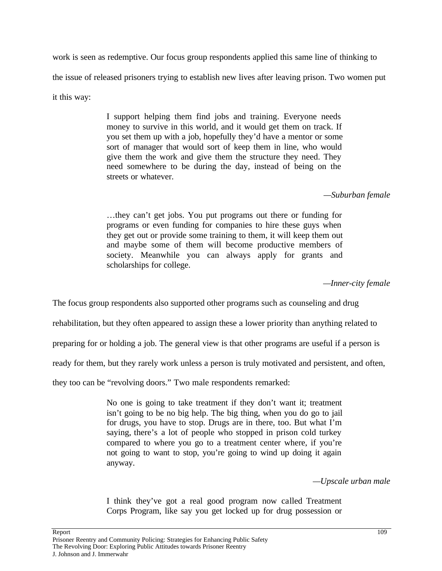work is seen as redemptive. Our focus group respondents applied this same line of thinking to the issue of released prisoners trying to establish new lives after leaving prison. Two women put it this way:

> I support helping them find jobs and training. Everyone needs money to survive in this world, and it would get them on track. If you set them up with a job, hopefully they'd have a mentor or some sort of manager that would sort of keep them in line, who would give them the work and give them the structure they need. They need somewhere to be during the day, instead of being on the streets or whatever.

# *—Suburban female*

…they can't get jobs. You put programs out there or funding for programs or even funding for companies to hire these guys when they get out or provide some training to them, it will keep them out and maybe some of them will become productive members of society. Meanwhile you can always apply for grants and scholarships for college.

*—Inner-city female*

The focus group respondents also supported other programs such as counseling and drug

rehabilitation, but they often appeared to assign these a lower priority than anything related to

preparing for or holding a job. The general view is that other programs are useful if a person is

ready for them, but they rarely work unless a person is truly motivated and persistent, and often,

they too can be "revolving doors." Two male respondents remarked:

No one is going to take treatment if they don't want it; treatment isn't going to be no big help. The big thing, when you do go to jail for drugs, you have to stop. Drugs are in there, too. But what I'm saying, there's a lot of people who stopped in prison cold turkey compared to where you go to a treatment center where, if you're not going to want to stop, you're going to wind up doing it again anyway.

*—Upscale urban male*

I think they've got a real good program now called Treatment Corps Program, like say you get locked up for drug possession or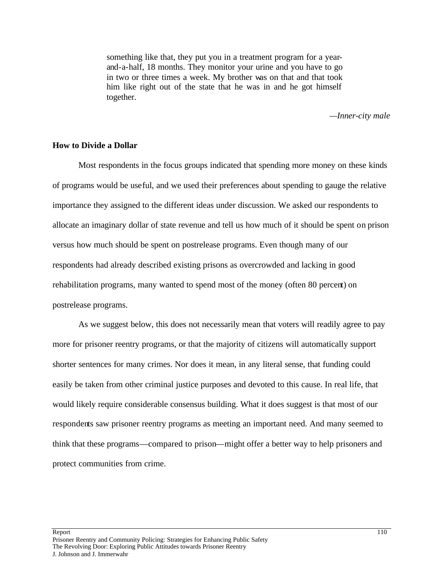something like that, they put you in a treatment program for a yearand-a-half, 18 months. They monitor your urine and you have to go in two or three times a week. My brother was on that and that took him like right out of the state that he was in and he got himself together.

*—Inner-city male*

#### **How to Divide a Dollar**

Most respondents in the focus groups indicated that spending more money on these kinds of programs would be useful, and we used their preferences about spending to gauge the relative importance they assigned to the different ideas under discussion. We asked our respondents to allocate an imaginary dollar of state revenue and tell us how much of it should be spent on prison versus how much should be spent on postrelease programs. Even though many of our respondents had already described existing prisons as overcrowded and lacking in good rehabilitation programs, many wanted to spend most of the money (often 80 percent) on postrelease programs.

As we suggest below, this does not necessarily mean that voters will readily agree to pay more for prisoner reentry programs, or that the majority of citizens will automatically support shorter sentences for many crimes. Nor does it mean, in any literal sense, that funding could easily be taken from other criminal justice purposes and devoted to this cause. In real life, that would likely require considerable consensus building. What it does suggest is that most of our respondents saw prisoner reentry programs as meeting an important need. And many seemed to think that these programs—compared to prison—might offer a better way to help prisoners and protect communities from crime.

Report that the contract of the contract of the contract of the contract of the contract of the contract of the contract of the contract of the contract of the contract of the contract of the contract of the contract of th Prisoner Reentry and Community Policing: Strategies for Enhancing Public Safety The Revolving Door: Exploring Public Attitudes towards Prisoner Reentry J. Johnson and J. Immerwahr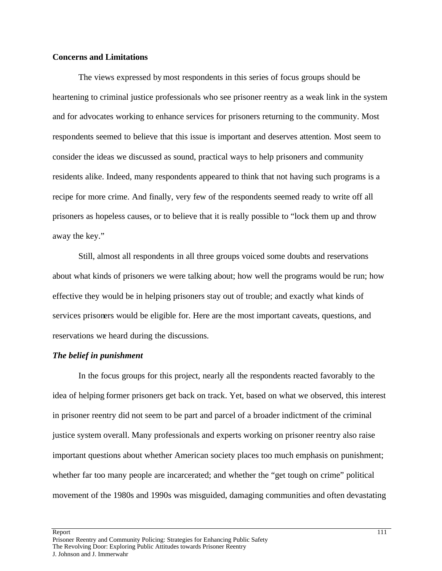# **Concerns and Limitations**

The views expressed by most respondents in this series of focus groups should be heartening to criminal justice professionals who see prisoner reentry as a weak link in the system and for advocates working to enhance services for prisoners returning to the community. Most respondents seemed to believe that this issue is important and deserves attention. Most seem to consider the ideas we discussed as sound, practical ways to help prisoners and community residents alike. Indeed, many respondents appeared to think that not having such programs is a recipe for more crime. And finally, very few of the respondents seemed ready to write off all prisoners as hopeless causes, or to believe that it is really possible to "lock them up and throw away the key."

Still, almost all respondents in all three groups voiced some doubts and reservations about what kinds of prisoners we were talking about; how well the programs would be run; how effective they would be in helping prisoners stay out of trouble; and exactly what kinds of services prisoners would be eligible for. Here are the most important caveats, questions, and reservations we heard during the discussions.

#### *The belief in punishment*

In the focus groups for this project, nearly all the respondents reacted favorably to the idea of helping former prisoners get back on track. Yet, based on what we observed, this interest in prisoner reentry did not seem to be part and parcel of a broader indictment of the criminal justice system overall. Many professionals and experts working on prisoner reentry also raise important questions about whether American society places too much emphasis on punishment; whether far too many people are incarcerated; and whether the "get tough on crime" political movement of the 1980s and 1990s was misguided, damaging communities and often devastating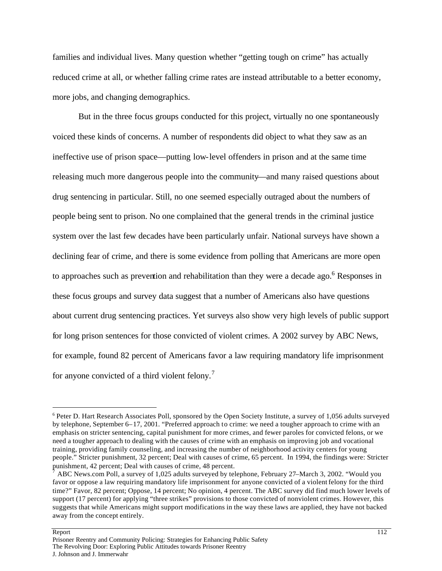families and individual lives. Many question whether "getting tough on crime" has actually reduced crime at all, or whether falling crime rates are instead attributable to a better economy, more jobs, and changing demographics.

But in the three focus groups conducted for this project, virtually no one spontaneously voiced these kinds of concerns. A number of respondents did object to what they saw as an ineffective use of prison space—putting low-level offenders in prison and at the same time releasing much more dangerous people into the community—and many raised questions about drug sentencing in particular. Still, no one seemed especially outraged about the numbers of people being sent to prison. No one complained that the general trends in the criminal justice system over the last few decades have been particularly unfair. National surveys have shown a declining fear of crime, and there is some evidence from polling that Americans are more open to approaches such as prevention and rehabilitation than they were a decade ago.<sup>6</sup> Responses in these focus groups and survey data suggest that a number of Americans also have questions about current drug sentencing practices. Yet surveys also show very high levels of public support for long prison sentences for those convicted of violent crimes. A 2002 survey by ABC News, for example, found 82 percent of Americans favor a law requiring mandatory life imprisonment for anyone convicted of a third violent felony.<sup>7</sup>

#### Report that the contract of the contract of the contract of the contract of the contract of the contract of the contract of the contract of the contract of the contract of the contract of the contract of the contract of th

<sup>&</sup>lt;sup>6</sup> Peter D. Hart Research Associates Poll, sponsored by the Open Society Institute, a survey of 1,056 adults surveyed by telephone, September 6–17, 2001. "Preferred approach to crime: we need a tougher approach to crime with an emphasis on stricter sentencing, capital punishment for more crimes, and fewer paroles for convicted felons, or we need a tougher approach to dealing with the causes of crime with an emphasis on improving job and vocational training, providing family counseling, and increasing the number of neighborhood activity centers for young people." Stricter punishment, 32 percent; Deal with causes of crime, 65 percent. In 1994, the findings were: Stricter punishment, 42 percent; Deal with causes of crime, 48 percent.

<sup>7</sup> ABC News.com Poll, a survey of 1,025 adults surveyed by telephone, February 27–March 3, 2002. "Would you favor or oppose a law requiring mandatory life imprisonment for anyone convicted of a violent felony for the third time?" Favor, 82 percent; Oppose, 14 percent; No opinion, 4 percent. The ABC survey did find much lower levels of support (17 percent) for applying "three strikes" provisions to those convicted of nonviolent crimes. However, this suggests that while Americans might support modifications in the way these laws are applied, they have not backed away from the concept entirely.

Prisoner Reentry and Community Policing: Strategies for Enhancing Public Safety The Revolving Door: Exploring Public Attitudes towards Prisoner Reentry J. Johnson and J. Immerwahr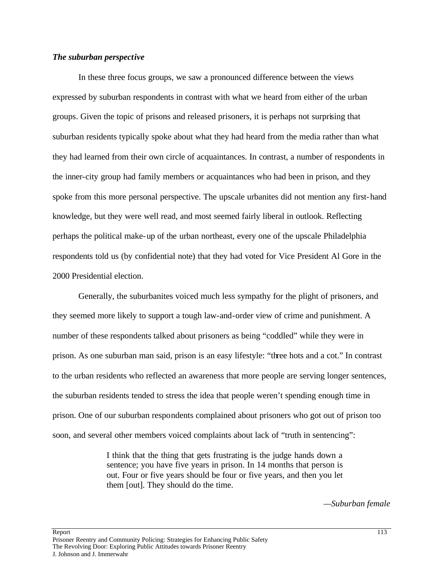## *The suburban perspective*

In these three focus groups, we saw a pronounced difference between the views expressed by suburban respondents in contrast with what we heard from either of the urban groups. Given the topic of prisons and released prisoners, it is perhaps not surprising that suburban residents typically spoke about what they had heard from the media rather than what they had learned from their own circle of acquaintances. In contrast, a number of respondents in the inner-city group had family members or acquaintances who had been in prison, and they spoke from this more personal perspective. The upscale urbanites did not mention any first-hand knowledge, but they were well read, and most seemed fairly liberal in outlook. Reflecting perhaps the political make-up of the urban northeast, every one of the upscale Philadelphia respondents told us (by confidential note) that they had voted for Vice President Al Gore in the 2000 Presidential election.

Generally, the suburbanites voiced much less sympathy for the plight of prisoners, and they seemed more likely to support a tough law-and-order view of crime and punishment. A number of these respondents talked about prisoners as being "coddled" while they were in prison. As one suburban man said, prison is an easy lifestyle: "three hots and a cot." In contrast to the urban residents who reflected an awareness that more people are serving longer sentences, the suburban residents tended to stress the idea that people weren't spending enough time in prison. One of our suburban respondents complained about prisoners who got out of prison too soon, and several other members voiced complaints about lack of "truth in sentencing":

> I think that the thing that gets frustrating is the judge hands down a sentence; you have five years in prison. In 14 months that person is out. Four or five years should be four or five years, and then you let them [out]. They should do the time.

> > *—Suburban female*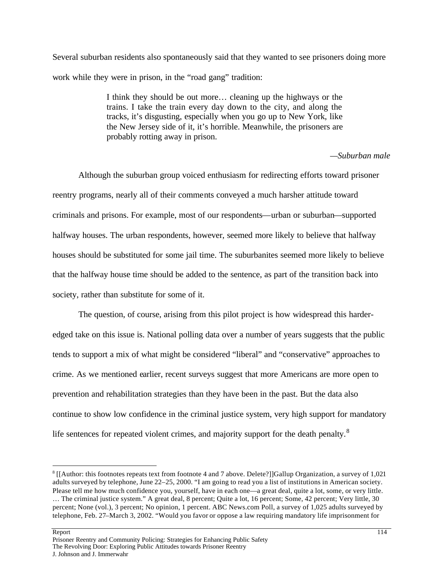Several suburban residents also spontaneously said that they wanted to see prisoners doing more work while they were in prison, in the "road gang" tradition:

> I think they should be out more… cleaning up the highways or the trains. I take the train every day down to the city, and along the tracks, it's disgusting, especially when you go up to New York, like the New Jersey side of it, it's horrible. Meanwhile, the prisoners are probably rotting away in prison.

# *—Suburban male*

Although the suburban group voiced enthusiasm for redirecting efforts toward prisoner reentry programs, nearly all of their comments conveyed a much harsher attitude toward criminals and prisons. For example, most of our respondents—urban or suburban—supported halfway houses. The urban respondents, however, seemed more likely to believe that halfway houses should be substituted for some jail time. The suburbanites seemed more likely to believe that the halfway house time should be added to the sentence, as part of the transition back into society, rather than substitute for some of it.

The question, of course, arising from this pilot project is how widespread this harderedged take on this issue is. National polling data over a number of years suggests that the public tends to support a mix of what might be considered "liberal" and "conservative" approaches to crime. As we mentioned earlier, recent surveys suggest that more Americans are more open to prevention and rehabilitation strategies than they have been in the past. But the data also continue to show low confidence in the criminal justice system, very high support for mandatory life sentences for repeated violent crimes, and majority support for the death penalty.<sup>8</sup>

#### Report that the contract of the contract of the contract of the contract of the contract of the contract of the contract of the contract of the contract of the contract of the contract of the contract of the contract of th

<sup>8</sup> [[Author: this footnotes repeats text from footnote 4 and 7 above. Delete?]]Gallup Organization, a survey of 1,021 adults surveyed by telephone, June 22–25, 2000. "I am going to read you a list of institutions in American society. Please tell me how much confidence you, yourself, have in each one—a great deal, quite a lot, some, or very little. … The criminal justice system." A great deal, 8 percent; Quite a lot, 16 percent; Some, 42 percent; Very little, 30 percent; None (vol.), 3 percent; No opinion, 1 percent. ABC News.com Poll, a survey of 1,025 adults surveyed by telephone, Feb. 27–March 3, 2002. "Would you favor or oppose a law requiring mandatory life imprisonment for

Prisoner Reentry and Community Policing: Strategies for Enhancing Public Safety The Revolving Door: Exploring Public Attitudes towards Prisoner Reentry J. Johnson and J. Immerwahr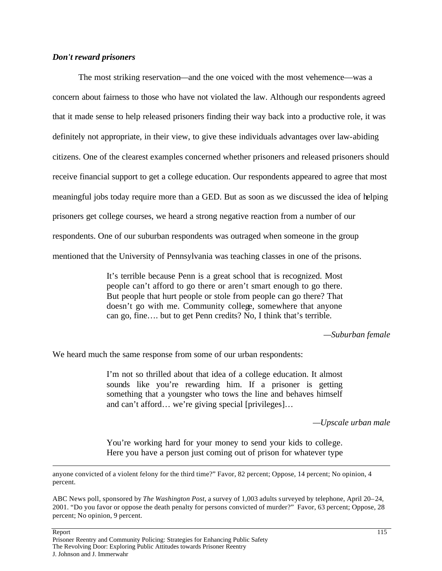# *Don't reward prisoners*

The most striking reservation—and the one voiced with the most vehemence—was a concern about fairness to those who have not violated the law. Although our respondents agreed that it made sense to help released prisoners finding their way back into a productive role, it was definitely not appropriate, in their view, to give these individuals advantages over law-abiding citizens. One of the clearest examples concerned whether prisoners and released prisoners should receive financial support to get a college education. Our respondents appeared to agree that most meaningful jobs today require more than a GED. But as soon as we discussed the idea of helping prisoners get college courses, we heard a strong negative reaction from a number of our respondents. One of our suburban respondents was outraged when someone in the group mentioned that the University of Pennsylvania was teaching classes in one of the prisons.

> It's terrible because Penn is a great school that is recognized. Most people can't afford to go there or aren't smart enough to go there. But people that hurt people or stole from people can go there? That doesn't go with me. Community college, somewhere that anyone can go, fine…. but to get Penn credits? No, I think that's terrible.

> > *—Suburban female*

We heard much the same response from some of our urban respondents:

I'm not so thrilled about that idea of a college education. It almost sounds like you're rewarding him. If a prisoner is getting something that a youngster who tows the line and behaves himself and can't afford… we're giving special [privileges]…

*—Upscale urban male*

You're working hard for your money to send your kids to college. Here you have a person just coming out of prison for whatever type

anyone convicted of a violent felony for the third time?" Favor, 82 percent; Oppose, 14 percent; No opinion, 4 percent.

ABC News poll, sponsored by *The Washington Post*, a survey of 1,003 adults surveyed by telephone, April 20–24, 2001. "Do you favor or oppose the death penalty for persons convicted of murder?" Favor, 63 percent; Oppose, 28 percent; No opinion, 9 percent.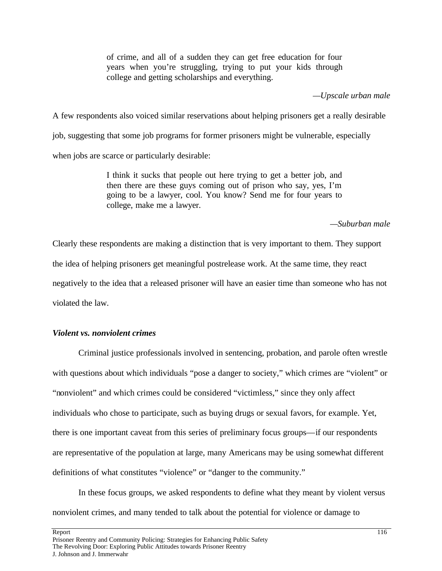of crime, and all of a sudden they can get free education for four years when you're struggling, trying to put your kids through college and getting scholarships and everything.

*—Upscale urban male*

A few respondents also voiced similar reservations about helping prisoners get a really desirable job, suggesting that some job programs for former prisoners might be vulnerable, especially when jobs are scarce or particularly desirable:

> I think it sucks that people out here trying to get a better job, and then there are these guys coming out of prison who say, yes, I'm going to be a lawyer, cool. You know? Send me for four years to college, make me a lawyer.

# *—Suburban male*

Clearly these respondents are making a distinction that is very important to them. They support the idea of helping prisoners get meaningful postrelease work. At the same time, they react negatively to the idea that a released prisoner will have an easier time than someone who has not violated the law.

# *Violent vs. nonviolent crimes*

Criminal justice professionals involved in sentencing, probation, and parole often wrestle with questions about which individuals "pose a danger to society," which crimes are "violent" or "nonviolent" and which crimes could be considered "victimless," since they only affect individuals who chose to participate, such as buying drugs or sexual favors, for example. Yet, there is one important caveat from this series of preliminary focus groups—if our respondents are representative of the population at large, many Americans may be using somewhat different definitions of what constitutes "violence" or "danger to the community."

In these focus groups, we asked respondents to define what they meant by violent versus nonviolent crimes, and many tended to talk about the potential for violence or damage to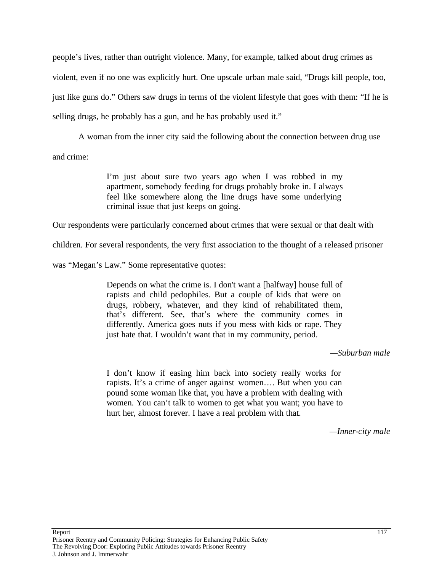people's lives, rather than outright violence. Many, for example, talked about drug crimes as violent, even if no one was explicitly hurt. One upscale urban male said, "Drugs kill people, too, just like guns do." Others saw drugs in terms of the violent lifestyle that goes with them: "If he is selling drugs, he probably has a gun, and he has probably used it."

A woman from the inner city said the following about the connection between drug use and crime:

> I'm just about sure two years ago when I was robbed in my apartment, somebody feeding for drugs probably broke in. I always feel like somewhere along the line drugs have some underlying criminal issue that just keeps on going.

Our respondents were particularly concerned about crimes that were sexual or that dealt with

children. For several respondents, the very first association to the thought of a released prisoner

was "Megan's Law." Some representative quotes:

Depends on what the crime is. I don't want a [halfway] house full of rapists and child pedophiles. But a couple of kids that were on drugs, robbery, whatever, and they kind of rehabilitated them, that's different. See, that's where the community comes in differently. America goes nuts if you mess with kids or rape. They just hate that. I wouldn't want that in my community, period.

*—Suburban male*

I don't know if easing him back into society really works for rapists. It's a crime of anger against women…. But when you can pound some woman like that, you have a problem with dealing with women. You can't talk to women to get what you want; you have to hurt her, almost forever. I have a real problem with that.

*—Inner-city male*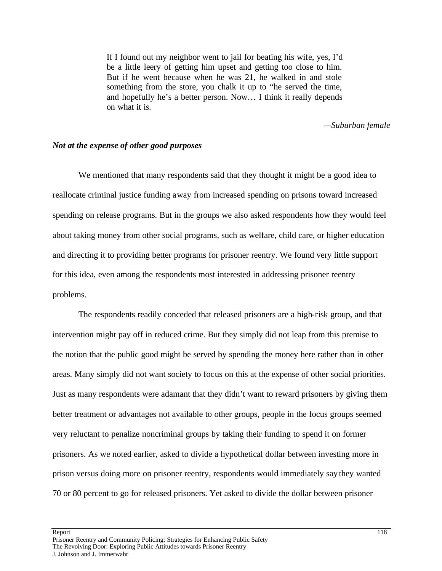If I found out my neighbor went to jail for beating his wife, yes, I'd be a little leery of getting him upset and getting too close to him. But if he went because when he was 21, he walked in and stole something from the store, you chalk it up to "he served the time, and hopefully he's a better person. Now… I think it really depends on what it is.

#### *—Suburban female*

#### *Not at the expense of other good purposes*

We mentioned that many respondents said that they thought it might be a good idea to reallocate criminal justice funding away from increased spending on prisons toward increased spending on release programs. But in the groups we also asked respondents how they would feel about taking money from other social programs, such as welfare, child care, or higher education and directing it to providing better programs for prisoner reentry. We found very little support for this idea, even among the respondents most interested in addressing prisoner reentry problems.

The respondents readily conceded that released prisoners are a high-risk group, and that intervention might pay off in reduced crime. But they simply did not leap from this premise to the notion that the public good might be served by spending the money here rather than in other areas. Many simply did not want society to focus on this at the expense of other social priorities. Just as many respondents were adamant that they didn't want to reward prisoners by giving them better treatment or advantages not available to other groups, people in the focus groups seemed very reluctant to penalize noncriminal groups by taking their funding to spend it on former prisoners. As we noted earlier, asked to divide a hypothetical dollar between investing more in prison versus doing more on prisoner reentry, respondents would immediately say they wanted 70 or 80 percent to go for released prisoners. Yet asked to divide the dollar between prisoner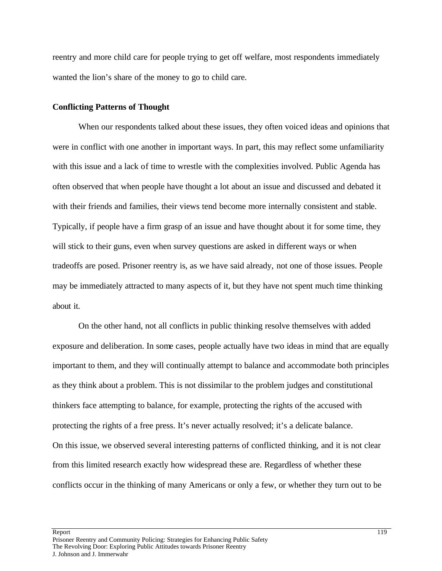reentry and more child care for people trying to get off welfare, most respondents immediately wanted the lion's share of the money to go to child care.

# **Conflicting Patterns of Thought**

When our respondents talked about these issues, they often voiced ideas and opinions that were in conflict with one another in important ways. In part, this may reflect some unfamiliarity with this issue and a lack of time to wrestle with the complexities involved. Public Agenda has often observed that when people have thought a lot about an issue and discussed and debated it with their friends and families, their views tend become more internally consistent and stable. Typically, if people have a firm grasp of an issue and have thought about it for some time, they will stick to their guns, even when survey questions are asked in different ways or when tradeoffs are posed. Prisoner reentry is, as we have said already, not one of those issues. People may be immediately attracted to many aspects of it, but they have not spent much time thinking about it.

On the other hand, not all conflicts in public thinking resolve themselves with added exposure and deliberation. In some cases, people actually have two ideas in mind that are equally important to them, and they will continually attempt to balance and accommodate both principles as they think about a problem. This is not dissimilar to the problem judges and constitutional thinkers face attempting to balance, for example, protecting the rights of the accused with protecting the rights of a free press. It's never actually resolved; it's a delicate balance. On this issue, we observed several interesting patterns of conflicted thinking, and it is not clear from this limited research exactly how widespread these are. Regardless of whether these conflicts occur in the thinking of many Americans or only a few, or whether they turn out to be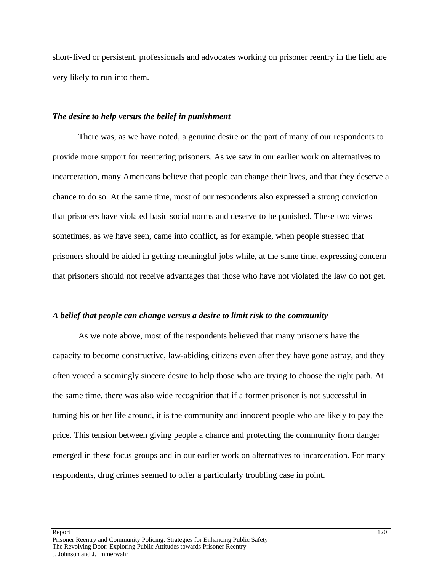short-lived or persistent, professionals and advocates working on prisoner reentry in the field are very likely to run into them.

# *The desire to help versus the belief in punishment*

There was, as we have noted, a genuine desire on the part of many of our respondents to provide more support for reentering prisoners. As we saw in our earlier work on alternatives to incarceration, many Americans believe that people can change their lives, and that they deserve a chance to do so. At the same time, most of our respondents also expressed a strong conviction that prisoners have violated basic social norms and deserve to be punished. These two views sometimes, as we have seen, came into conflict, as for example, when people stressed that prisoners should be aided in getting meaningful jobs while, at the same time, expressing concern that prisoners should not receive advantages that those who have not violated the law do not get.

#### *A belief that people can change versus a desire to limit risk to the community*

As we note above, most of the respondents believed that many prisoners have the capacity to become constructive, law-abiding citizens even after they have gone astray, and they often voiced a seemingly sincere desire to help those who are trying to choose the right path. At the same time, there was also wide recognition that if a former prisoner is not successful in turning his or her life around, it is the community and innocent people who are likely to pay the price. This tension between giving people a chance and protecting the community from danger emerged in these focus groups and in our earlier work on alternatives to incarceration. For many respondents, drug crimes seemed to offer a particularly troubling case in point.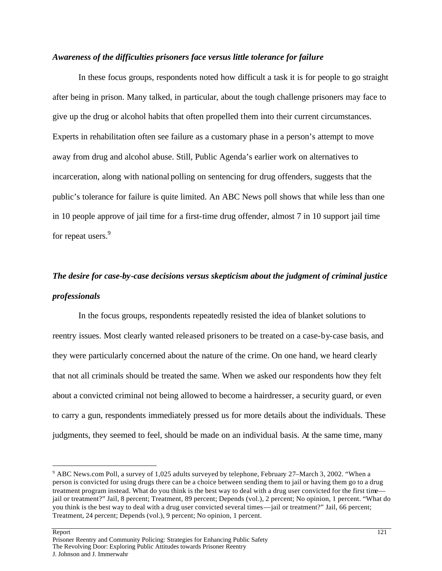# *Awareness of the difficulties prisoners face versus little tolerance for failure*

In these focus groups, respondents noted how difficult a task it is for people to go straight after being in prison. Many talked, in particular, about the tough challenge prisoners may face to give up the drug or alcohol habits that often propelled them into their current circumstances. Experts in rehabilitation often see failure as a customary phase in a person's attempt to move away from drug and alcohol abuse. Still, Public Agenda's earlier work on alternatives to incarceration, along with national polling on sentencing for drug offenders, suggests that the public's tolerance for failure is quite limited. An ABC News poll shows that while less than one in 10 people approve of jail time for a first-time drug offender, almost 7 in 10 support jail time for repeat users.<sup>9</sup>

# *The desire for case-by-case decisions versus skepticism about the judgment of criminal justice professionals*

In the focus groups, respondents repeatedly resisted the idea of blanket solutions to reentry issues. Most clearly wanted released prisoners to be treated on a case-by-case basis, and they were particularly concerned about the nature of the crime. On one hand, we heard clearly that not all criminals should be treated the same. When we asked our respondents how they felt about a convicted criminal not being allowed to become a hairdresser, a security guard, or even to carry a gun, respondents immediately pressed us for more details about the individuals. These judgments, they seemed to feel, should be made on an individual basis. At the same time, many

#### Report 221

Prisoner Reentry and Community Policing: Strategies for Enhancing Public Safety The Revolving Door: Exploring Public Attitudes towards Prisoner Reentry J. Johnson and J. Immerwahr

<sup>9</sup> ABC News.com Poll, a survey of 1,025 adults surveyed by telephone, February 27–March 3, 2002. "When a person is convicted for using drugs there can be a choice between sending them to jail or having them go to a drug treatment program instead. What do you think is the best way to deal with a drug user convicted for the first time jail or treatment?" Jail, 8 percent; Treatment, 89 percent; Depends (vol.), 2 percent; No opinion, 1 percent. "What do you think is the best way to deal with a drug user convicted several times—jail or treatment?" Jail, 66 percent; Treatment, 24 percent; Depends (vol.), 9 percent; No opinion, 1 percent.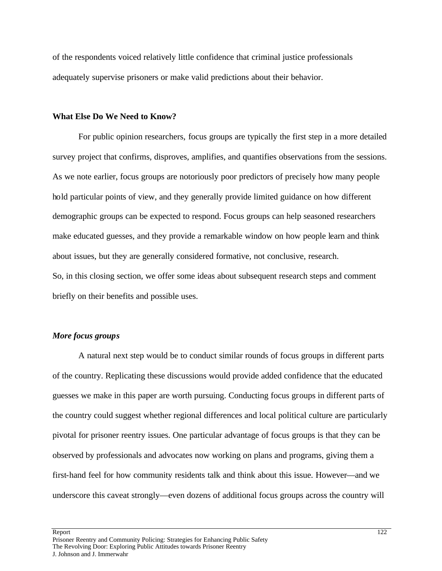of the respondents voiced relatively little confidence that criminal justice professionals adequately supervise prisoners or make valid predictions about their behavior.

## **What Else Do We Need to Know?**

For public opinion researchers, focus groups are typically the first step in a more detailed survey project that confirms, disproves, amplifies, and quantifies observations from the sessions. As we note earlier, focus groups are notoriously poor predictors of precisely how many people hold particular points of view, and they generally provide limited guidance on how different demographic groups can be expected to respond. Focus groups can help seasoned researchers make educated guesses, and they provide a remarkable window on how people learn and think about issues, but they are generally considered formative, not conclusive, research. So, in this closing section, we offer some ideas about subsequent research steps and comment briefly on their benefits and possible uses.

## *More focus groups*

A natural next step would be to conduct similar rounds of focus groups in different parts of the country. Replicating these discussions would provide added confidence that the educated guesses we make in this paper are worth pursuing. Conducting focus groups in different parts of the country could suggest whether regional differences and local political culture are particularly pivotal for prisoner reentry issues. One particular advantage of focus groups is that they can be observed by professionals and advocates now working on plans and programs, giving them a first-hand feel for how community residents talk and think about this issue. However—and we underscore this caveat strongly—even dozens of additional focus groups across the country will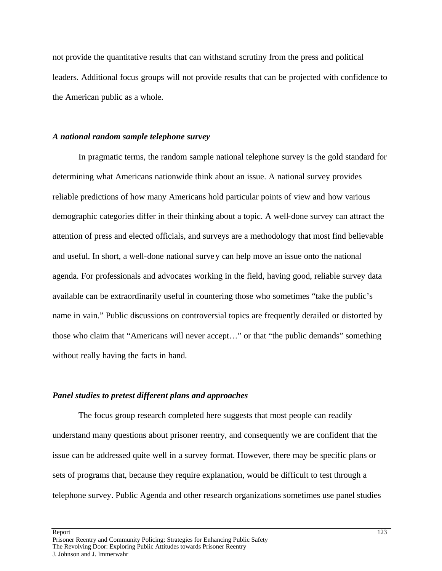not provide the quantitative results that can withstand scrutiny from the press and political leaders. Additional focus groups will not provide results that can be projected with confidence to the American public as a whole.

### *A national random sample telephone survey*

In pragmatic terms, the random sample national telephone survey is the gold standard for determining what Americans nationwide think about an issue. A national survey provides reliable predictions of how many Americans hold particular points of view and how various demographic categories differ in their thinking about a topic. A well-done survey can attract the attention of press and elected officials, and surveys are a methodology that most find believable and useful. In short, a well-done national survey can help move an issue onto the national agenda. For professionals and advocates working in the field, having good, reliable survey data available can be extraordinarily useful in countering those who sometimes "take the public's name in vain." Public discussions on controversial topics are frequently derailed or distorted by those who claim that "Americans will never accept…" or that "the public demands" something without really having the facts in hand.

#### *Panel studies to pretest different plans and approaches*

The focus group research completed here suggests that most people can readily understand many questions about prisoner reentry, and consequently we are confident that the issue can be addressed quite well in a survey format. However, there may be specific plans or sets of programs that, because they require explanation, would be difficult to test through a telephone survey. Public Agenda and other research organizations sometimes use panel studies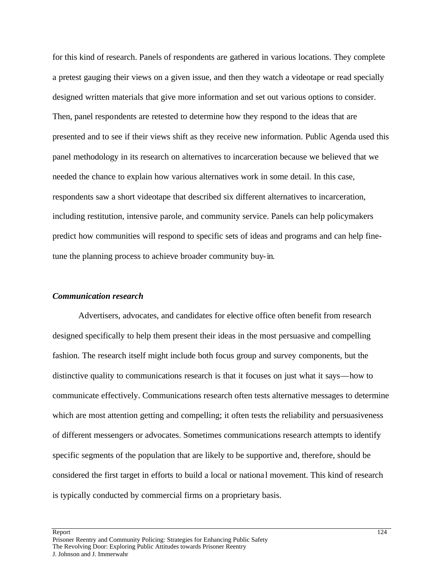for this kind of research. Panels of respondents are gathered in various locations. They complete a pretest gauging their views on a given issue, and then they watch a videotape or read specially designed written materials that give more information and set out various options to consider. Then, panel respondents are retested to determine how they respond to the ideas that are presented and to see if their views shift as they receive new information. Public Agenda used this panel methodology in its research on alternatives to incarceration because we believed that we needed the chance to explain how various alternatives work in some detail. In this case, respondents saw a short videotape that described six different alternatives to incarceration, including restitution, intensive parole, and community service. Panels can help policymakers predict how communities will respond to specific sets of ideas and programs and can help finetune the planning process to achieve broader community buy-in.

#### *Communication research*

Advertisers, advocates, and candidates for elective office often benefit from research designed specifically to help them present their ideas in the most persuasive and compelling fashion. The research itself might include both focus group and survey components, but the distinctive quality to communications research is that it focuses on just what it says—how to communicate effectively. Communications research often tests alternative messages to determine which are most attention getting and compelling; it often tests the reliability and persuasiveness of different messengers or advocates. Sometimes communications research attempts to identify specific segments of the population that are likely to be supportive and, therefore, should be considered the first target in efforts to build a local or nationa l movement. This kind of research is typically conducted by commercial firms on a proprietary basis.